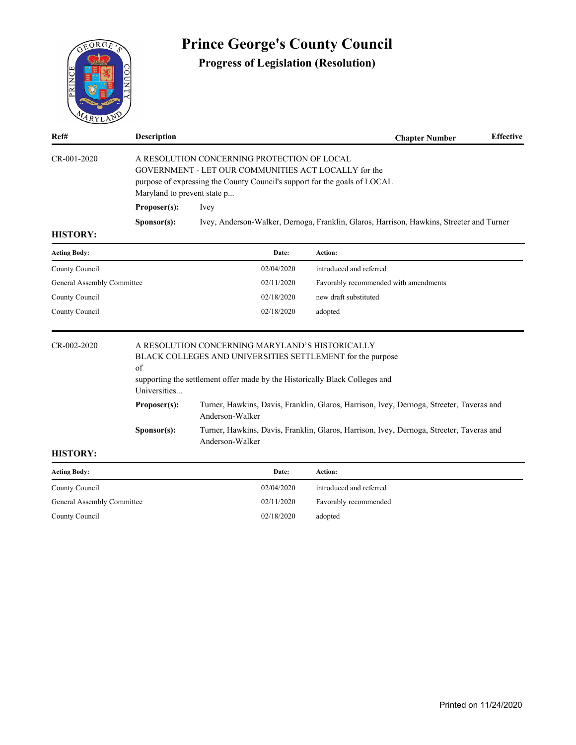

| <b>Acting Body:</b>        | Date:      | Action:                 |
|----------------------------|------------|-------------------------|
| County Council             | 02/04/2020 | introduced and referred |
| General Assembly Committee | 02/11/2020 | Favorably recommended   |
| County Council             | 02/18/2020 | adopted                 |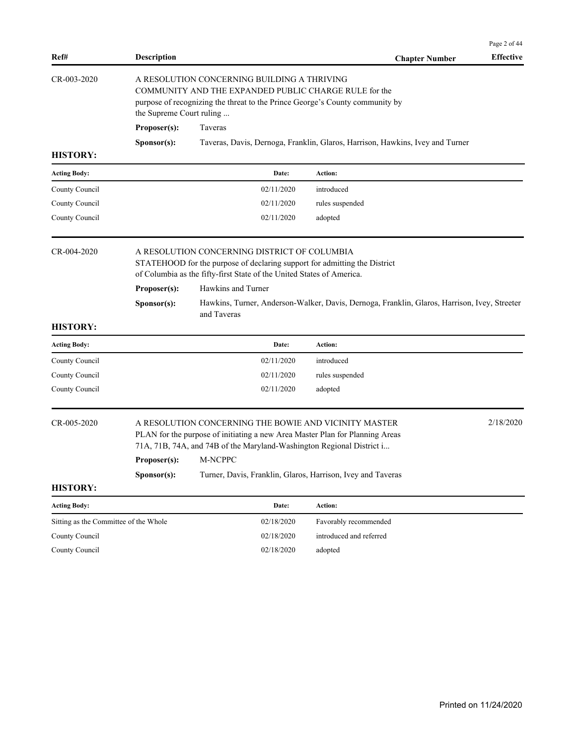| Ref#                                  | <b>Description</b>                           |                                                                                                                                                                                                                                                                               | <b>Chapter Number</b>                                                                        | Page 2 of 44<br><b>Effective</b> |
|---------------------------------------|----------------------------------------------|-------------------------------------------------------------------------------------------------------------------------------------------------------------------------------------------------------------------------------------------------------------------------------|----------------------------------------------------------------------------------------------|----------------------------------|
| CR-003-2020                           | the Supreme Court ruling                     | A RESOLUTION CONCERNING BUILDING A THRIVING<br>COMMUNITY AND THE EXPANDED PUBLIC CHARGE RULE for the<br>purpose of recognizing the threat to the Prince George's County community by                                                                                          |                                                                                              |                                  |
|                                       | Proposer(s):                                 | Taveras                                                                                                                                                                                                                                                                       |                                                                                              |                                  |
|                                       | Sponsor(s):                                  |                                                                                                                                                                                                                                                                               | Taveras, Davis, Dernoga, Franklin, Glaros, Harrison, Hawkins, Ivey and Turner                |                                  |
| <b>HISTORY:</b>                       |                                              |                                                                                                                                                                                                                                                                               |                                                                                              |                                  |
| <b>Acting Body:</b>                   |                                              | Date:                                                                                                                                                                                                                                                                         | Action:                                                                                      |                                  |
| County Council                        |                                              | 02/11/2020                                                                                                                                                                                                                                                                    | introduced                                                                                   |                                  |
| County Council                        |                                              | 02/11/2020                                                                                                                                                                                                                                                                    | rules suspended                                                                              |                                  |
| County Council                        |                                              | 02/11/2020                                                                                                                                                                                                                                                                    | adopted                                                                                      |                                  |
| CR-004-2020                           |                                              | A RESOLUTION CONCERNING DISTRICT OF COLUMBIA<br>STATEHOOD for the purpose of declaring support for admitting the District<br>of Columbia as the fifty-first State of the United States of America.                                                                            |                                                                                              |                                  |
|                                       | Proposer(s):                                 | Hawkins and Turner                                                                                                                                                                                                                                                            |                                                                                              |                                  |
|                                       | Sponsor(s):                                  | and Taveras                                                                                                                                                                                                                                                                   | Hawkins, Turner, Anderson-Walker, Davis, Dernoga, Franklin, Glaros, Harrison, Ivey, Streeter |                                  |
| <b>HISTORY:</b>                       |                                              |                                                                                                                                                                                                                                                                               |                                                                                              |                                  |
| <b>Acting Body:</b>                   |                                              | Date:                                                                                                                                                                                                                                                                         | Action:                                                                                      |                                  |
| County Council                        |                                              | 02/11/2020                                                                                                                                                                                                                                                                    | introduced                                                                                   |                                  |
| County Council                        |                                              | 02/11/2020                                                                                                                                                                                                                                                                    | rules suspended                                                                              |                                  |
| County Council                        |                                              | 02/11/2020                                                                                                                                                                                                                                                                    | adopted                                                                                      |                                  |
| CR-005-2020                           | Proposer(s): M-NCPPC<br>S <b>p</b> onsor(s): | A RESOLUTION CONCERNING THE BOWIE AND VICINITY MASTER<br>PLAN for the purpose of initiating a new Area Master Plan for Planning Areas<br>71A, 71B, 74A, and 74B of the Maryland-Washington Regional District i<br>Turner, Davis, Franklin, Glaros, Harrison, Ivey and Taveras |                                                                                              | 2/18/2020                        |
| <b>HISTORY:</b>                       |                                              |                                                                                                                                                                                                                                                                               |                                                                                              |                                  |
| <b>Acting Body:</b>                   |                                              | Date:                                                                                                                                                                                                                                                                         | Action:                                                                                      |                                  |
| Sitting as the Committee of the Whole |                                              | 02/18/2020                                                                                                                                                                                                                                                                    | Favorably recommended                                                                        |                                  |
| County Council                        |                                              | 02/18/2020                                                                                                                                                                                                                                                                    | introduced and referred                                                                      |                                  |
| County Council                        |                                              | 02/18/2020                                                                                                                                                                                                                                                                    | adopted                                                                                      |                                  |
|                                       |                                              |                                                                                                                                                                                                                                                                               |                                                                                              |                                  |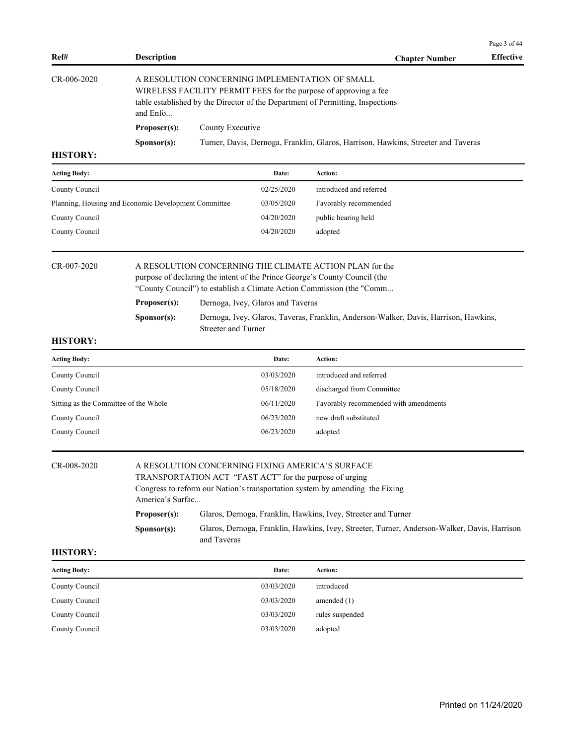| Ref#          | <b>Description</b>   |                                                                                                                                                                                                       | <b>Chapter Number</b> | <b>Effective</b> |
|---------------|----------------------|-------------------------------------------------------------------------------------------------------------------------------------------------------------------------------------------------------|-----------------------|------------------|
| $CR-006-2020$ | and Enfo             | A RESOLUTION CONCERNING IMPLEMENTATION OF SMALL<br>WIRELESS FACILITY PERMIT FEES for the purpose of approving a fee<br>table established by the Director of the Department of Permitting, Inspections |                       |                  |
|               | Proposer(s):         | County Executive                                                                                                                                                                                      |                       |                  |
| шетлру.       | S <b>p</b> onsor(s): | Turner, Davis, Dernoga, Franklin, Glaros, Harrison, Hawkins, Streeter and Taveras                                                                                                                     |                       |                  |

| <b>Acting Body:</b>                                  | Date:      | Action:                 |
|------------------------------------------------------|------------|-------------------------|
| County Council                                       | 02/25/2020 | introduced and referred |
| Planning, Housing and Economic Development Committee | 03/05/2020 | Favorably recommended   |
| County Council                                       | 04/20/2020 | public hearing held     |
| County Council                                       | 04/20/2020 | adopted                 |

| CR-007-2020 |                      | A RESOLUTION CONCERNING THE CLIMATE ACTION PLAN for the                              |  |  |
|-------------|----------------------|--------------------------------------------------------------------------------------|--|--|
|             |                      | purpose of declaring the intent of the Prince George's County Council (the           |  |  |
|             |                      | "County Council") to establish a Climate Action Commission (the "Comm                |  |  |
|             | Proposer(s):         | Dernoga, Ivey, Glaros and Taveras                                                    |  |  |
|             | S <b>p</b> onsor(s): | Dernoga, Ivey, Glaros, Taveras, Franklin, Anderson-Walker, Davis, Harrison, Hawkins, |  |  |
|             |                      | Streeter and Turner                                                                  |  |  |

#### **HISTORY:**

| <b>Acting Body:</b>                   | Date:      | Action:                               |
|---------------------------------------|------------|---------------------------------------|
| County Council                        | 03/03/2020 | introduced and referred               |
| County Council                        | 05/18/2020 | discharged from Committee             |
| Sitting as the Committee of the Whole | 06/11/2020 | Favorably recommended with amendments |
| County Council                        | 06/23/2020 | new draft substituted                 |
| County Council                        | 06/23/2020 | adopted                               |

| CR-008-2020 | A RESOLUTION CONCERNING FIXING AMERICA'S SURFACE        |                                                                                                             |  |
|-------------|---------------------------------------------------------|-------------------------------------------------------------------------------------------------------------|--|
|             | TRANSPORTATION ACT "FAST ACT" for the purpose of urging |                                                                                                             |  |
|             |                                                         | Congress to reform our Nation's transportation system by amending the Fixing                                |  |
|             | America's Surfac                                        |                                                                                                             |  |
|             | Proposer(s):                                            | Glaros, Dernoga, Franklin, Hawkins, Ivey, Streeter and Turner                                               |  |
|             | S <b>p</b> onsor(s):                                    | Glaros, Dernoga, Franklin, Hawkins, Ivey, Streeter, Turner, Anderson-Walker, Davis, Harrison<br>and Taveras |  |

#### **HISTORY:**

| <b>Acting Body:</b> | Date:      | Action:         |
|---------------------|------------|-----------------|
| County Council      | 03/03/2020 | introduced      |
| County Council      | 03/03/2020 | amended $(1)$   |
| County Council      | 03/03/2020 | rules suspended |
| County Council      | 03/03/2020 | adopted         |

Page 3 of 44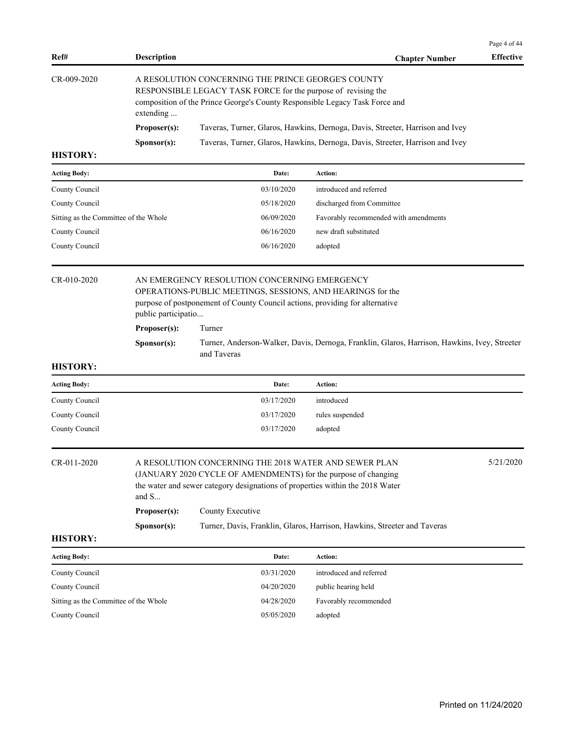| Ref#            | <b>Description</b>   |                                                                                                                                                                                                    | <b>Chapter Number</b> | <b>Effective</b> |
|-----------------|----------------------|----------------------------------------------------------------------------------------------------------------------------------------------------------------------------------------------------|-----------------------|------------------|
| CR-009-2020     | extending            | A RESOLUTION CONCERNING THE PRINCE GEORGE'S COUNTY<br>RESPONSIBLE LEGACY TASK FORCE for the purpose of revising the<br>composition of the Prince George's County Responsible Legacy Task Force and |                       |                  |
|                 | Proposer(s):         | Taveras, Turner, Glaros, Hawkins, Dernoga, Davis, Streeter, Harrison and Ivey                                                                                                                      |                       |                  |
|                 | S <b>p</b> onsor(s): | Taveras, Turner, Glaros, Hawkins, Dernoga, Davis, Streeter, Harrison and Ivey                                                                                                                      |                       |                  |
| <b>HISTORY:</b> |                      |                                                                                                                                                                                                    |                       |                  |

| cting Body: |  |  |
|-------------|--|--|

| <b>Acting Body:</b>                   | Date:      | <b>Action:</b>                        |
|---------------------------------------|------------|---------------------------------------|
| County Council                        | 03/10/2020 | introduced and referred               |
| County Council                        | 05/18/2020 | discharged from Committee             |
| Sitting as the Committee of the Whole | 06/09/2020 | Favorably recommended with amendments |
| County Council                        | 06/16/2020 | new draft substituted                 |
| County Council                        | 06/16/2020 | adopted                               |
|                                       |            |                                       |

#### CR-010-2020 AN EMERGENCY RESOLUTION CONCERNING EMERGENCY OPERATIONS-PUBLIC MEETINGS, SESSIONS, AND HEARINGS for the

purpose of postponement of County Council actions, providing for alternative public participatio...

**Proposer(s):** Turner

**Sponsor(s):** Turner, Anderson-Walker, Davis, Dernoga, Franklin, Glaros, Harrison, Hawkins, Ivey, Streeter and Taveras

### **HISTORY:**

| <b>Acting Body:</b> | Date:      | Action:         |
|---------------------|------------|-----------------|
| County Council      | 03/17/2020 | introduced      |
| County Council      | 03/17/2020 | rules suspended |
|                     | 03/17/2020 | adopted         |
| County Council      |            |                 |

| CR-011-2020 | and $S$              | A RESOLUTION CONCERNING THE 2018 WATER AND SEWER PLAN<br>(JANUARY 2020 CYCLE OF AMENDMENTS) for the purpose of changing<br>the water and sewer category designations of properties within the 2018 Water |  |  |  |
|-------------|----------------------|----------------------------------------------------------------------------------------------------------------------------------------------------------------------------------------------------------|--|--|--|
|             | Proposer(s):         | County Executive                                                                                                                                                                                         |  |  |  |
|             | S <b>p</b> onsor(s): | Turner, Davis, Franklin, Glaros, Harrison, Hawkins, Streeter and Taveras                                                                                                                                 |  |  |  |

**HISTORY:**

| <b>Acting Body:</b>                   | Date:      | <b>Action:</b>          |
|---------------------------------------|------------|-------------------------|
| County Council                        | 03/31/2020 | introduced and referred |
| County Council                        | 04/20/2020 | public hearing held     |
| Sitting as the Committee of the Whole | 04/28/2020 | Favorably recommended   |
| County Council                        | 05/05/2020 | adopted                 |

Page 4 of 44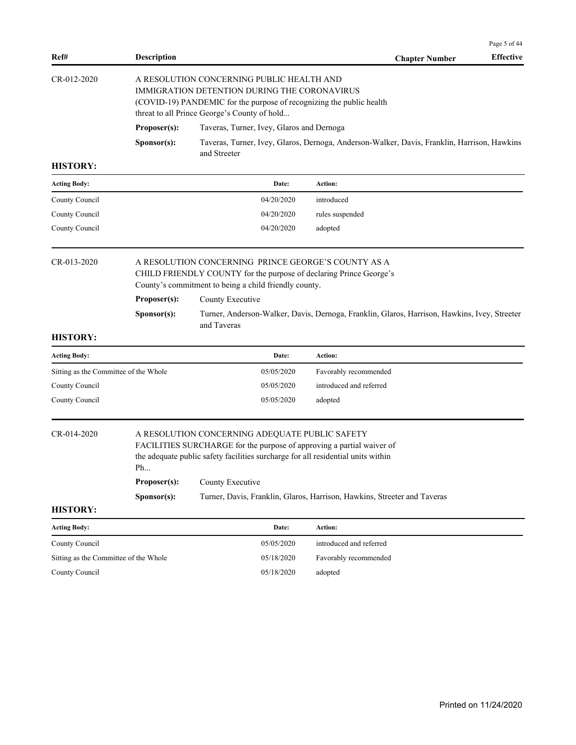|                                       |                                                                                                                                                                                                                                                                                                                                   |                                                                                                                                                                                                                       |                                                                                              | Page 5 of 44     |  |  |
|---------------------------------------|-----------------------------------------------------------------------------------------------------------------------------------------------------------------------------------------------------------------------------------------------------------------------------------------------------------------------------------|-----------------------------------------------------------------------------------------------------------------------------------------------------------------------------------------------------------------------|----------------------------------------------------------------------------------------------|------------------|--|--|
| Ref#                                  | <b>Description</b>                                                                                                                                                                                                                                                                                                                |                                                                                                                                                                                                                       | <b>Chapter Number</b>                                                                        | <b>Effective</b> |  |  |
| CR-012-2020                           | A RESOLUTION CONCERNING PUBLIC HEALTH AND<br>IMMIGRATION DETENTION DURING THE CORONAVIRUS<br>(COVID-19) PANDEMIC for the purpose of recognizing the public health<br>threat to all Prince George's County of hold                                                                                                                 |                                                                                                                                                                                                                       |                                                                                              |                  |  |  |
|                                       | Proposer(s):                                                                                                                                                                                                                                                                                                                      | Taveras, Turner, Ivey, Glaros and Dernoga                                                                                                                                                                             |                                                                                              |                  |  |  |
|                                       | Sponsor(s):                                                                                                                                                                                                                                                                                                                       | and Streeter                                                                                                                                                                                                          | Taveras, Turner, Ivey, Glaros, Dernoga, Anderson-Walker, Davis, Franklin, Harrison, Hawkins  |                  |  |  |
| <b>HISTORY:</b>                       |                                                                                                                                                                                                                                                                                                                                   |                                                                                                                                                                                                                       |                                                                                              |                  |  |  |
| <b>Acting Body:</b>                   |                                                                                                                                                                                                                                                                                                                                   | Date:                                                                                                                                                                                                                 | Action:                                                                                      |                  |  |  |
| County Council                        |                                                                                                                                                                                                                                                                                                                                   | 04/20/2020                                                                                                                                                                                                            | introduced                                                                                   |                  |  |  |
| County Council                        |                                                                                                                                                                                                                                                                                                                                   | 04/20/2020                                                                                                                                                                                                            | rules suspended                                                                              |                  |  |  |
| County Council                        |                                                                                                                                                                                                                                                                                                                                   | 04/20/2020                                                                                                                                                                                                            | adopted                                                                                      |                  |  |  |
| CR-013-2020<br><b>HISTORY:</b>        | Proposer(s):<br>Sponsor(s):                                                                                                                                                                                                                                                                                                       | A RESOLUTION CONCERNING PRINCE GEORGE'S COUNTY AS A<br>CHILD FRIENDLY COUNTY for the purpose of declaring Prince George's<br>County's commitment to being a child friendly county.<br>County Executive<br>and Taveras | Turner, Anderson-Walker, Davis, Dernoga, Franklin, Glaros, Harrison, Hawkins, Ivey, Streeter |                  |  |  |
| <b>Acting Body:</b>                   |                                                                                                                                                                                                                                                                                                                                   | Date:                                                                                                                                                                                                                 | Action:                                                                                      |                  |  |  |
| Sitting as the Committee of the Whole |                                                                                                                                                                                                                                                                                                                                   | 05/05/2020                                                                                                                                                                                                            | Favorably recommended                                                                        |                  |  |  |
| County Council                        |                                                                                                                                                                                                                                                                                                                                   | 05/05/2020                                                                                                                                                                                                            | introduced and referred                                                                      |                  |  |  |
| County Council                        |                                                                                                                                                                                                                                                                                                                                   | 05/05/2020                                                                                                                                                                                                            | adopted                                                                                      |                  |  |  |
| CR-014-2020                           | A RESOLUTION CONCERNING ADEQUATE PUBLIC SAFETY<br>FACILITIES SURCHARGE for the purpose of approving a partial waiver of<br>the adequate public safety facilities surcharge for all residential units within<br>Ph<br>Proposer(s):<br>County Executive<br>Turner, Davis, Franklin, Glaros, Harrison, Hawkins, Streeter and Taveras |                                                                                                                                                                                                                       |                                                                                              |                  |  |  |
| <b>HISTORY:</b>                       | Sponsor(s):                                                                                                                                                                                                                                                                                                                       |                                                                                                                                                                                                                       |                                                                                              |                  |  |  |
| <b>Acting Body:</b>                   |                                                                                                                                                                                                                                                                                                                                   | Date:                                                                                                                                                                                                                 | Action:                                                                                      |                  |  |  |
| County Council                        |                                                                                                                                                                                                                                                                                                                                   | 05/05/2020                                                                                                                                                                                                            | introduced and referred                                                                      |                  |  |  |
| Sitting as the Committee of the Whole |                                                                                                                                                                                                                                                                                                                                   | 05/18/2020                                                                                                                                                                                                            | Favorably recommended                                                                        |                  |  |  |
| County Council                        |                                                                                                                                                                                                                                                                                                                                   | 05/18/2020                                                                                                                                                                                                            | adopted                                                                                      |                  |  |  |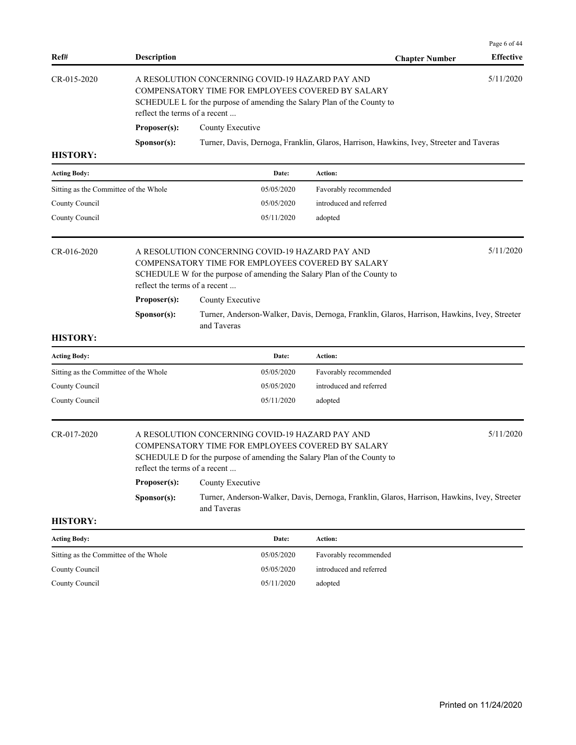| Ref#                                  | <b>Description</b>                            |                                                                                                                                                                                                                               | <b>Chapter Number</b>                                                                        | Page 6 of 44<br><b>Effective</b> |  |  |  |
|---------------------------------------|-----------------------------------------------|-------------------------------------------------------------------------------------------------------------------------------------------------------------------------------------------------------------------------------|----------------------------------------------------------------------------------------------|----------------------------------|--|--|--|
| CR-015-2020                           |                                               | 5/11/2020<br>A RESOLUTION CONCERNING COVID-19 HAZARD PAY AND<br>COMPENSATORY TIME FOR EMPLOYEES COVERED BY SALARY<br>SCHEDULE L for the purpose of amending the Salary Plan of the County to<br>reflect the terms of a recent |                                                                                              |                                  |  |  |  |
|                                       | Proposer(s):                                  | County Executive                                                                                                                                                                                                              |                                                                                              |                                  |  |  |  |
|                                       | Sponsor(s):                                   |                                                                                                                                                                                                                               | Turner, Davis, Dernoga, Franklin, Glaros, Harrison, Hawkins, Ivey, Streeter and Taveras      |                                  |  |  |  |
| <b>HISTORY:</b>                       |                                               |                                                                                                                                                                                                                               |                                                                                              |                                  |  |  |  |
| <b>Acting Body:</b>                   |                                               | Date:                                                                                                                                                                                                                         | Action:                                                                                      |                                  |  |  |  |
| Sitting as the Committee of the Whole |                                               | 05/05/2020                                                                                                                                                                                                                    | Favorably recommended                                                                        |                                  |  |  |  |
| County Council                        |                                               | 05/05/2020                                                                                                                                                                                                                    | introduced and referred                                                                      |                                  |  |  |  |
| County Council                        |                                               | 05/11/2020                                                                                                                                                                                                                    | adopted                                                                                      |                                  |  |  |  |
| CR-016-2020                           | reflect the terms of a recent                 | A RESOLUTION CONCERNING COVID-19 HAZARD PAY AND<br>COMPENSATORY TIME FOR EMPLOYEES COVERED BY SALARY<br>SCHEDULE W for the purpose of amending the Salary Plan of the County to                                               |                                                                                              | 5/11/2020                        |  |  |  |
|                                       | Proposer(s):                                  | County Executive                                                                                                                                                                                                              |                                                                                              |                                  |  |  |  |
|                                       | Sponsor(s):                                   | and Taveras                                                                                                                                                                                                                   | Turner, Anderson-Walker, Davis, Dernoga, Franklin, Glaros, Harrison, Hawkins, Ivey, Streeter |                                  |  |  |  |
| <b>HISTORY:</b>                       |                                               |                                                                                                                                                                                                                               |                                                                                              |                                  |  |  |  |
| <b>Acting Body:</b>                   |                                               | Date:                                                                                                                                                                                                                         | Action:                                                                                      |                                  |  |  |  |
| Sitting as the Committee of the Whole |                                               | 05/05/2020                                                                                                                                                                                                                    | Favorably recommended                                                                        |                                  |  |  |  |
| County Council                        |                                               | 05/05/2020                                                                                                                                                                                                                    | introduced and referred                                                                      |                                  |  |  |  |
| County Council                        |                                               | 05/11/2020                                                                                                                                                                                                                    | adopted                                                                                      |                                  |  |  |  |
| CR-017-2020                           | reflect the terms of a recent<br>Proposer(s): | A RESOLUTION CONCERNING COVID-19 HAZARD PAY AND<br>COMPENSATORY TIME FOR EMPLOYEES COVERED BY SALARY<br>SCHEDULE D for the purpose of amending the Salary Plan of the County to<br>County Executive                           |                                                                                              | 5/11/2020                        |  |  |  |
|                                       | Sponsor(s):                                   |                                                                                                                                                                                                                               | Turner, Anderson-Walker, Davis, Dernoga, Franklin, Glaros, Harrison, Hawkins, Ivey, Streeter |                                  |  |  |  |
| <b>HISTORY:</b>                       |                                               | and Taveras                                                                                                                                                                                                                   |                                                                                              |                                  |  |  |  |
| <b>Acting Body:</b>                   |                                               | Date:                                                                                                                                                                                                                         | Action:                                                                                      |                                  |  |  |  |
| Sitting as the Committee of the Whole |                                               | 05/05/2020                                                                                                                                                                                                                    | Favorably recommended                                                                        |                                  |  |  |  |
| County Council                        |                                               | 05/05/2020                                                                                                                                                                                                                    | introduced and referred                                                                      |                                  |  |  |  |
| County Council                        |                                               | 05/11/2020                                                                                                                                                                                                                    | adopted                                                                                      |                                  |  |  |  |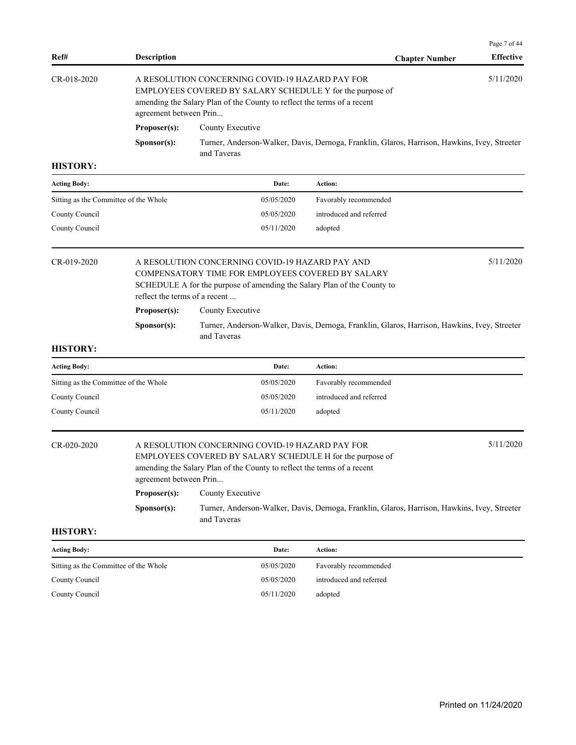| Ref#                                  | <b>Description</b>                                    |                                                                                                                                                                                                                                | <b>Chapter Number</b>                                                                        | Page 7 of 44<br><b>Effective</b> |  |  |
|---------------------------------------|-------------------------------------------------------|--------------------------------------------------------------------------------------------------------------------------------------------------------------------------------------------------------------------------------|----------------------------------------------------------------------------------------------|----------------------------------|--|--|
| CR-018-2020                           |                                                       | 5/11/2020<br>A RESOLUTION CONCERNING COVID-19 HAZARD PAY FOR<br>EMPLOYEES COVERED BY SALARY SCHEDULE Y for the purpose of<br>amending the Salary Plan of the County to reflect the terms of a recent<br>agreement between Prin |                                                                                              |                                  |  |  |
|                                       | Proposer(s):                                          | County Executive                                                                                                                                                                                                               |                                                                                              |                                  |  |  |
|                                       | Sponsor(s):                                           | and Taveras                                                                                                                                                                                                                    | Turner, Anderson-Walker, Davis, Dernoga, Franklin, Glaros, Harrison, Hawkins, Ivey, Streeter |                                  |  |  |
| <b>HISTORY:</b>                       |                                                       |                                                                                                                                                                                                                                |                                                                                              |                                  |  |  |
| Acting Body:                          |                                                       | Date:                                                                                                                                                                                                                          | Action:                                                                                      |                                  |  |  |
| Sitting as the Committee of the Whole |                                                       | 05/05/2020                                                                                                                                                                                                                     | Favorably recommended                                                                        |                                  |  |  |
| County Council                        |                                                       | 05/05/2020                                                                                                                                                                                                                     | introduced and referred                                                                      |                                  |  |  |
| County Council                        |                                                       | 05/11/2020                                                                                                                                                                                                                     | adopted                                                                                      |                                  |  |  |
| CR-019-2020                           | reflect the terms of a recent                         | A RESOLUTION CONCERNING COVID-19 HAZARD PAY AND<br>COMPENSATORY TIME FOR EMPLOYEES COVERED BY SALARY<br>SCHEDULE A for the purpose of amending the Salary Plan of the County to                                                |                                                                                              | 5/11/2020                        |  |  |
|                                       | Proposer(s):                                          | County Executive                                                                                                                                                                                                               |                                                                                              |                                  |  |  |
|                                       | Sponsor(s):                                           | and Taveras                                                                                                                                                                                                                    | Turner, Anderson-Walker, Davis, Dernoga, Franklin, Glaros, Harrison, Hawkins, Ivey, Streeter |                                  |  |  |
| <b>HISTORY:</b>                       |                                                       |                                                                                                                                                                                                                                |                                                                                              |                                  |  |  |
| Acting Body:                          |                                                       | Date:                                                                                                                                                                                                                          | Action:                                                                                      |                                  |  |  |
| Sitting as the Committee of the Whole |                                                       | 05/05/2020                                                                                                                                                                                                                     | Favorably recommended                                                                        |                                  |  |  |
| County Council                        |                                                       | 05/05/2020                                                                                                                                                                                                                     | introduced and referred                                                                      |                                  |  |  |
| County Council                        |                                                       | 05/11/2020                                                                                                                                                                                                                     | adopted                                                                                      |                                  |  |  |
| CR-020-2020                           | agreement between Prin<br>Proposer(s):<br>Sponsor(s): | A RESOLUTION CONCERNING COVID-19 HAZARD PAY FOR<br>EMPLOYEES COVERED BY SALARY SCHEDULE H for the purpose of<br>amending the Salary Plan of the County to reflect the terms of a recent<br>County Executive                    | Turner, Anderson-Walker, Davis, Dernoga, Franklin, Glaros, Harrison, Hawkins, Ivey, Streeter | 5/11/2020                        |  |  |
| <b>HISTORY:</b>                       |                                                       | and Taveras                                                                                                                                                                                                                    |                                                                                              |                                  |  |  |
|                                       |                                                       |                                                                                                                                                                                                                                |                                                                                              |                                  |  |  |
| <b>Acting Body:</b>                   |                                                       | Date:                                                                                                                                                                                                                          | Action:                                                                                      |                                  |  |  |
| Sitting as the Committee of the Whole |                                                       | 05/05/2020                                                                                                                                                                                                                     | Favorably recommended                                                                        |                                  |  |  |
| County Council                        |                                                       | 05/05/2020                                                                                                                                                                                                                     | introduced and referred                                                                      |                                  |  |  |
| County Council                        |                                                       | 05/11/2020                                                                                                                                                                                                                     | adopted                                                                                      |                                  |  |  |
|                                       |                                                       |                                                                                                                                                                                                                                |                                                                                              |                                  |  |  |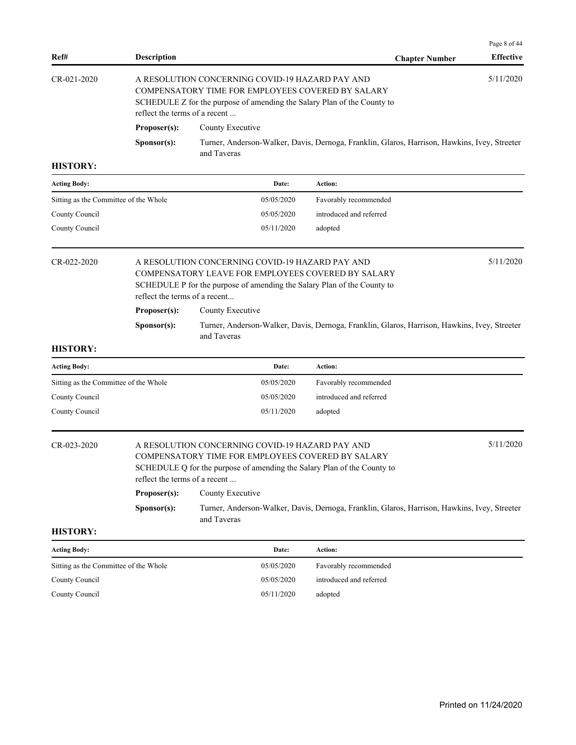| Ref#                                  | <b>Description</b>            |                                                                                                                                                                                                                               | <b>Chapter Number</b>                                                                        | Page 8 of 44<br><b>Effective</b> |  |  |  |
|---------------------------------------|-------------------------------|-------------------------------------------------------------------------------------------------------------------------------------------------------------------------------------------------------------------------------|----------------------------------------------------------------------------------------------|----------------------------------|--|--|--|
| CR-021-2020                           |                               | 5/11/2020<br>A RESOLUTION CONCERNING COVID-19 HAZARD PAY AND<br>COMPENSATORY TIME FOR EMPLOYEES COVERED BY SALARY<br>SCHEDULE Z for the purpose of amending the Salary Plan of the County to<br>reflect the terms of a recent |                                                                                              |                                  |  |  |  |
|                                       | Proposer(s):                  | County Executive                                                                                                                                                                                                              |                                                                                              |                                  |  |  |  |
|                                       | Sponsor(s):                   | and Taveras                                                                                                                                                                                                                   | Turner, Anderson-Walker, Davis, Dernoga, Franklin, Glaros, Harrison, Hawkins, Ivey, Streeter |                                  |  |  |  |
| <b>HISTORY:</b>                       |                               |                                                                                                                                                                                                                               |                                                                                              |                                  |  |  |  |
| <b>Acting Body:</b>                   |                               | Date:                                                                                                                                                                                                                         | Action:                                                                                      |                                  |  |  |  |
| Sitting as the Committee of the Whole |                               | 05/05/2020                                                                                                                                                                                                                    | Favorably recommended                                                                        |                                  |  |  |  |
| County Council                        |                               | 05/05/2020                                                                                                                                                                                                                    | introduced and referred                                                                      |                                  |  |  |  |
| County Council                        |                               | 05/11/2020                                                                                                                                                                                                                    | adopted                                                                                      |                                  |  |  |  |
| CR-022-2020                           | reflect the terms of a recent | A RESOLUTION CONCERNING COVID-19 HAZARD PAY AND<br>COMPENSATORY LEAVE FOR EMPLOYEES COVERED BY SALARY<br>SCHEDULE P for the purpose of amending the Salary Plan of the County to                                              |                                                                                              | 5/11/2020                        |  |  |  |
|                                       | Proposer(s):                  | County Executive                                                                                                                                                                                                              |                                                                                              |                                  |  |  |  |
|                                       | Sponsor(s):                   | and Taveras                                                                                                                                                                                                                   | Turner, Anderson-Walker, Davis, Dernoga, Franklin, Glaros, Harrison, Hawkins, Ivey, Streeter |                                  |  |  |  |
| <b>HISTORY:</b>                       |                               |                                                                                                                                                                                                                               |                                                                                              |                                  |  |  |  |
|                                       |                               |                                                                                                                                                                                                                               |                                                                                              |                                  |  |  |  |
| <b>Acting Body:</b>                   |                               | Date:                                                                                                                                                                                                                         | Action:                                                                                      |                                  |  |  |  |
| Sitting as the Committee of the Whole |                               | 05/05/2020                                                                                                                                                                                                                    | Favorably recommended                                                                        |                                  |  |  |  |
| County Council                        |                               | 05/05/2020                                                                                                                                                                                                                    | introduced and referred                                                                      |                                  |  |  |  |
| County Council                        |                               | 05/11/2020                                                                                                                                                                                                                    | adopted                                                                                      |                                  |  |  |  |
| CR-023-2020                           | reflect the terms of a recent | A RESOLUTION CONCERNING COVID-19 HAZARD PAY AND<br>COMPENSATORY TIME FOR EMPLOYEES COVERED BY SALARY<br>SCHEDULE Q for the purpose of amending the Salary Plan of the County to                                               |                                                                                              | 5/11/2020                        |  |  |  |
|                                       | Proposer(s):                  | County Executive                                                                                                                                                                                                              |                                                                                              |                                  |  |  |  |
|                                       | Sponsor(s):                   | and Taveras                                                                                                                                                                                                                   | Turner, Anderson-Walker, Davis, Dernoga, Franklin, Glaros, Harrison, Hawkins, Ivey, Streeter |                                  |  |  |  |
| <b>HISTORY:</b>                       |                               |                                                                                                                                                                                                                               |                                                                                              |                                  |  |  |  |
| <b>Acting Body:</b>                   |                               | Date:                                                                                                                                                                                                                         | Action:                                                                                      |                                  |  |  |  |
| Sitting as the Committee of the Whole |                               | 05/05/2020                                                                                                                                                                                                                    | Favorably recommended                                                                        |                                  |  |  |  |
| County Council                        |                               | 05/05/2020                                                                                                                                                                                                                    | introduced and referred                                                                      |                                  |  |  |  |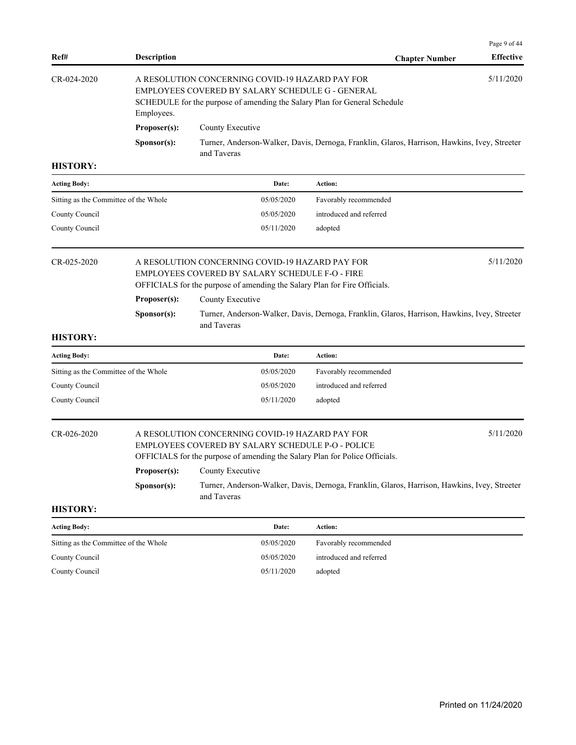|                                       |                                                                                                                                                                                                             |                                                                                                                                                                                              |                                                                                              | Page 9 of 44     |  |  |
|---------------------------------------|-------------------------------------------------------------------------------------------------------------------------------------------------------------------------------------------------------------|----------------------------------------------------------------------------------------------------------------------------------------------------------------------------------------------|----------------------------------------------------------------------------------------------|------------------|--|--|
| Ref#                                  | <b>Description</b>                                                                                                                                                                                          |                                                                                                                                                                                              | <b>Chapter Number</b>                                                                        | <b>Effective</b> |  |  |
| CR-024-2020                           | 5/11/2020<br>A RESOLUTION CONCERNING COVID-19 HAZARD PAY FOR<br>EMPLOYEES COVERED BY SALARY SCHEDULE G - GENERAL<br>SCHEDULE for the purpose of amending the Salary Plan for General Schedule<br>Employees. |                                                                                                                                                                                              |                                                                                              |                  |  |  |
|                                       | Proposer(s):                                                                                                                                                                                                | County Executive                                                                                                                                                                             |                                                                                              |                  |  |  |
|                                       | Sponsor(s):                                                                                                                                                                                                 | and Taveras                                                                                                                                                                                  | Turner, Anderson-Walker, Davis, Dernoga, Franklin, Glaros, Harrison, Hawkins, Ivey, Streeter |                  |  |  |
| <b>HISTORY:</b>                       |                                                                                                                                                                                                             |                                                                                                                                                                                              |                                                                                              |                  |  |  |
| <b>Acting Body:</b>                   |                                                                                                                                                                                                             | Date:                                                                                                                                                                                        | Action:                                                                                      |                  |  |  |
| Sitting as the Committee of the Whole |                                                                                                                                                                                                             | 05/05/2020                                                                                                                                                                                   | Favorably recommended                                                                        |                  |  |  |
| County Council                        |                                                                                                                                                                                                             | 05/05/2020                                                                                                                                                                                   | introduced and referred                                                                      |                  |  |  |
| County Council                        |                                                                                                                                                                                                             | 05/11/2020                                                                                                                                                                                   | adopted                                                                                      |                  |  |  |
| CR-025-2020                           |                                                                                                                                                                                                             | 5/11/2020<br>A RESOLUTION CONCERNING COVID-19 HAZARD PAY FOR<br>EMPLOYEES COVERED BY SALARY SCHEDULE F-O - FIRE<br>OFFICIALS for the purpose of amending the Salary Plan for Fire Officials. |                                                                                              |                  |  |  |
|                                       | Proposer(s):<br>County Executive                                                                                                                                                                            |                                                                                                                                                                                              |                                                                                              |                  |  |  |
|                                       | Sponsor(s):                                                                                                                                                                                                 | and Taveras                                                                                                                                                                                  | Turner, Anderson-Walker, Davis, Dernoga, Franklin, Glaros, Harrison, Hawkins, Ivey, Streeter |                  |  |  |
| <b>HISTORY:</b>                       |                                                                                                                                                                                                             |                                                                                                                                                                                              |                                                                                              |                  |  |  |
| <b>Acting Body:</b>                   |                                                                                                                                                                                                             | Date:                                                                                                                                                                                        | Action:                                                                                      |                  |  |  |
| Sitting as the Committee of the Whole |                                                                                                                                                                                                             | 05/05/2020                                                                                                                                                                                   | Favorably recommended                                                                        |                  |  |  |
| County Council                        |                                                                                                                                                                                                             | 05/05/2020                                                                                                                                                                                   | introduced and referred                                                                      |                  |  |  |
| County Council                        |                                                                                                                                                                                                             | 05/11/2020                                                                                                                                                                                   | adopted                                                                                      |                  |  |  |
| CR-026-2020                           |                                                                                                                                                                                                             | A RESOLUTION CONCERNING COVID-19 HAZARD PAY FOR<br>EMPLOYEES COVERED BY SALARY SCHEDULE P-O - POLICE<br>OFFICIALS for the purpose of amending the Salary Plan for Police Officials.          |                                                                                              | 5/11/2020        |  |  |
|                                       | Proposer(s):<br>County Executive                                                                                                                                                                            |                                                                                                                                                                                              |                                                                                              |                  |  |  |
|                                       | Turner, Anderson-Walker, Davis, Dernoga, Franklin, Glaros, Harrison, Hawkins, Ivey, Streeter<br>Sponsor(s):<br>and Taveras                                                                                  |                                                                                                                                                                                              |                                                                                              |                  |  |  |
| <b>HISTORY:</b>                       |                                                                                                                                                                                                             |                                                                                                                                                                                              |                                                                                              |                  |  |  |
| <b>Acting Body:</b>                   |                                                                                                                                                                                                             | Date:                                                                                                                                                                                        | Action:                                                                                      |                  |  |  |
| Sitting as the Committee of the Whole |                                                                                                                                                                                                             | 05/05/2020                                                                                                                                                                                   | Favorably recommended                                                                        |                  |  |  |
| County Council                        |                                                                                                                                                                                                             | 05/05/2020                                                                                                                                                                                   | introduced and referred                                                                      |                  |  |  |
| County Council                        |                                                                                                                                                                                                             | 05/11/2020                                                                                                                                                                                   | adopted                                                                                      |                  |  |  |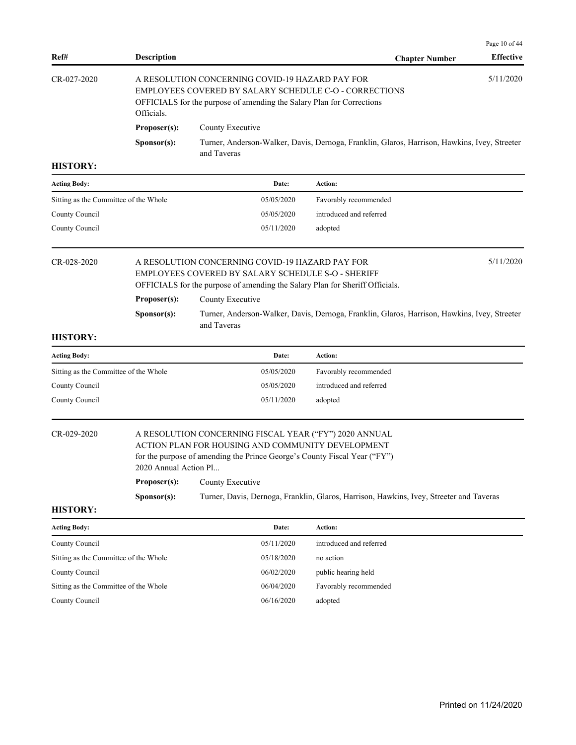| Ref#                                  | <b>Description</b>    |                                                                                                                                                                                          | <b>Chapter Number</b>                                                                        | <b>Effective</b> |
|---------------------------------------|-----------------------|------------------------------------------------------------------------------------------------------------------------------------------------------------------------------------------|----------------------------------------------------------------------------------------------|------------------|
| CR-027-2020                           | Officials.            | A RESOLUTION CONCERNING COVID-19 HAZARD PAY FOR<br>EMPLOYEES COVERED BY SALARY SCHEDULE C-O - CORRECTIONS<br>OFFICIALS for the purpose of amending the Salary Plan for Corrections       |                                                                                              | 5/11/2020        |
|                                       | Proposer(s):          | County Executive                                                                                                                                                                         |                                                                                              |                  |
|                                       | Sponsor(s):           | and Taveras                                                                                                                                                                              | Turner, Anderson-Walker, Davis, Dernoga, Franklin, Glaros, Harrison, Hawkins, Ivey, Streeter |                  |
| <b>HISTORY:</b>                       |                       |                                                                                                                                                                                          |                                                                                              |                  |
| <b>Acting Body:</b>                   |                       | Date:                                                                                                                                                                                    | Action:                                                                                      |                  |
| Sitting as the Committee of the Whole |                       | 05/05/2020                                                                                                                                                                               | Favorably recommended                                                                        |                  |
| County Council                        |                       | 05/05/2020                                                                                                                                                                               | introduced and referred                                                                      |                  |
| County Council                        |                       | 05/11/2020                                                                                                                                                                               | adopted                                                                                      |                  |
| CR-028-2020                           |                       | A RESOLUTION CONCERNING COVID-19 HAZARD PAY FOR<br>EMPLOYEES COVERED BY SALARY SCHEDULE S-O - SHERIFF<br>OFFICIALS for the purpose of amending the Salary Plan for Sheriff Officials.    |                                                                                              | 5/11/2020        |
|                                       |                       |                                                                                                                                                                                          |                                                                                              |                  |
|                                       | Proposer(s):          | County Executive                                                                                                                                                                         |                                                                                              |                  |
|                                       | Sponsor(s):           | and Taveras                                                                                                                                                                              | Turner, Anderson-Walker, Davis, Dernoga, Franklin, Glaros, Harrison, Hawkins, Ivey, Streeter |                  |
| <b>HISTORY:</b>                       |                       |                                                                                                                                                                                          |                                                                                              |                  |
| <b>Acting Body:</b>                   |                       | Date:                                                                                                                                                                                    | Action:                                                                                      |                  |
| Sitting as the Committee of the Whole |                       | 05/05/2020                                                                                                                                                                               | Favorably recommended                                                                        |                  |
| County Council                        |                       | 05/05/2020                                                                                                                                                                               | introduced and referred                                                                      |                  |
| County Council                        |                       | 05/11/2020                                                                                                                                                                               | adopted                                                                                      |                  |
| CR-029-2020                           | 2020 Annual Action Pl | A RESOLUTION CONCERNING FISCAL YEAR ("FY") 2020 ANNUAL<br>ACTION PLAN FOR HOUSING AND COMMUNITY DEVELOPMENT<br>for the purpose of amending the Prince George's County Fiscal Year ("FY") |                                                                                              |                  |
|                                       | Proposer(s):          | County Executive                                                                                                                                                                         |                                                                                              |                  |
|                                       | S <b>p</b> onsor(s):  |                                                                                                                                                                                          | Turner, Davis, Dernoga, Franklin, Glaros, Harrison, Hawkins, Ivey, Streeter and Taveras      |                  |
| <b>HISTORY:</b>                       |                       |                                                                                                                                                                                          |                                                                                              |                  |
| <b>Acting Body:</b>                   |                       | Date:                                                                                                                                                                                    | Action:                                                                                      |                  |
| County Council                        |                       | 05/11/2020                                                                                                                                                                               | introduced and referred                                                                      |                  |
| Sitting as the Committee of the Whole |                       | 05/18/2020                                                                                                                                                                               | no action                                                                                    |                  |
| County Council                        |                       | 06/02/2020                                                                                                                                                                               | public hearing held                                                                          |                  |
| Sitting as the Committee of the Whole |                       | 06/04/2020                                                                                                                                                                               | Favorably recommended                                                                        |                  |

Page 10 of 44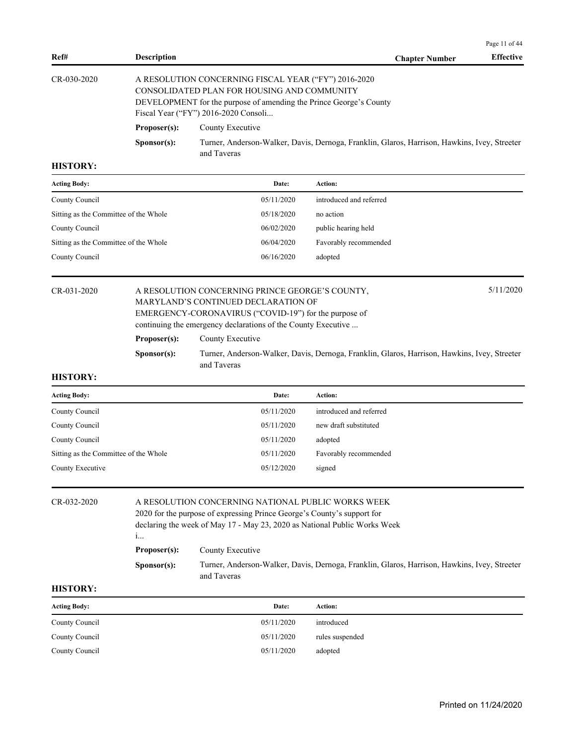| Ref#        | <b>Description</b>   |                                                                                                                                                                                                                   | <b>Chapter Number</b> | <b>Effective</b> |
|-------------|----------------------|-------------------------------------------------------------------------------------------------------------------------------------------------------------------------------------------------------------------|-----------------------|------------------|
| CR-030-2020 |                      | A RESOLUTION CONCERNING FISCAL YEAR ("FY") 2016-2020<br>CONSOLIDATED PLAN FOR HOUSING AND COMMUNITY<br>DEVELOPMENT for the purpose of amending the Prince George's County<br>Fiscal Year ("FY") 2016-2020 Consoli |                       |                  |
|             | Proposer(s):         | County Executive                                                                                                                                                                                                  |                       |                  |
|             | S <b>p</b> onsor(s): | Turner, Anderson-Walker, Davis, Dernoga, Franklin, Glaros, Harrison, Hawkins, Ivey, Streeter<br>and Taveras                                                                                                       |                       |                  |

| Date:      | Action:                  |
|------------|--------------------------|
| 05/11/2020 | introduced and referred  |
|            | no action                |
|            | public hearing held      |
| 06/04/2020 | Favorably recommended    |
| 06/16/2020 | adopted                  |
|            | 05/18/2020<br>06/02/2020 |

## CR-031-2020 A RESOLUTION CONCERNING PRINCE GEORGE'S COUNTY, 5/11/2020 MARYLAND'S CONTINUED DECLARATION OF EMERGENCY-CORONAVIRUS ("COVID-19") for the purpose of continuing the emergency declarations of the County Executive ...

**Proposer(s):** County Executive

**Sponsor(s):** Turner, Anderson-Walker, Davis, Dernoga, Franklin, Glaros, Harrison, Hawkins, Ivey, Streeter and Taveras

#### **HISTORY:**

| <b>Acting Body:</b>                   | Date:      | Action:                 |
|---------------------------------------|------------|-------------------------|
| County Council                        | 05/11/2020 | introduced and referred |
| County Council                        | 05/11/2020 | new draft substituted   |
| County Council                        | 05/11/2020 | adopted                 |
| Sitting as the Committee of the Whole | 05/11/2020 | Favorably recommended   |
| County Executive                      | 05/12/2020 | signed                  |

## CR-032-2020 A RESOLUTION CONCERNING NATIONAL PUBLIC WORKS WEEK

2020 for the purpose of expressing Prince George's County's support for declaring the week of May 17 - May 23, 2020 as National Public Works Week i... **Proposer(s):** County Executive **Sponsor(s):** Turner, Anderson-Walker, Davis, Dernoga, Franklin, Glaros, Harrison, Hawkins, Ivey, Streeter

and Taveras

#### **HISTORY:**

| <b>Acting Body:</b> | Date:      | Action:         |
|---------------------|------------|-----------------|
| County Council      | 05/11/2020 | introduced      |
| County Council      | 05/11/2020 | rules suspended |
| County Council      | 05/11/2020 | adopted         |

Page 11 of 44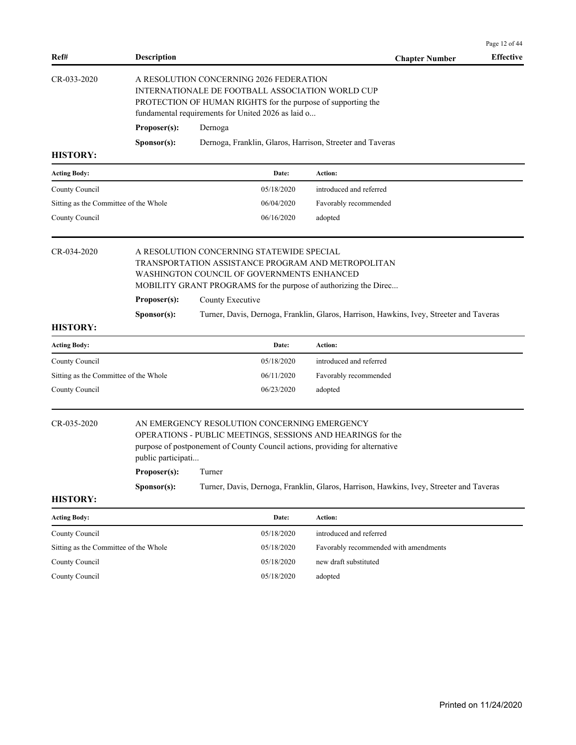| Ref#                                                                                                                                                                                                                             | <b>Description</b>      |                                                                                                                                                                                                                   | <b>Chapter Number</b>                                                                   | <b>Effective</b> |  |
|----------------------------------------------------------------------------------------------------------------------------------------------------------------------------------------------------------------------------------|-------------------------|-------------------------------------------------------------------------------------------------------------------------------------------------------------------------------------------------------------------|-----------------------------------------------------------------------------------------|------------------|--|
| CR-033-2020                                                                                                                                                                                                                      |                         | A RESOLUTION CONCERNING 2026 FEDERATION<br>INTERNATIONALE DE FOOTBALL ASSOCIATION WORLD CUP<br>PROTECTION OF HUMAN RIGHTS for the purpose of supporting the<br>fundamental requirements for United 2026 as laid o |                                                                                         |                  |  |
|                                                                                                                                                                                                                                  | Proposer(s):<br>Dernoga |                                                                                                                                                                                                                   |                                                                                         |                  |  |
| <b>HISTORY:</b>                                                                                                                                                                                                                  | Sponsor(s):             | Dernoga, Franklin, Glaros, Harrison, Streeter and Taveras                                                                                                                                                         |                                                                                         |                  |  |
| <b>Acting Body:</b>                                                                                                                                                                                                              |                         | Date:                                                                                                                                                                                                             | Action:                                                                                 |                  |  |
| County Council                                                                                                                                                                                                                   |                         | 05/18/2020                                                                                                                                                                                                        | introduced and referred                                                                 |                  |  |
| Sitting as the Committee of the Whole                                                                                                                                                                                            |                         | 06/04/2020                                                                                                                                                                                                        | Favorably recommended                                                                   |                  |  |
| County Council                                                                                                                                                                                                                   |                         | 06/16/2020                                                                                                                                                                                                        | adopted                                                                                 |                  |  |
| CR-034-2020                                                                                                                                                                                                                      |                         | A RESOLUTION CONCERNING STATEWIDE SPECIAL<br>TRANSPORTATION ASSISTANCE PROGRAM AND METROPOLITAN<br>WASHINGTON COUNCIL OF GOVERNMENTS ENHANCED<br>MOBILITY GRANT PROGRAMS for the purpose of authorizing the Direc |                                                                                         |                  |  |
|                                                                                                                                                                                                                                  | Proposer(s):            | County Executive                                                                                                                                                                                                  |                                                                                         |                  |  |
| <b>HISTORY:</b>                                                                                                                                                                                                                  | Sponsor(s):             |                                                                                                                                                                                                                   | Turner, Davis, Dernoga, Franklin, Glaros, Harrison, Hawkins, Ivey, Streeter and Taveras |                  |  |
| <b>Acting Body:</b>                                                                                                                                                                                                              |                         | Date:                                                                                                                                                                                                             | Action:                                                                                 |                  |  |
| County Council                                                                                                                                                                                                                   |                         | 05/18/2020                                                                                                                                                                                                        | introduced and referred                                                                 |                  |  |
| Sitting as the Committee of the Whole                                                                                                                                                                                            |                         | 06/11/2020                                                                                                                                                                                                        | Favorably recommended                                                                   |                  |  |
| County Council                                                                                                                                                                                                                   |                         | 06/23/2020                                                                                                                                                                                                        | adopted                                                                                 |                  |  |
| CR-035-2020<br>AN EMERGENCY RESOLUTION CONCERNING EMERGENCY<br>OPERATIONS - PUBLIC MEETINGS, SESSIONS AND HEARINGS for the<br>purpose of postponement of County Council actions, providing for alternative<br>public participati |                         |                                                                                                                                                                                                                   |                                                                                         |                  |  |
|                                                                                                                                                                                                                                  | Proposer(s):            | Turner                                                                                                                                                                                                            |                                                                                         |                  |  |
|                                                                                                                                                                                                                                  | Sponsor(s):             |                                                                                                                                                                                                                   | Turner, Davis, Dernoga, Franklin, Glaros, Harrison, Hawkins, Ivey, Streeter and Taveras |                  |  |
| <b>HISTORY:</b>                                                                                                                                                                                                                  |                         |                                                                                                                                                                                                                   |                                                                                         |                  |  |
| <b>Acting Body:</b>                                                                                                                                                                                                              |                         | Date:                                                                                                                                                                                                             | Action:                                                                                 |                  |  |
| County Council                                                                                                                                                                                                                   |                         | 05/18/2020                                                                                                                                                                                                        | introduced and referred                                                                 |                  |  |
| Sitting as the Committee of the Whole                                                                                                                                                                                            |                         | 05/18/2020                                                                                                                                                                                                        | Favorably recommended with amendments                                                   |                  |  |
| County Council                                                                                                                                                                                                                   |                         | 05/18/2020                                                                                                                                                                                                        | new draft substituted                                                                   |                  |  |
| County Council                                                                                                                                                                                                                   |                         | 05/18/2020                                                                                                                                                                                                        | adopted                                                                                 |                  |  |
|                                                                                                                                                                                                                                  |                         |                                                                                                                                                                                                                   |                                                                                         |                  |  |
|                                                                                                                                                                                                                                  |                         |                                                                                                                                                                                                                   |                                                                                         |                  |  |
|                                                                                                                                                                                                                                  |                         |                                                                                                                                                                                                                   |                                                                                         |                  |  |
|                                                                                                                                                                                                                                  |                         |                                                                                                                                                                                                                   |                                                                                         |                  |  |
|                                                                                                                                                                                                                                  |                         |                                                                                                                                                                                                                   |                                                                                         |                  |  |
|                                                                                                                                                                                                                                  |                         |                                                                                                                                                                                                                   |                                                                                         |                  |  |

Page 12 of 44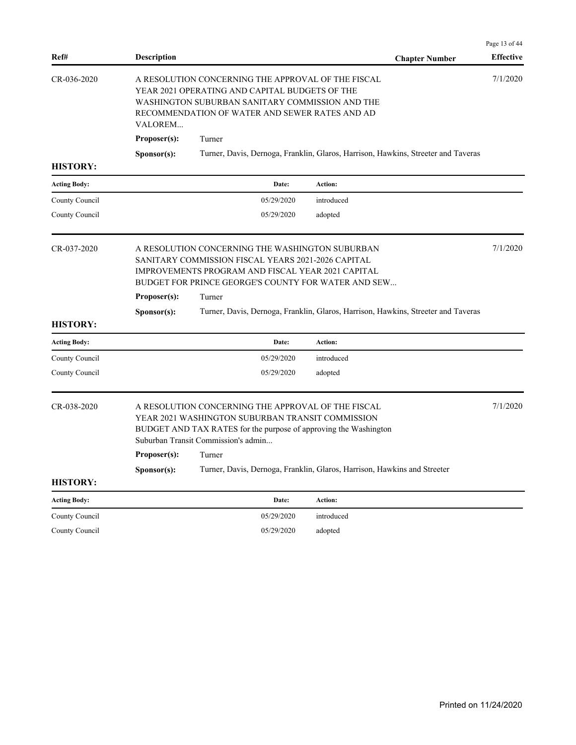|                     |                                                                                                                                                                                                                                                                                                                                                 |                                                                                                                                                                                                           |                                                                                   | Page 13 of 44    |
|---------------------|-------------------------------------------------------------------------------------------------------------------------------------------------------------------------------------------------------------------------------------------------------------------------------------------------------------------------------------------------|-----------------------------------------------------------------------------------------------------------------------------------------------------------------------------------------------------------|-----------------------------------------------------------------------------------|------------------|
| Ref#                | <b>Description</b>                                                                                                                                                                                                                                                                                                                              |                                                                                                                                                                                                           | <b>Chapter Number</b>                                                             | <b>Effective</b> |
| CR-036-2020         | <b>VALOREM</b>                                                                                                                                                                                                                                                                                                                                  | A RESOLUTION CONCERNING THE APPROVAL OF THE FISCAL<br>YEAR 2021 OPERATING AND CAPITAL BUDGETS OF THE<br>WASHINGTON SUBURBAN SANITARY COMMISSION AND THE<br>RECOMMENDATION OF WATER AND SEWER RATES AND AD |                                                                                   | 7/1/2020         |
|                     | Proposer(s):                                                                                                                                                                                                                                                                                                                                    | Turner                                                                                                                                                                                                    |                                                                                   |                  |
| <b>HISTORY:</b>     | Sponsor(s):                                                                                                                                                                                                                                                                                                                                     |                                                                                                                                                                                                           | Turner, Davis, Dernoga, Franklin, Glaros, Harrison, Hawkins, Streeter and Taveras |                  |
| <b>Acting Body:</b> |                                                                                                                                                                                                                                                                                                                                                 | Date:                                                                                                                                                                                                     | Action:                                                                           |                  |
| County Council      |                                                                                                                                                                                                                                                                                                                                                 | 05/29/2020                                                                                                                                                                                                | introduced                                                                        |                  |
| County Council      |                                                                                                                                                                                                                                                                                                                                                 | 05/29/2020                                                                                                                                                                                                | adopted                                                                           |                  |
| CR-037-2020         | A RESOLUTION CONCERNING THE WASHINGTON SUBURBAN<br>SANITARY COMMISSION FISCAL YEARS 2021-2026 CAPITAL<br>IMPROVEMENTS PROGRAM AND FISCAL YEAR 2021 CAPITAL<br>BUDGET FOR PRINCE GEORGE'S COUNTY FOR WATER AND SEW<br>Proposer(s):<br>Turner<br>Sponsor(s):<br>Turner, Davis, Dernoga, Franklin, Glaros, Harrison, Hawkins, Streeter and Taveras |                                                                                                                                                                                                           | 7/1/2020                                                                          |                  |
| <b>HISTORY:</b>     |                                                                                                                                                                                                                                                                                                                                                 |                                                                                                                                                                                                           |                                                                                   |                  |
| <b>Acting Body:</b> |                                                                                                                                                                                                                                                                                                                                                 | Date:                                                                                                                                                                                                     | Action:                                                                           |                  |
| County Council      |                                                                                                                                                                                                                                                                                                                                                 | 05/29/2020                                                                                                                                                                                                | introduced                                                                        |                  |
| County Council      |                                                                                                                                                                                                                                                                                                                                                 | 05/29/2020                                                                                                                                                                                                | adopted                                                                           |                  |
| CR-038-2020         | A RESOLUTION CONCERNING THE APPROVAL OF THE FISCAL<br>YEAR 2021 WASHINGTON SUBURBAN TRANSIT COMMISSION<br>BUDGET AND TAX RATES for the purpose of approving the Washington<br>Suburban Transit Commission's admin                                                                                                                               |                                                                                                                                                                                                           |                                                                                   | 7/1/2020         |
|                     | Proposer(s):                                                                                                                                                                                                                                                                                                                                    | Turner                                                                                                                                                                                                    |                                                                                   |                  |
|                     | Sponsor(s):                                                                                                                                                                                                                                                                                                                                     |                                                                                                                                                                                                           | Turner, Davis, Dernoga, Franklin, Glaros, Harrison, Hawkins and Streeter          |                  |
| <b>HISTORY:</b>     |                                                                                                                                                                                                                                                                                                                                                 |                                                                                                                                                                                                           |                                                                                   |                  |
| <b>Acting Body:</b> |                                                                                                                                                                                                                                                                                                                                                 | Date:                                                                                                                                                                                                     | Action:                                                                           |                  |
| County Council      |                                                                                                                                                                                                                                                                                                                                                 | 05/29/2020                                                                                                                                                                                                | introduced                                                                        |                  |
| County Council      |                                                                                                                                                                                                                                                                                                                                                 | 05/29/2020                                                                                                                                                                                                | adopted                                                                           |                  |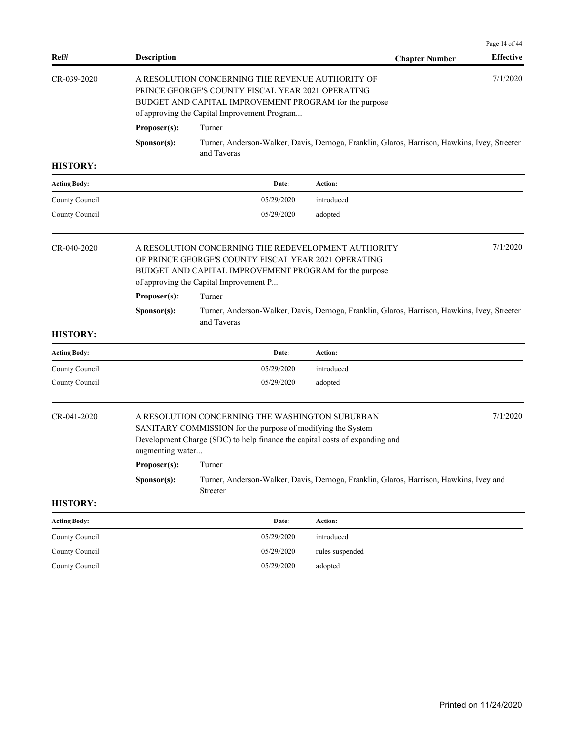|                     |                                  |                                                                                                                                                                                                                             |                                                                                              | Page 14 of 44    |  |  |
|---------------------|----------------------------------|-----------------------------------------------------------------------------------------------------------------------------------------------------------------------------------------------------------------------------|----------------------------------------------------------------------------------------------|------------------|--|--|
| Ref#                | <b>Description</b>               |                                                                                                                                                                                                                             | <b>Chapter Number</b>                                                                        | <b>Effective</b> |  |  |
| CR-039-2020         |                                  | 7/1/2020<br>A RESOLUTION CONCERNING THE REVENUE AUTHORITY OF<br>PRINCE GEORGE'S COUNTY FISCAL YEAR 2021 OPERATING<br>BUDGET AND CAPITAL IMPROVEMENT PROGRAM for the purpose<br>of approving the Capital Improvement Program |                                                                                              |                  |  |  |
|                     | Proposer(s):                     | Turner                                                                                                                                                                                                                      |                                                                                              |                  |  |  |
|                     | Sponsor(s):                      | and Taveras                                                                                                                                                                                                                 | Turner, Anderson-Walker, Davis, Dernoga, Franklin, Glaros, Harrison, Hawkins, Ivey, Streeter |                  |  |  |
| <b>HISTORY:</b>     |                                  |                                                                                                                                                                                                                             |                                                                                              |                  |  |  |
| <b>Acting Body:</b> |                                  | Date:                                                                                                                                                                                                                       | Action:                                                                                      |                  |  |  |
| County Council      |                                  | 05/29/2020                                                                                                                                                                                                                  | introduced                                                                                   |                  |  |  |
| County Council      |                                  | 05/29/2020                                                                                                                                                                                                                  | adopted                                                                                      |                  |  |  |
| CR-040-2020         | Proposer(s):                     | A RESOLUTION CONCERNING THE REDEVELOPMENT AUTHORITY<br>OF PRINCE GEORGE'S COUNTY FISCAL YEAR 2021 OPERATING<br>BUDGET AND CAPITAL IMPROVEMENT PROGRAM for the purpose<br>of approving the Capital Improvement P<br>Turner   |                                                                                              | 7/1/2020         |  |  |
|                     | Sponsor(s):                      | and Taveras                                                                                                                                                                                                                 | Turner, Anderson-Walker, Davis, Dernoga, Franklin, Glaros, Harrison, Hawkins, Ivey, Streeter |                  |  |  |
| <b>HISTORY:</b>     |                                  |                                                                                                                                                                                                                             |                                                                                              |                  |  |  |
| <b>Acting Body:</b> |                                  | Date:                                                                                                                                                                                                                       | <b>Action:</b>                                                                               |                  |  |  |
| County Council      |                                  | 05/29/2020                                                                                                                                                                                                                  | introduced                                                                                   |                  |  |  |
| County Council      |                                  | 05/29/2020                                                                                                                                                                                                                  | adopted                                                                                      |                  |  |  |
| CR-041-2020         | augmenting water<br>Proposer(s): | A RESOLUTION CONCERNING THE WASHINGTON SUBURBAN<br>SANITARY COMMISSION for the purpose of modifying the System<br>Development Charge (SDC) to help finance the capital costs of expanding and<br>Turner                     |                                                                                              | 7/1/2020         |  |  |
|                     | Sponsor(s):                      |                                                                                                                                                                                                                             | Turner, Anderson-Walker, Davis, Dernoga, Franklin, Glaros, Harrison, Hawkins, Ivey and       |                  |  |  |
|                     |                                  | Streeter                                                                                                                                                                                                                    |                                                                                              |                  |  |  |
| <b>HISTORY:</b>     |                                  |                                                                                                                                                                                                                             |                                                                                              |                  |  |  |
| <b>Acting Body:</b> |                                  | Date:                                                                                                                                                                                                                       | Action:                                                                                      |                  |  |  |
| County Council      |                                  | 05/29/2020                                                                                                                                                                                                                  | introduced                                                                                   |                  |  |  |
| County Council      |                                  | 05/29/2020                                                                                                                                                                                                                  | rules suspended                                                                              |                  |  |  |
| County Council      |                                  | 05/29/2020                                                                                                                                                                                                                  | adopted                                                                                      |                  |  |  |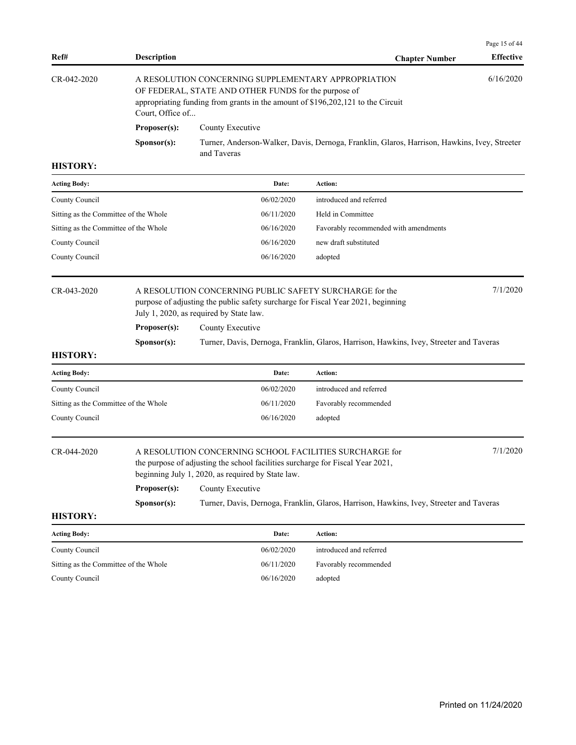| Ref#                                  |                      |                                                                                                                                                                                                                                                            |                                                                                              | Page 15 of 44<br><b>Effective</b> |  |  |  |
|---------------------------------------|----------------------|------------------------------------------------------------------------------------------------------------------------------------------------------------------------------------------------------------------------------------------------------------|----------------------------------------------------------------------------------------------|-----------------------------------|--|--|--|
| CR-042-2020                           | Court, Office of     | <b>Description</b><br><b>Chapter Number</b><br>6/16/2020<br>A RESOLUTION CONCERNING SUPPLEMENTARY APPROPRIATION<br>OF FEDERAL, STATE AND OTHER FUNDS for the purpose of<br>appropriating funding from grants in the amount of \$196,202,121 to the Circuit |                                                                                              |                                   |  |  |  |
|                                       | Proposer(s):         | County Executive                                                                                                                                                                                                                                           |                                                                                              |                                   |  |  |  |
|                                       | S <b>p</b> onsor(s): | and Taveras                                                                                                                                                                                                                                                | Turner, Anderson-Walker, Davis, Dernoga, Franklin, Glaros, Harrison, Hawkins, Ivey, Streeter |                                   |  |  |  |
| <b>HISTORY:</b>                       |                      |                                                                                                                                                                                                                                                            |                                                                                              |                                   |  |  |  |
| <b>Acting Body:</b>                   |                      | Date:                                                                                                                                                                                                                                                      | <b>Action:</b>                                                                               |                                   |  |  |  |
| County Council                        |                      | 06/02/2020                                                                                                                                                                                                                                                 | introduced and referred                                                                      |                                   |  |  |  |
| Sitting as the Committee of the Whole |                      | 06/11/2020                                                                                                                                                                                                                                                 | Held in Committee                                                                            |                                   |  |  |  |
| Sitting as the Committee of the Whole |                      | 06/16/2020                                                                                                                                                                                                                                                 | Favorably recommended with amendments                                                        |                                   |  |  |  |
| County Council                        |                      | 06/16/2020                                                                                                                                                                                                                                                 | new draft substituted                                                                        |                                   |  |  |  |
| County Council                        |                      | 06/16/2020                                                                                                                                                                                                                                                 | adopted                                                                                      |                                   |  |  |  |
| CR-043-2020                           |                      | A RESOLUTION CONCERNING PUBLIC SAFETY SURCHARGE for the<br>purpose of adjusting the public safety surcharge for Fiscal Year 2021, beginning<br>July 1, 2020, as required by State law.                                                                     |                                                                                              | 7/1/2020                          |  |  |  |
|                                       | Proposer(s):         | County Executive                                                                                                                                                                                                                                           |                                                                                              |                                   |  |  |  |
|                                       | S <b>p</b> onsor(s): | Turner, Davis, Dernoga, Franklin, Glaros, Harrison, Hawkins, Ivey, Streeter and Taveras                                                                                                                                                                    |                                                                                              |                                   |  |  |  |
| <b>HISTORY:</b>                       |                      |                                                                                                                                                                                                                                                            |                                                                                              |                                   |  |  |  |
| <b>Acting Body:</b>                   |                      | Date:                                                                                                                                                                                                                                                      | Action:                                                                                      |                                   |  |  |  |
| County Council                        |                      | 06/02/2020                                                                                                                                                                                                                                                 | introduced and referred                                                                      |                                   |  |  |  |
| Sitting as the Committee of the Whole |                      | 06/11/2020                                                                                                                                                                                                                                                 | Favorably recommended                                                                        |                                   |  |  |  |
| County Council                        |                      | 06/16/2020                                                                                                                                                                                                                                                 | adopted                                                                                      |                                   |  |  |  |
| CR-044-2020                           |                      | A RESOLUTION CONCERNING SCHOOL FACILITIES SURCHARGE for<br>the purpose of adjusting the school facilities surcharge for Fiscal Year 2021,<br>beginning July 1, 2020, as required by State law.                                                             |                                                                                              | 7/1/2020                          |  |  |  |
|                                       | Proposer(s):         | County Executive                                                                                                                                                                                                                                           |                                                                                              |                                   |  |  |  |
|                                       | S <b>p</b> onsor(s): |                                                                                                                                                                                                                                                            | Turner, Davis, Dernoga, Franklin, Glaros, Harrison, Hawkins, Ivey, Streeter and Taveras      |                                   |  |  |  |

| <b>Acting Body:</b>                   | Date:      | <b>Action:</b>          |
|---------------------------------------|------------|-------------------------|
| County Council                        | 06/02/2020 | introduced and referred |
| Sitting as the Committee of the Whole | 06/11/2020 | Favorably recommended   |
| County Council                        | 06/16/2020 | adopted                 |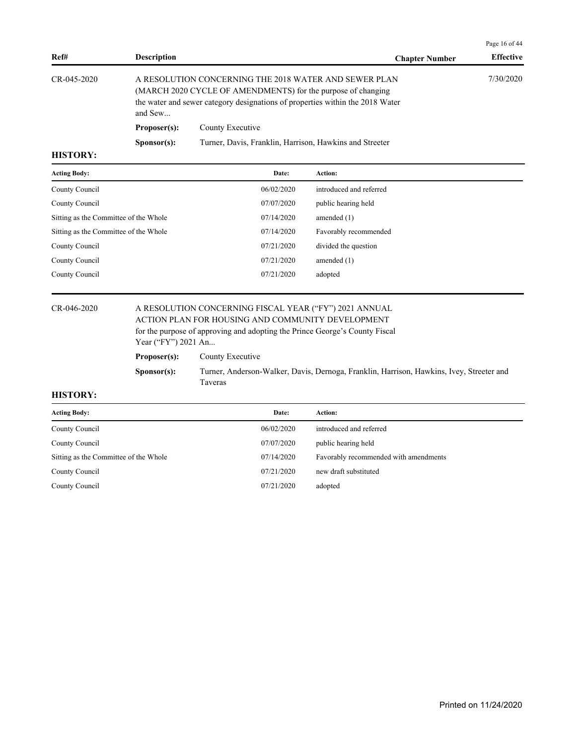| Ref#            | <b>Description</b>   | <b>Chapter Number</b>                                                                                                                                                                                  | <b>Effective</b> |
|-----------------|----------------------|--------------------------------------------------------------------------------------------------------------------------------------------------------------------------------------------------------|------------------|
| CR-045-2020     | and Sew              | A RESOLUTION CONCERNING THE 2018 WATER AND SEWER PLAN<br>(MARCH 2020 CYCLE OF AMENDMENTS) for the purpose of changing<br>the water and sewer category designations of properties within the 2018 Water | 7/30/2020        |
|                 | Proposer(s):         | County Executive                                                                                                                                                                                       |                  |
| <b>TILODADI</b> | S <b>p</b> onsor(s): | Turner, Davis, Franklin, Harrison, Hawkins and Streeter                                                                                                                                                |                  |

| <b>Acting Body:</b>                   | Date:      | Action:                 |
|---------------------------------------|------------|-------------------------|
| County Council                        | 06/02/2020 | introduced and referred |
| County Council                        | 07/07/2020 | public hearing held     |
| Sitting as the Committee of the Whole | 07/14/2020 | amended $(1)$           |
| Sitting as the Committee of the Whole | 07/14/2020 | Favorably recommended   |
| County Council                        | 07/21/2020 | divided the question    |
| County Council                        | 07/21/2020 | amended $(1)$           |
| County Council                        | 07/21/2020 | adopted                 |
|                                       |            |                         |

## CR-046-2020 A RESOLUTION CONCERNING FISCAL YEAR ("FY") 2021 ANNUAL ACTION PLAN FOR HOUSING AND COMMUNITY DEVELOPMENT

for the purpose of approving and adopting the Prince George's County Fiscal Year ("FY") 2021 An...

| Proposer(s): | County Executive |
|--------------|------------------|
|--------------|------------------|

**Sponsor(s):** Turner, Anderson-Walker, Davis, Dernoga, Franklin, Harrison, Hawkins, Ivey, Streeter and Taveras

#### **HISTORY:**

| <b>Acting Body:</b>                   | Date:      | Action:                               |
|---------------------------------------|------------|---------------------------------------|
| County Council                        | 06/02/2020 | introduced and referred               |
| County Council                        | 07/07/2020 | public hearing held                   |
| Sitting as the Committee of the Whole | 07/14/2020 | Favorably recommended with amendments |
| County Council                        | 07/21/2020 | new draft substituted                 |
| County Council                        | 07/21/2020 | adopted                               |

Page 16 of 44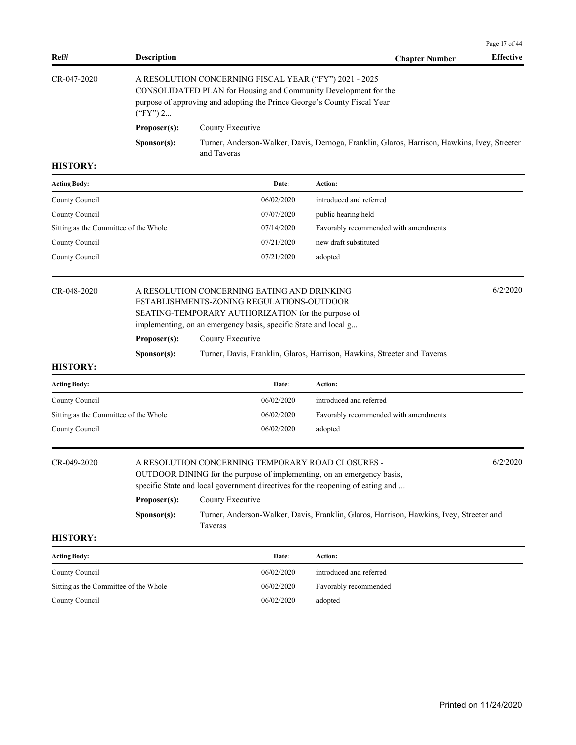|                                       |                    |                                                                                                                                                                                                                               |                                                                                              | Page 17 of 44    |  |  |
|---------------------------------------|--------------------|-------------------------------------------------------------------------------------------------------------------------------------------------------------------------------------------------------------------------------|----------------------------------------------------------------------------------------------|------------------|--|--|
| Ref#                                  | <b>Description</b> |                                                                                                                                                                                                                               | <b>Chapter Number</b>                                                                        | <b>Effective</b> |  |  |
| CR-047-2020                           | $("FY")$ 2         | A RESOLUTION CONCERNING FISCAL YEAR ("FY") 2021 - 2025<br>CONSOLIDATED PLAN for Housing and Community Development for the<br>purpose of approving and adopting the Prince George's County Fiscal Year                         |                                                                                              |                  |  |  |
|                                       | Proposer(s):       | County Executive                                                                                                                                                                                                              |                                                                                              |                  |  |  |
|                                       | Sponsor(s):        |                                                                                                                                                                                                                               | Turner, Anderson-Walker, Davis, Dernoga, Franklin, Glaros, Harrison, Hawkins, Ivey, Streeter |                  |  |  |
|                                       |                    | and Taveras                                                                                                                                                                                                                   |                                                                                              |                  |  |  |
| <b>HISTORY:</b>                       |                    |                                                                                                                                                                                                                               |                                                                                              |                  |  |  |
| <b>Acting Body:</b>                   |                    | Date:                                                                                                                                                                                                                         | Action:                                                                                      |                  |  |  |
| County Council                        |                    | 06/02/2020                                                                                                                                                                                                                    | introduced and referred                                                                      |                  |  |  |
| County Council                        |                    | 07/07/2020                                                                                                                                                                                                                    | public hearing held                                                                          |                  |  |  |
| Sitting as the Committee of the Whole |                    | 07/14/2020                                                                                                                                                                                                                    | Favorably recommended with amendments                                                        |                  |  |  |
| County Council                        |                    | 07/21/2020                                                                                                                                                                                                                    | new draft substituted                                                                        |                  |  |  |
| County Council                        |                    | 07/21/2020                                                                                                                                                                                                                    | adopted                                                                                      |                  |  |  |
| CR-048-2020                           |                    | 6/2/2020<br>A RESOLUTION CONCERNING EATING AND DRINKING<br>ESTABLISHMENTS-ZONING REGULATIONS-OUTDOOR<br>SEATING-TEMPORARY AUTHORIZATION for the purpose of<br>implementing, on an emergency basis, specific State and local g |                                                                                              |                  |  |  |
|                                       | Proposer(s):       | County Executive                                                                                                                                                                                                              |                                                                                              |                  |  |  |
|                                       | Sponsor(s):        |                                                                                                                                                                                                                               | Turner, Davis, Franklin, Glaros, Harrison, Hawkins, Streeter and Taveras                     |                  |  |  |
| <b>HISTORY:</b>                       |                    |                                                                                                                                                                                                                               |                                                                                              |                  |  |  |
| <b>Acting Body:</b>                   |                    | Date:                                                                                                                                                                                                                         | Action:                                                                                      |                  |  |  |
| County Council                        |                    | 06/02/2020                                                                                                                                                                                                                    | introduced and referred                                                                      |                  |  |  |
| Sitting as the Committee of the Whole |                    | 06/02/2020                                                                                                                                                                                                                    | Favorably recommended with amendments                                                        |                  |  |  |
| County Council                        |                    | 06/02/2020                                                                                                                                                                                                                    | adopted                                                                                      |                  |  |  |
| CR-049-2020                           |                    | A RESOLUTION CONCERNING TEMPORARY ROAD CLOSURES -<br>OUTDOOR DINING for the purpose of implementing, on an emergency basis,                                                                                                   |                                                                                              | 6/2/2020         |  |  |
|                                       |                    | specific State and local government directives for the reopening of eating and                                                                                                                                                |                                                                                              |                  |  |  |
|                                       | Proposer(s):       | County Executive                                                                                                                                                                                                              |                                                                                              |                  |  |  |
|                                       | Sponsor(s):        | Taveras                                                                                                                                                                                                                       | Turner, Anderson-Walker, Davis, Franklin, Glaros, Harrison, Hawkins, Ivey, Streeter and      |                  |  |  |
| <b>HISTORY:</b>                       |                    |                                                                                                                                                                                                                               |                                                                                              |                  |  |  |
| Acting Body:                          |                    | Date:                                                                                                                                                                                                                         | Action:                                                                                      |                  |  |  |
| County Council                        |                    | 06/02/2020                                                                                                                                                                                                                    | introduced and referred                                                                      |                  |  |  |
| Sitting as the Committee of the Whole |                    | 06/02/2020                                                                                                                                                                                                                    | Favorably recommended                                                                        |                  |  |  |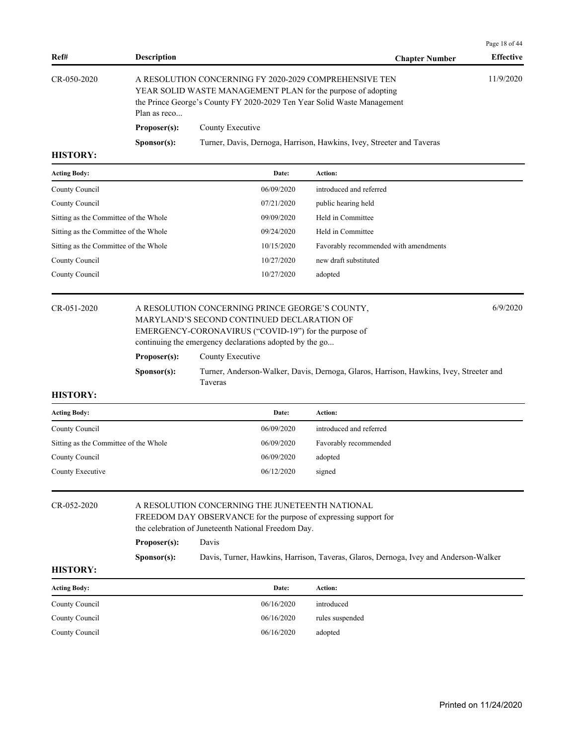| Ref#                                                     | <b>Description</b>                                                                                                                                                                                                | <b>Chapter Number</b>                                                 | <b>Effective</b> |
|----------------------------------------------------------|-------------------------------------------------------------------------------------------------------------------------------------------------------------------------------------------------------------------|-----------------------------------------------------------------------|------------------|
| $CR-050-2020$                                            | A RESOLUTION CONCERNING FY 2020-2029 COMPREHENSIVE TEN<br>YEAR SOLID WASTE MANAGEMENT PLAN for the purpose of adopting<br>the Prince George's County FY 2020-2029 Ten Year Solid Waste Management<br>Plan as reco |                                                                       | 11/9/2020        |
| Proposer(s):<br>County Executive<br>S <b>p</b> onsor(s): |                                                                                                                                                                                                                   | Turner, Davis, Dernoga, Harrison, Hawkins, Ivey, Streeter and Taveras |                  |
| <b>HISTORY:</b>                                          |                                                                                                                                                                                                                   |                                                                       |                  |

| <b>Acting Body:</b>                   | Date:      | <b>Action:</b>                        |
|---------------------------------------|------------|---------------------------------------|
| County Council                        | 06/09/2020 | introduced and referred               |
| County Council                        | 07/21/2020 | public hearing held                   |
| Sitting as the Committee of the Whole | 09/09/2020 | Held in Committee                     |
| Sitting as the Committee of the Whole | 09/24/2020 | Held in Committee                     |
| Sitting as the Committee of the Whole | 10/15/2020 | Favorably recommended with amendments |
| County Council                        | 10/27/2020 | new draft substituted                 |
| County Council                        | 10/27/2020 | adopted                               |
|                                       |            |                                       |

## CR-051-2020 A RESOLUTION CONCERNING PRINCE GEORGE'S COUNTY, 6/9/2020 MARYLAND'S SECOND CONTINUED DECLARATION OF EMERGENCY-CORONAVIRUS ("COVID-19") for the purpose of

Page 18 of 44

|                      | EMERGERCT-CORONY FROUT COVID-17 THE HIG PHIPOSO OF                                     |
|----------------------|----------------------------------------------------------------------------------------|
|                      | continuing the emergency declarations adopted by the go                                |
| Proposer(s):         | County Executive                                                                       |
| S <b>p</b> onsor(s): | Turner, Anderson-Walker, Davis, Dernoga, Glaros, Harrison, Hawkins, Ivey, Streeter and |
|                      | Taveras                                                                                |

### **HISTORY:**

| <b>Acting Body:</b>                   | Date:      | Action:                 |
|---------------------------------------|------------|-------------------------|
| County Council                        | 06/09/2020 | introduced and referred |
| Sitting as the Committee of the Whole | 06/09/2020 | Favorably recommended   |
| County Council                        | 06/09/2020 | adopted                 |
| County Executive                      | 06/12/2020 | signed                  |

## CR-052-2020 A RESOLUTION CONCERNING THE JUNETEENTH NATIONAL FREEDOM DAY OBSERVANCE for the purpose of expressing support for the celebration of Juneteenth National Freedom Day. **Proposer(s):** Davis

**Sponsor(s):** Davis, Turner, Hawkins, Harrison, Taveras, Glaros, Dernoga, Ivey and Anderson-Walker

| <b>Acting Body:</b> | Date:      | Action:         |
|---------------------|------------|-----------------|
| County Council      | 06/16/2020 | introduced      |
| County Council      | 06/16/2020 | rules suspended |
| County Council      | 06/16/2020 | adopted         |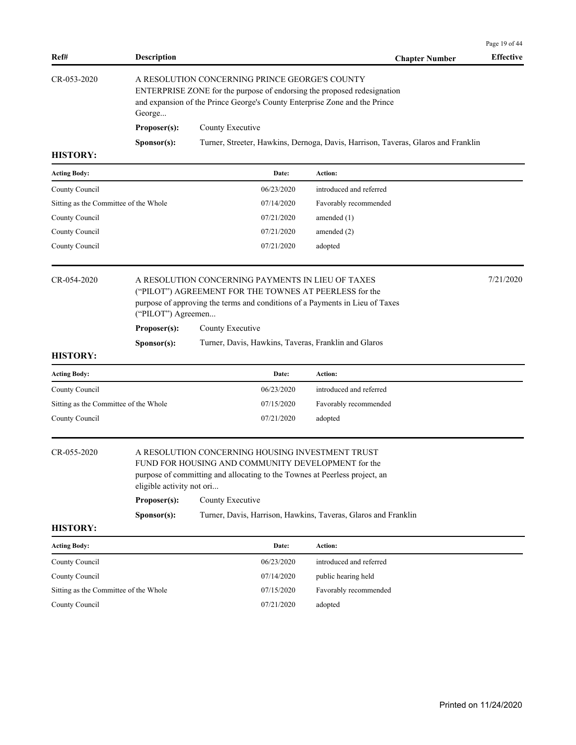| Ref#                                  | <b>Description</b>                                       |                                                                                                                                                                                                          | <b>Chapter Number</b>                                                             | <b>Effective</b> |
|---------------------------------------|----------------------------------------------------------|----------------------------------------------------------------------------------------------------------------------------------------------------------------------------------------------------------|-----------------------------------------------------------------------------------|------------------|
| CR-053-2020                           | George                                                   | A RESOLUTION CONCERNING PRINCE GEORGE'S COUNTY<br>ENTERPRISE ZONE for the purpose of endorsing the proposed redesignation<br>and expansion of the Prince George's County Enterprise Zone and the Prince  |                                                                                   |                  |
|                                       | Proposer(s):                                             | County Executive                                                                                                                                                                                         |                                                                                   |                  |
|                                       | Sponsor(s):                                              |                                                                                                                                                                                                          | Turner, Streeter, Hawkins, Dernoga, Davis, Harrison, Taveras, Glaros and Franklin |                  |
| <b>HISTORY:</b>                       |                                                          |                                                                                                                                                                                                          |                                                                                   |                  |
| <b>Acting Body:</b>                   |                                                          | Date:                                                                                                                                                                                                    | Action:                                                                           |                  |
| County Council                        |                                                          | 06/23/2020                                                                                                                                                                                               | introduced and referred                                                           |                  |
| Sitting as the Committee of the Whole |                                                          | 07/14/2020                                                                                                                                                                                               | Favorably recommended                                                             |                  |
| County Council                        |                                                          | 07/21/2020                                                                                                                                                                                               | amended $(1)$                                                                     |                  |
| County Council                        |                                                          | 07/21/2020                                                                                                                                                                                               | amended $(2)$                                                                     |                  |
| County Council                        |                                                          | 07/21/2020                                                                                                                                                                                               | adopted                                                                           |                  |
| CR-054-2020                           | ("PILOT") Agreemen                                       | A RESOLUTION CONCERNING PAYMENTS IN LIEU OF TAXES<br>("PILOT") AGREEMENT FOR THE TOWNES AT PEERLESS for the<br>purpose of approving the terms and conditions of a Payments in Lieu of Taxes              |                                                                                   | 7/21/2020        |
|                                       | Proposer(s):                                             | County Executive                                                                                                                                                                                         |                                                                                   |                  |
|                                       | Sponsor(s):                                              | Turner, Davis, Hawkins, Taveras, Franklin and Glaros                                                                                                                                                     |                                                                                   |                  |
| <b>HISTORY:</b>                       |                                                          |                                                                                                                                                                                                          |                                                                                   |                  |
| <b>Acting Body:</b>                   |                                                          | Date:                                                                                                                                                                                                    | Action:                                                                           |                  |
| County Council                        |                                                          | 06/23/2020                                                                                                                                                                                               | introduced and referred                                                           |                  |
| Sitting as the Committee of the Whole |                                                          | 07/15/2020                                                                                                                                                                                               | Favorably recommended                                                             |                  |
| County Council                        |                                                          | 07/21/2020                                                                                                                                                                                               | adopted                                                                           |                  |
| CR-055-2020                           | eligible activity not ori<br>Proposer(s):<br>Sponsor(s): | A RESOLUTION CONCERNING HOUSING INVESTMENT TRUST<br>FUND FOR HOUSING AND COMMUNITY DEVELOPMENT for the<br>purpose of committing and allocating to the Townes at Peerless project, an<br>County Executive | Turner, Davis, Harrison, Hawkins, Taveras, Glaros and Franklin                    |                  |
| <b>HISTORY:</b>                       |                                                          |                                                                                                                                                                                                          |                                                                                   |                  |
| <b>Acting Body:</b>                   |                                                          | Date:                                                                                                                                                                                                    | Action:                                                                           |                  |
| County Council                        |                                                          | 06/23/2020                                                                                                                                                                                               | introduced and referred                                                           |                  |
| County Council                        |                                                          | 07/14/2020                                                                                                                                                                                               | public hearing held                                                               |                  |
| Sitting as the Committee of the Whole |                                                          | 07/15/2020                                                                                                                                                                                               | Favorably recommended                                                             |                  |
| County Council                        |                                                          | 07/21/2020                                                                                                                                                                                               | adopted                                                                           |                  |
|                                       |                                                          |                                                                                                                                                                                                          |                                                                                   |                  |

Page 19 of 44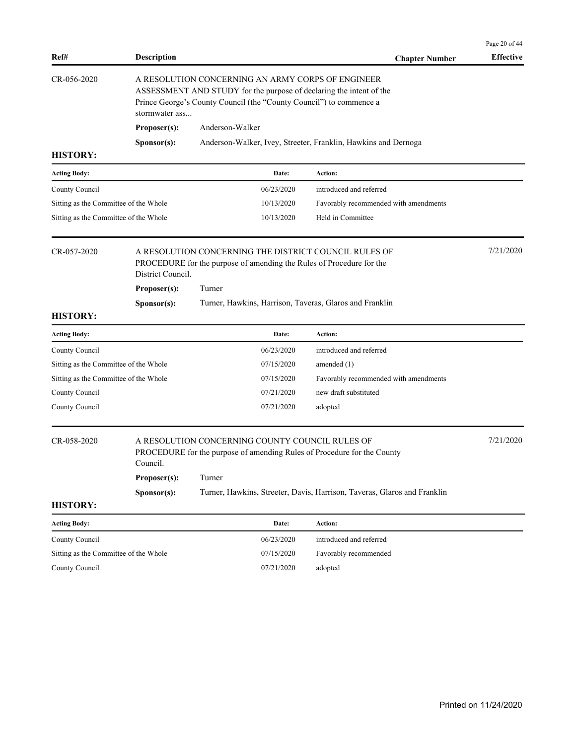| Ref#                                  | <b>Description</b>                                                                                                                                                                                                |                                                                                                                               | <b>Chapter Number</b>                                                    | Page 20 of 44<br><b>Effective</b> |
|---------------------------------------|-------------------------------------------------------------------------------------------------------------------------------------------------------------------------------------------------------------------|-------------------------------------------------------------------------------------------------------------------------------|--------------------------------------------------------------------------|-----------------------------------|
| CR-056-2020                           | A RESOLUTION CONCERNING AN ARMY CORPS OF ENGINEER<br>ASSESSMENT AND STUDY for the purpose of declaring the intent of the<br>Prince George's County Council (the "County Council") to commence a<br>stormwater ass |                                                                                                                               |                                                                          |                                   |
|                                       | Proposer(s):                                                                                                                                                                                                      | Anderson-Walker                                                                                                               |                                                                          |                                   |
|                                       | Sponsor(s):                                                                                                                                                                                                       |                                                                                                                               | Anderson-Walker, Ivey, Streeter, Franklin, Hawkins and Dernoga           |                                   |
| <b>HISTORY:</b>                       |                                                                                                                                                                                                                   |                                                                                                                               |                                                                          |                                   |
| <b>Acting Body:</b>                   |                                                                                                                                                                                                                   | Date:                                                                                                                         | Action:                                                                  |                                   |
| County Council                        |                                                                                                                                                                                                                   | 06/23/2020                                                                                                                    | introduced and referred                                                  |                                   |
| Sitting as the Committee of the Whole |                                                                                                                                                                                                                   | 10/13/2020                                                                                                                    | Favorably recommended with amendments                                    |                                   |
| Sitting as the Committee of the Whole |                                                                                                                                                                                                                   | 10/13/2020                                                                                                                    | Held in Committee                                                        |                                   |
| CR-057-2020<br>District Council.      |                                                                                                                                                                                                                   | A RESOLUTION CONCERNING THE DISTRICT COUNCIL RULES OF<br>PROCEDURE for the purpose of amending the Rules of Procedure for the |                                                                          | 7/21/2020                         |
|                                       | Proposer(s):                                                                                                                                                                                                      | Turner                                                                                                                        |                                                                          |                                   |
|                                       | Sponsor(s):                                                                                                                                                                                                       | Turner, Hawkins, Harrison, Taveras, Glaros and Franklin                                                                       |                                                                          |                                   |
| <b>HISTORY:</b>                       |                                                                                                                                                                                                                   |                                                                                                                               |                                                                          |                                   |
| <b>Acting Body:</b>                   |                                                                                                                                                                                                                   | Date:                                                                                                                         | Action:                                                                  |                                   |
| County Council                        |                                                                                                                                                                                                                   | 06/23/2020                                                                                                                    | introduced and referred                                                  |                                   |
| Sitting as the Committee of the Whole |                                                                                                                                                                                                                   | 07/15/2020                                                                                                                    | amended $(1)$                                                            |                                   |
| Sitting as the Committee of the Whole |                                                                                                                                                                                                                   | 07/15/2020                                                                                                                    | Favorably recommended with amendments                                    |                                   |
| County Council                        |                                                                                                                                                                                                                   | 07/21/2020                                                                                                                    | new draft substituted                                                    |                                   |
| County Council                        |                                                                                                                                                                                                                   | 07/21/2020                                                                                                                    | adopted                                                                  |                                   |
| CR-058-2020<br>Council.               |                                                                                                                                                                                                                   | A RESOLUTION CONCERNING COUNTY COUNCIL RULES OF<br>PROCEDURE for the purpose of amending Rules of Procedure for the County    |                                                                          | 7/21/2020                         |
|                                       | Proposer(s):                                                                                                                                                                                                      | Turner                                                                                                                        |                                                                          |                                   |
| <b>HISTORY:</b>                       | Sponsor(s):                                                                                                                                                                                                       |                                                                                                                               | Turner, Hawkins, Streeter, Davis, Harrison, Taveras, Glaros and Franklin |                                   |
| <b>Acting Body:</b>                   |                                                                                                                                                                                                                   | Date:                                                                                                                         | Action:                                                                  |                                   |
| County Council                        |                                                                                                                                                                                                                   | 06/23/2020                                                                                                                    | introduced and referred                                                  |                                   |
| Sitting as the Committee of the Whole |                                                                                                                                                                                                                   | 07/15/2020                                                                                                                    | Favorably recommended                                                    |                                   |
| County Council                        |                                                                                                                                                                                                                   | 07/21/2020                                                                                                                    | adopted                                                                  |                                   |
|                                       |                                                                                                                                                                                                                   |                                                                                                                               |                                                                          |                                   |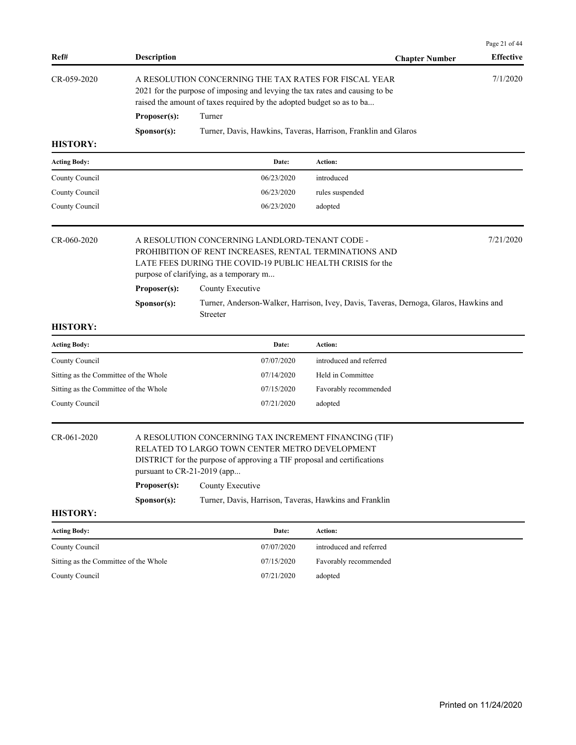| Ref#                                  | <b>Description</b>                                         |                                                                                                                                                                                                                                                                  | <b>Chapter Number</b>                                                                 | Page 21 of 44<br><b>Effective</b> |
|---------------------------------------|------------------------------------------------------------|------------------------------------------------------------------------------------------------------------------------------------------------------------------------------------------------------------------------------------------------------------------|---------------------------------------------------------------------------------------|-----------------------------------|
| CR-059-2020                           | Proposer(s):                                               | A RESOLUTION CONCERNING THE TAX RATES FOR FISCAL YEAR<br>2021 for the purpose of imposing and levying the tax rates and causing to be<br>raised the amount of taxes required by the adopted budget so as to ba<br>Turner                                         |                                                                                       | 7/1/2020                          |
| <b>HISTORY:</b>                       | Sponsor(s):                                                |                                                                                                                                                                                                                                                                  | Turner, Davis, Hawkins, Taveras, Harrison, Franklin and Glaros                        |                                   |
|                                       |                                                            |                                                                                                                                                                                                                                                                  |                                                                                       |                                   |
| <b>Acting Body:</b>                   |                                                            | Date:                                                                                                                                                                                                                                                            | Action:                                                                               |                                   |
| County Council                        |                                                            | 06/23/2020                                                                                                                                                                                                                                                       | introduced                                                                            |                                   |
| County Council                        |                                                            | 06/23/2020                                                                                                                                                                                                                                                       | rules suspended                                                                       |                                   |
| County Council                        |                                                            | 06/23/2020                                                                                                                                                                                                                                                       | adopted                                                                               |                                   |
| CR-060-2020                           | Proposer(s):<br>Sponsor(s):                                | A RESOLUTION CONCERNING LANDLORD-TENANT CODE -<br>PROHIBITION OF RENT INCREASES, RENTAL TERMINATIONS AND<br>LATE FEES DURING THE COVID-19 PUBLIC HEALTH CRISIS for the<br>purpose of clarifying, as a temporary m<br>County Executive<br>Streeter                | Turner, Anderson-Walker, Harrison, Ivey, Davis, Taveras, Dernoga, Glaros, Hawkins and | 7/21/2020                         |
| <b>HISTORY:</b>                       |                                                            |                                                                                                                                                                                                                                                                  |                                                                                       |                                   |
| <b>Acting Body:</b>                   |                                                            | Date:                                                                                                                                                                                                                                                            | Action:                                                                               |                                   |
| County Council                        |                                                            | 07/07/2020                                                                                                                                                                                                                                                       | introduced and referred                                                               |                                   |
| Sitting as the Committee of the Whole |                                                            | 07/14/2020                                                                                                                                                                                                                                                       | Held in Committee                                                                     |                                   |
| Sitting as the Committee of the Whole |                                                            | 07/15/2020                                                                                                                                                                                                                                                       | Favorably recommended                                                                 |                                   |
| County Council                        |                                                            | 07/21/2020                                                                                                                                                                                                                                                       | adopted                                                                               |                                   |
| CR-061-2020                           | pursuant to CR-21-2019 (app<br>Proposer(s):<br>Sponsor(s): | A RESOLUTION CONCERNING TAX INCREMENT FINANCING (TIF)<br>RELATED TO LARGO TOWN CENTER METRO DEVELOPMENT<br>DISTRICT for the purpose of approving a TIF proposal and certifications<br>County Executive<br>Turner, Davis, Harrison, Taveras, Hawkins and Franklin |                                                                                       |                                   |
| <b>HISTORY:</b>                       |                                                            |                                                                                                                                                                                                                                                                  |                                                                                       |                                   |
| <b>Acting Body:</b>                   |                                                            | Date:                                                                                                                                                                                                                                                            | Action:                                                                               |                                   |
| County Council                        |                                                            | 07/07/2020                                                                                                                                                                                                                                                       | introduced and referred                                                               |                                   |
| Sitting as the Committee of the Whole |                                                            | 07/15/2020                                                                                                                                                                                                                                                       | Favorably recommended                                                                 |                                   |
| County Council                        |                                                            | 07/21/2020                                                                                                                                                                                                                                                       | adopted                                                                               |                                   |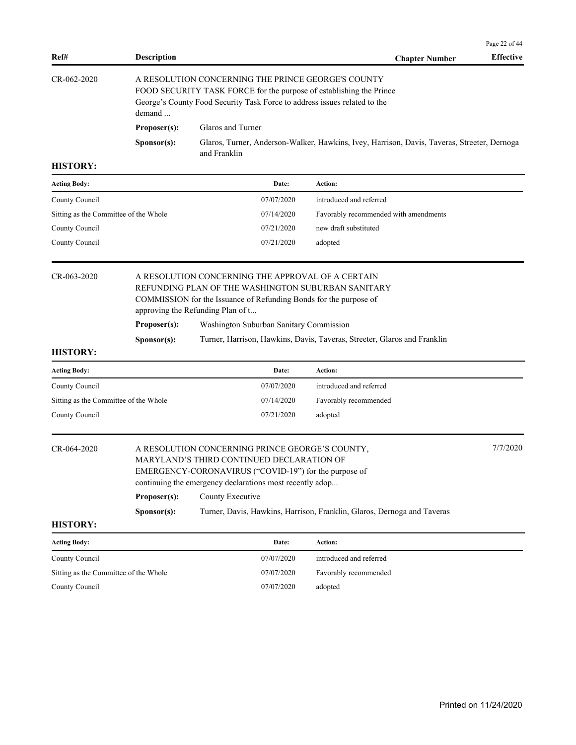|                                       |                                                                                         |                                                                                                                                                                                                                   |                                                                                             | Page 22 of 44    |  |
|---------------------------------------|-----------------------------------------------------------------------------------------|-------------------------------------------------------------------------------------------------------------------------------------------------------------------------------------------------------------------|---------------------------------------------------------------------------------------------|------------------|--|
| Ref#                                  | <b>Description</b>                                                                      |                                                                                                                                                                                                                   | <b>Chapter Number</b>                                                                       | <b>Effective</b> |  |
| CR-062-2020                           | demand                                                                                  | A RESOLUTION CONCERNING THE PRINCE GEORGE'S COUNTY<br>FOOD SECURITY TASK FORCE for the purpose of establishing the Prince<br>George's County Food Security Task Force to address issues related to the            |                                                                                             |                  |  |
|                                       | Proposer(s):                                                                            | Glaros and Turner                                                                                                                                                                                                 |                                                                                             |                  |  |
|                                       | S <b>p</b> onsor(s):                                                                    | and Franklin                                                                                                                                                                                                      | Glaros, Turner, Anderson-Walker, Hawkins, Ivey, Harrison, Davis, Taveras, Streeter, Dernoga |                  |  |
| <b>HISTORY:</b>                       |                                                                                         |                                                                                                                                                                                                                   |                                                                                             |                  |  |
| <b>Acting Body:</b>                   |                                                                                         | Date:                                                                                                                                                                                                             | Action:                                                                                     |                  |  |
| County Council                        |                                                                                         | 07/07/2020                                                                                                                                                                                                        | introduced and referred                                                                     |                  |  |
| Sitting as the Committee of the Whole |                                                                                         | 07/14/2020                                                                                                                                                                                                        | Favorably recommended with amendments                                                       |                  |  |
| County Council                        |                                                                                         | 07/21/2020                                                                                                                                                                                                        | new draft substituted                                                                       |                  |  |
| County Council                        |                                                                                         | 07/21/2020                                                                                                                                                                                                        | adopted                                                                                     |                  |  |
| CR-063-2020                           |                                                                                         | A RESOLUTION CONCERNING THE APPROVAL OF A CERTAIN<br>REFUNDING PLAN OF THE WASHINGTON SUBURBAN SANITARY<br>COMMISSION for the Issuance of Refunding Bonds for the purpose of<br>approving the Refunding Plan of t |                                                                                             |                  |  |
|                                       | Proposer(s):<br>Washington Suburban Sanitary Commission                                 |                                                                                                                                                                                                                   |                                                                                             |                  |  |
|                                       | Turner, Harrison, Hawkins, Davis, Taveras, Streeter, Glaros and Franklin<br>Sponsor(s): |                                                                                                                                                                                                                   |                                                                                             |                  |  |
| <b>HISTORY:</b>                       |                                                                                         |                                                                                                                                                                                                                   |                                                                                             |                  |  |
| Acting Body:                          |                                                                                         | Date:                                                                                                                                                                                                             | Action:                                                                                     |                  |  |
| County Council                        |                                                                                         | 07/07/2020                                                                                                                                                                                                        | introduced and referred                                                                     |                  |  |
| Sitting as the Committee of the Whole |                                                                                         | 07/14/2020                                                                                                                                                                                                        | Favorably recommended                                                                       |                  |  |
| County Council                        |                                                                                         | 07/21/2020                                                                                                                                                                                                        | adopted                                                                                     |                  |  |
| CR-064-2020                           |                                                                                         | A RESOLUTION CONCERNING PRINCE GEORGE'S COUNTY,<br>MARYLAND'S THIRD CONTINUED DECLARATION OF<br>EMERGENCY-CORONAVIRUS ("COVID-19") for the purpose of<br>continuing the emergency declarations most recently adop |                                                                                             | 7/7/2020         |  |
|                                       | Proposer(s):                                                                            | County Executive                                                                                                                                                                                                  |                                                                                             |                  |  |
|                                       | Sponsor(s):                                                                             |                                                                                                                                                                                                                   | Turner, Davis, Hawkins, Harrison, Franklin, Glaros, Dernoga and Taveras                     |                  |  |
| <b>HISTORY:</b>                       |                                                                                         |                                                                                                                                                                                                                   |                                                                                             |                  |  |
| <b>Acting Body:</b>                   |                                                                                         | Date:                                                                                                                                                                                                             | Action:                                                                                     |                  |  |
| County Council                        |                                                                                         | 07/07/2020                                                                                                                                                                                                        | introduced and referred                                                                     |                  |  |
| Sitting as the Committee of the Whole |                                                                                         | 07/07/2020                                                                                                                                                                                                        | Favorably recommended                                                                       |                  |  |
| County Council                        |                                                                                         | 07/07/2020                                                                                                                                                                                                        | adopted                                                                                     |                  |  |
|                                       |                                                                                         |                                                                                                                                                                                                                   |                                                                                             |                  |  |
|                                       |                                                                                         |                                                                                                                                                                                                                   |                                                                                             |                  |  |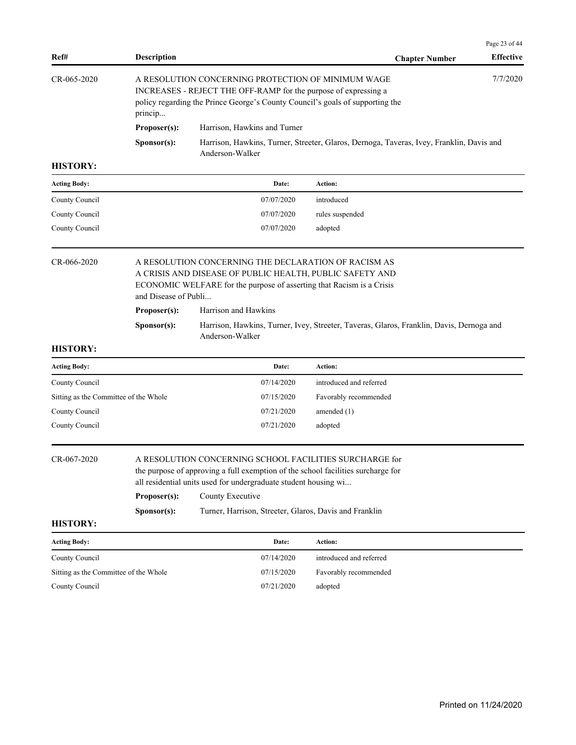|               |                                                                                                                                                                                                                               |                                                                                                             | Page 23 of 44    |
|---------------|-------------------------------------------------------------------------------------------------------------------------------------------------------------------------------------------------------------------------------|-------------------------------------------------------------------------------------------------------------|------------------|
| Ref#          | <b>Description</b>                                                                                                                                                                                                            | <b>Chapter Number</b>                                                                                       | <b>Effective</b> |
| $CR-065-2020$ | 7/7/2020<br>A RESOLUTION CONCERNING PROTECTION OF MINIMUM WAGE<br>INCREASES - REJECT THE OFF-RAMP for the purpose of expressing a<br>policy regarding the Prince George's County Council's goals of supporting the<br>princip |                                                                                                             |                  |
|               | Proposer(s):                                                                                                                                                                                                                  | Harrison, Hawkins and Turner                                                                                |                  |
|               | S <b>p</b> onsor(s):                                                                                                                                                                                                          | Harrison, Hawkins, Turner, Streeter, Glaros, Dernoga, Taveras, Ivey, Franklin, Davis and<br>Anderson-Walker |                  |

| Date:      | Action:         |
|------------|-----------------|
| 07/07/2020 | introduced      |
| 07/07/2020 | rules suspended |
| 07/07/2020 | adopted         |
|            |                 |

| CR-066-2020 |                      | A RESOLUTION CONCERNING THE DECLARATION OF RACISM AS                                                        |  |  |  |
|-------------|----------------------|-------------------------------------------------------------------------------------------------------------|--|--|--|
|             |                      | A CRISIS AND DISEASE OF PUBLIC HEALTH, PUBLIC SAFETY AND                                                    |  |  |  |
|             |                      | ECONOMIC WELFARE for the purpose of asserting that Racism is a Crisis                                       |  |  |  |
|             | and Disease of Publi |                                                                                                             |  |  |  |
|             | Proposer(s):         | Harrison and Hawkins                                                                                        |  |  |  |
|             | S <b>p</b> onsor(s): | Harrison, Hawkins, Turner, Ivey, Streeter, Taveras, Glaros, Franklin, Davis, Dernoga and<br>Anderson-Walker |  |  |  |

## **HISTORY:**

| <b>Acting Body:</b>                   | Date:      | Action:                 |
|---------------------------------------|------------|-------------------------|
| County Council                        | 07/14/2020 | introduced and referred |
| Sitting as the Committee of the Whole | 07/15/2020 | Favorably recommended   |
| County Council                        | 07/21/2020 | amended $(1)$           |
| County Council                        | 07/21/2020 | adopted                 |
|                                       |            |                         |

## CR-067-2020 A RESOLUTION CONCERNING SCHOOL FACILITIES SURCHARGE for

**Sponsor(s):** Turner, Harrison, Streeter, Glaros, Davis and Franklin

the purpose of approving a full exemption of the school facilities surcharge for all residential units used for undergraduate student housing wi...

| Proposer(s): | County Executive |
|--------------|------------------|
|--------------|------------------|

**HISTORY:**

**Acting Body: Date: Action:**  County Council 07/14/2020 introduced and referred Sitting as the Committee of the Whole 07/15/2020 Favorably recommended

County Council 07/21/2020 adopted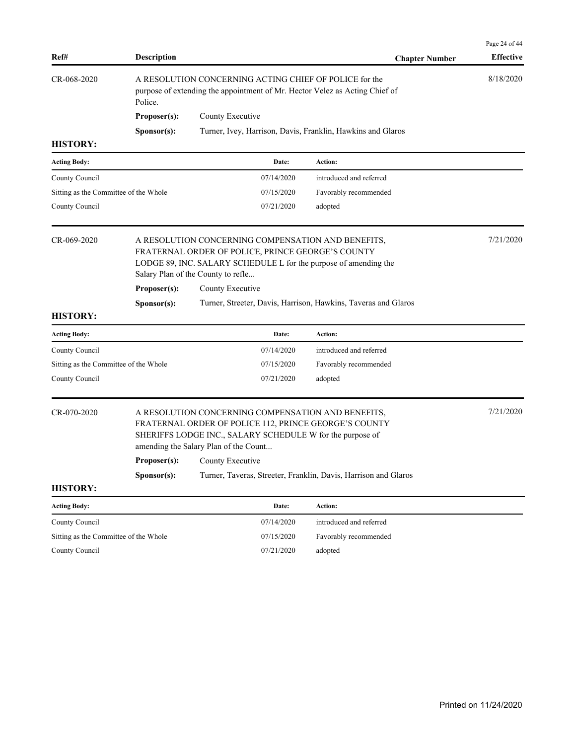| Ref#                                                                                                                                                                                                                             | <b>Description</b> |                                                                                                                                                                                                                   | <b>Chapter Number</b>                                          | Page 24 of 44<br><b>Effective</b> |  |  |
|----------------------------------------------------------------------------------------------------------------------------------------------------------------------------------------------------------------------------------|--------------------|-------------------------------------------------------------------------------------------------------------------------------------------------------------------------------------------------------------------|----------------------------------------------------------------|-----------------------------------|--|--|
| CR-068-2020                                                                                                                                                                                                                      | Police.            | A RESOLUTION CONCERNING ACTING CHIEF OF POLICE for the<br>purpose of extending the appointment of Mr. Hector Velez as Acting Chief of                                                                             |                                                                | 8/18/2020                         |  |  |
|                                                                                                                                                                                                                                  | Proposer(s):       | County Executive                                                                                                                                                                                                  |                                                                |                                   |  |  |
|                                                                                                                                                                                                                                  | Sponsor(s):        | Turner, Ivey, Harrison, Davis, Franklin, Hawkins and Glaros                                                                                                                                                       |                                                                |                                   |  |  |
| <b>HISTORY:</b>                                                                                                                                                                                                                  |                    |                                                                                                                                                                                                                   |                                                                |                                   |  |  |
| <b>Acting Body:</b>                                                                                                                                                                                                              |                    | Date:                                                                                                                                                                                                             | Action:                                                        |                                   |  |  |
| County Council                                                                                                                                                                                                                   |                    | 07/14/2020                                                                                                                                                                                                        | introduced and referred                                        |                                   |  |  |
| Sitting as the Committee of the Whole                                                                                                                                                                                            |                    | 07/15/2020                                                                                                                                                                                                        | Favorably recommended                                          |                                   |  |  |
| County Council                                                                                                                                                                                                                   |                    | 07/21/2020                                                                                                                                                                                                        | adopted                                                        |                                   |  |  |
| CR-069-2020<br>A RESOLUTION CONCERNING COMPENSATION AND BENEFITS,<br>FRATERNAL ORDER OF POLICE, PRINCE GEORGE'S COUNTY<br>LODGE 89, INC. SALARY SCHEDULE L for the purpose of amending the<br>Salary Plan of the County to refle |                    |                                                                                                                                                                                                                   |                                                                | 7/21/2020                         |  |  |
|                                                                                                                                                                                                                                  | Proposer(s):       | County Executive                                                                                                                                                                                                  |                                                                |                                   |  |  |
|                                                                                                                                                                                                                                  | Sponsor(s):        |                                                                                                                                                                                                                   | Turner, Streeter, Davis, Harrison, Hawkins, Taveras and Glaros |                                   |  |  |
| <b>HISTORY:</b>                                                                                                                                                                                                                  |                    |                                                                                                                                                                                                                   |                                                                |                                   |  |  |
| <b>Acting Body:</b>                                                                                                                                                                                                              |                    | Date:                                                                                                                                                                                                             | Action:                                                        |                                   |  |  |
| County Council                                                                                                                                                                                                                   |                    | 07/14/2020                                                                                                                                                                                                        | introduced and referred                                        |                                   |  |  |
| Sitting as the Committee of the Whole                                                                                                                                                                                            |                    | 07/15/2020                                                                                                                                                                                                        | Favorably recommended                                          |                                   |  |  |
| County Council                                                                                                                                                                                                                   |                    | 07/21/2020                                                                                                                                                                                                        | adopted                                                        |                                   |  |  |
| CR-070-2020                                                                                                                                                                                                                      |                    | A RESOLUTION CONCERNING COMPENSATION AND BENEFITS,<br>FRATERNAL ORDER OF POLICE 112, PRINCE GEORGE'S COUNTY<br>SHERIFFS LODGE INC., SALARY SCHEDULE W for the purpose of<br>amending the Salary Plan of the Count | 7/21/2020                                                      |                                   |  |  |
|                                                                                                                                                                                                                                  |                    | <b>Proposer(s):</b> County Executive                                                                                                                                                                              |                                                                |                                   |  |  |
|                                                                                                                                                                                                                                  | Sponsor(s):        | Turner, Taveras, Streeter, Franklin, Davis, Harrison and Glaros                                                                                                                                                   |                                                                |                                   |  |  |
| <b>HISTORY:</b>                                                                                                                                                                                                                  |                    |                                                                                                                                                                                                                   |                                                                |                                   |  |  |
| <b>Acting Body:</b>                                                                                                                                                                                                              |                    | Date:                                                                                                                                                                                                             | Action:                                                        |                                   |  |  |
| County Council                                                                                                                                                                                                                   |                    | 07/14/2020                                                                                                                                                                                                        | introduced and referred                                        |                                   |  |  |
| Sitting as the Committee of the Whole                                                                                                                                                                                            |                    | 07/15/2020                                                                                                                                                                                                        | Favorably recommended                                          |                                   |  |  |
| County Council                                                                                                                                                                                                                   |                    | 07/21/2020                                                                                                                                                                                                        | adopted                                                        |                                   |  |  |
|                                                                                                                                                                                                                                  |                    |                                                                                                                                                                                                                   |                                                                |                                   |  |  |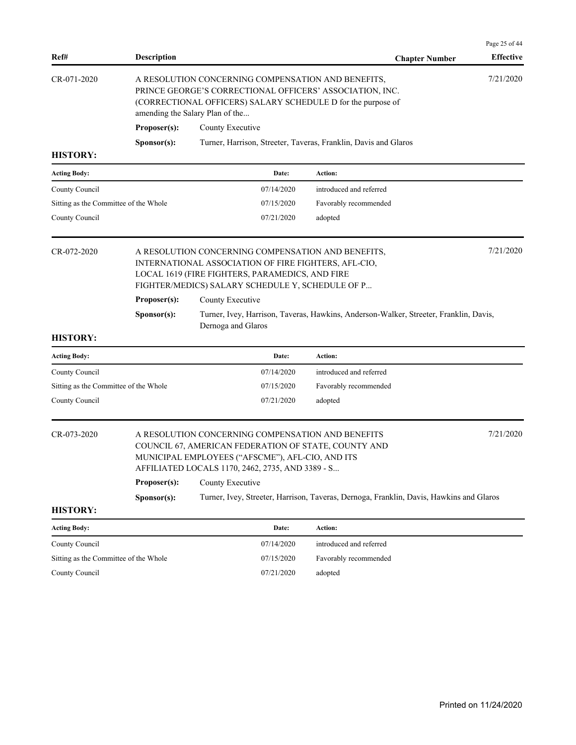| Ref#                                  | <b>Description</b>                                                                                                                                                                                                             |                                                                                                                                                                                                                   | <b>Chapter Number</b>                                                                   | Page 25 of 44<br><b>Effective</b> |  |
|---------------------------------------|--------------------------------------------------------------------------------------------------------------------------------------------------------------------------------------------------------------------------------|-------------------------------------------------------------------------------------------------------------------------------------------------------------------------------------------------------------------|-----------------------------------------------------------------------------------------|-----------------------------------|--|
| CR-071-2020                           | 7/21/2020<br>A RESOLUTION CONCERNING COMPENSATION AND BENEFITS,<br>PRINCE GEORGE'S CORRECTIONAL OFFICERS' ASSOCIATION, INC.<br>(CORRECTIONAL OFFICERS) SALARY SCHEDULE D for the purpose of<br>amending the Salary Plan of the |                                                                                                                                                                                                                   |                                                                                         |                                   |  |
|                                       | Proposer(s):                                                                                                                                                                                                                   | County Executive                                                                                                                                                                                                  |                                                                                         |                                   |  |
|                                       | Sponsor(s):                                                                                                                                                                                                                    |                                                                                                                                                                                                                   | Turner, Harrison, Streeter, Taveras, Franklin, Davis and Glaros                         |                                   |  |
| <b>HISTORY:</b>                       |                                                                                                                                                                                                                                |                                                                                                                                                                                                                   |                                                                                         |                                   |  |
| <b>Acting Body:</b>                   |                                                                                                                                                                                                                                | Date:                                                                                                                                                                                                             | Action:                                                                                 |                                   |  |
| County Council                        |                                                                                                                                                                                                                                | 07/14/2020                                                                                                                                                                                                        | introduced and referred                                                                 |                                   |  |
| Sitting as the Committee of the Whole |                                                                                                                                                                                                                                | 07/15/2020                                                                                                                                                                                                        | Favorably recommended                                                                   |                                   |  |
| County Council                        |                                                                                                                                                                                                                                | 07/21/2020                                                                                                                                                                                                        | adopted                                                                                 |                                   |  |
| CR-072-2020                           | 7/21/2020<br>A RESOLUTION CONCERNING COMPENSATION AND BENEFITS,<br>INTERNATIONAL ASSOCIATION OF FIRE FIGHTERS, AFL-CIO,<br>LOCAL 1619 (FIRE FIGHTERS, PARAMEDICS, AND FIRE<br>FIGHTER/MEDICS) SALARY SCHEDULE Y, SCHEDULE OF P |                                                                                                                                                                                                                   |                                                                                         |                                   |  |
|                                       | Proposer(s):                                                                                                                                                                                                                   | County Executive                                                                                                                                                                                                  |                                                                                         |                                   |  |
|                                       | Sponsor(s):                                                                                                                                                                                                                    | Dernoga and Glaros                                                                                                                                                                                                | Turner, Ivey, Harrison, Taveras, Hawkins, Anderson-Walker, Streeter, Franklin, Davis,   |                                   |  |
| <b>HISTORY:</b>                       |                                                                                                                                                                                                                                |                                                                                                                                                                                                                   |                                                                                         |                                   |  |
| <b>Acting Body:</b>                   |                                                                                                                                                                                                                                | Date:                                                                                                                                                                                                             | Action:                                                                                 |                                   |  |
| County Council                        |                                                                                                                                                                                                                                | 07/14/2020                                                                                                                                                                                                        | introduced and referred                                                                 |                                   |  |
| Sitting as the Committee of the Whole |                                                                                                                                                                                                                                | 07/15/2020                                                                                                                                                                                                        | Favorably recommended                                                                   |                                   |  |
| County Council                        |                                                                                                                                                                                                                                | 07/21/2020                                                                                                                                                                                                        | adopted                                                                                 |                                   |  |
| CR-073-2020                           |                                                                                                                                                                                                                                | A RESOLUTION CONCERNING COMPENSATION AND BENEFITS<br>COUNCIL 67, AMERICAN FEDERATION OF STATE, COUNTY AND<br>MUNICIPAL EMPLOYEES ("AFSCME"), AFL-CIO, AND ITS<br>AFFILIATED LOCALS 1170, 2462, 2735, AND 3389 - S |                                                                                         | 7/21/2020                         |  |
|                                       | Proposer(s):                                                                                                                                                                                                                   | County Executive                                                                                                                                                                                                  |                                                                                         |                                   |  |
|                                       | Sponsor(s):                                                                                                                                                                                                                    |                                                                                                                                                                                                                   | Turner, Ivey, Streeter, Harrison, Taveras, Dernoga, Franklin, Davis, Hawkins and Glaros |                                   |  |
| <b>HISTORY:</b>                       |                                                                                                                                                                                                                                |                                                                                                                                                                                                                   |                                                                                         |                                   |  |
| <b>Acting Body:</b>                   |                                                                                                                                                                                                                                | Date:                                                                                                                                                                                                             | Action:                                                                                 |                                   |  |
| County Council                        |                                                                                                                                                                                                                                | 07/14/2020                                                                                                                                                                                                        | introduced and referred                                                                 |                                   |  |
| Sitting as the Committee of the Whole |                                                                                                                                                                                                                                | 07/15/2020                                                                                                                                                                                                        | Favorably recommended                                                                   |                                   |  |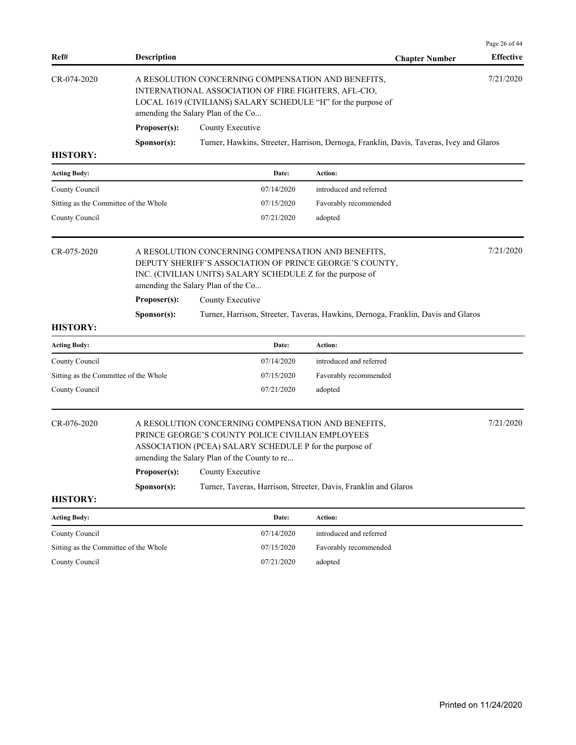| Ref#                                  | <b>Description</b> |                                                                                                                                                                                                                                | <b>Chapter Number</b>                                                                   | Page 26 of 44<br><b>Effective</b> |  |  |
|---------------------------------------|--------------------|--------------------------------------------------------------------------------------------------------------------------------------------------------------------------------------------------------------------------------|-----------------------------------------------------------------------------------------|-----------------------------------|--|--|
| CR-074-2020                           |                    | 7/21/2020<br>A RESOLUTION CONCERNING COMPENSATION AND BENEFITS,<br>INTERNATIONAL ASSOCIATION OF FIRE FIGHTERS, AFL-CIO,<br>LOCAL 1619 (CIVILIANS) SALARY SCHEDULE "H" for the purpose of<br>amending the Salary Plan of the Co |                                                                                         |                                   |  |  |
|                                       | Proposer(s):       | County Executive                                                                                                                                                                                                               |                                                                                         |                                   |  |  |
|                                       | Sponsor(s):        |                                                                                                                                                                                                                                | Turner, Hawkins, Streeter, Harrison, Dernoga, Franklin, Davis, Taveras, Ivey and Glaros |                                   |  |  |
| <b>HISTORY:</b>                       |                    |                                                                                                                                                                                                                                |                                                                                         |                                   |  |  |
| <b>Acting Body:</b>                   |                    | Date:                                                                                                                                                                                                                          | Action:                                                                                 |                                   |  |  |
| County Council                        |                    | 07/14/2020                                                                                                                                                                                                                     | introduced and referred                                                                 |                                   |  |  |
| Sitting as the Committee of the Whole |                    | 07/15/2020                                                                                                                                                                                                                     | Favorably recommended                                                                   |                                   |  |  |
| County Council                        |                    | 07/21/2020                                                                                                                                                                                                                     | adopted                                                                                 |                                   |  |  |
| CR-075-2020                           |                    | 7/21/2020<br>A RESOLUTION CONCERNING COMPENSATION AND BENEFITS,<br>DEPUTY SHERIFF'S ASSOCIATION OF PRINCE GEORGE'S COUNTY,<br>INC. (CIVILIAN UNITS) SALARY SCHEDULE Z for the purpose of<br>amending the Salary Plan of the Co |                                                                                         |                                   |  |  |
|                                       | Proposer(s):       | County Executive                                                                                                                                                                                                               |                                                                                         |                                   |  |  |
|                                       | Sponsor(s):        |                                                                                                                                                                                                                                | Turner, Harrison, Streeter, Taveras, Hawkins, Dernoga, Franklin, Davis and Glaros       |                                   |  |  |
| <b>HISTORY:</b>                       |                    |                                                                                                                                                                                                                                |                                                                                         |                                   |  |  |
| <b>Acting Body:</b>                   |                    | Date:                                                                                                                                                                                                                          | Action:                                                                                 |                                   |  |  |
| County Council                        |                    | 07/14/2020                                                                                                                                                                                                                     | introduced and referred                                                                 |                                   |  |  |
| Sitting as the Committee of the Whole |                    | 07/15/2020                                                                                                                                                                                                                     | Favorably recommended                                                                   |                                   |  |  |
| County Council                        |                    | 07/21/2020                                                                                                                                                                                                                     | adopted                                                                                 |                                   |  |  |
| CR-076-2020                           |                    | A RESOLUTION CONCERNING COMPENSATION AND BENEFITS,<br>PRINCE GEORGE'S COUNTY POLICE CIVILIAN EMPLOYEES<br>ASSOCIATION (PCEA) SALARY SCHEDULE P for the purpose of<br>amending the Salary Plan of the County to re              |                                                                                         | 7/21/2020                         |  |  |
|                                       | Proposer(s):       | County Executive                                                                                                                                                                                                               |                                                                                         |                                   |  |  |
| <b>HISTORY:</b>                       | Sponsor(s):        |                                                                                                                                                                                                                                | Turner, Taveras, Harrison, Streeter, Davis, Franklin and Glaros                         |                                   |  |  |
| <b>Acting Body:</b>                   |                    | Date:                                                                                                                                                                                                                          | Action:                                                                                 |                                   |  |  |
| County Council                        |                    | 07/14/2020                                                                                                                                                                                                                     | introduced and referred                                                                 |                                   |  |  |
|                                       |                    | 07/15/2020                                                                                                                                                                                                                     | Favorably recommended                                                                   |                                   |  |  |
| Sitting as the Committee of the Whole |                    |                                                                                                                                                                                                                                |                                                                                         |                                   |  |  |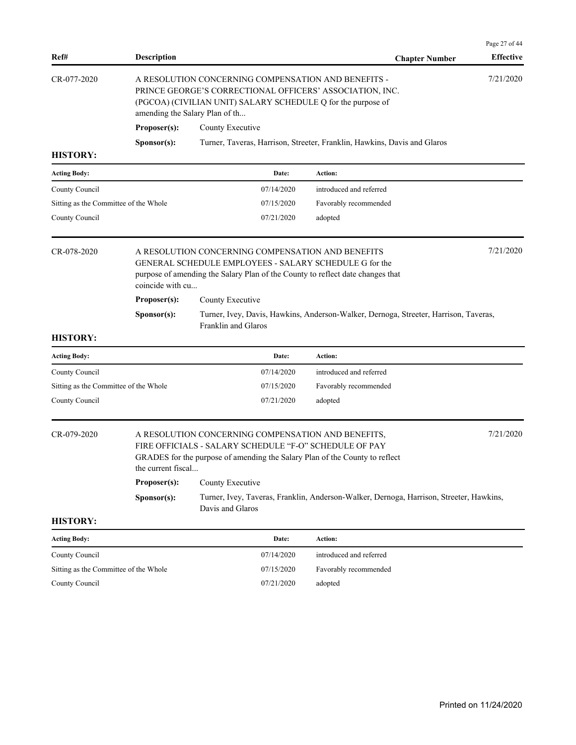| Ref#                                  | <b>Description</b> |                                                                                                                                                                                                                   | <b>Chapter Number</b>                                                                   | Page 27 of 44<br><b>Effective</b> |  |  |
|---------------------------------------|--------------------|-------------------------------------------------------------------------------------------------------------------------------------------------------------------------------------------------------------------|-----------------------------------------------------------------------------------------|-----------------------------------|--|--|
| CR-077-2020                           |                    | A RESOLUTION CONCERNING COMPENSATION AND BENEFITS -<br>PRINCE GEORGE'S CORRECTIONAL OFFICERS' ASSOCIATION, INC.<br>(PGCOA) (CIVILIAN UNIT) SALARY SCHEDULE Q for the purpose of<br>amending the Salary Plan of th |                                                                                         | 7/21/2020                         |  |  |
|                                       | Proposer(s):       | County Executive                                                                                                                                                                                                  |                                                                                         |                                   |  |  |
|                                       | Sponsor(s):        |                                                                                                                                                                                                                   | Turner, Taveras, Harrison, Streeter, Franklin, Hawkins, Davis and Glaros                |                                   |  |  |
| <b>HISTORY:</b>                       |                    |                                                                                                                                                                                                                   |                                                                                         |                                   |  |  |
| <b>Acting Body:</b>                   |                    | Date:                                                                                                                                                                                                             | Action:                                                                                 |                                   |  |  |
| County Council                        |                    | 07/14/2020                                                                                                                                                                                                        | introduced and referred                                                                 |                                   |  |  |
| Sitting as the Committee of the Whole |                    | 07/15/2020                                                                                                                                                                                                        | Favorably recommended                                                                   |                                   |  |  |
| County Council                        |                    | 07/21/2020                                                                                                                                                                                                        | adopted                                                                                 |                                   |  |  |
| CR-078-2020                           | coincide with cu   | 7/21/2020<br>A RESOLUTION CONCERNING COMPENSATION AND BENEFITS<br>GENERAL SCHEDULE EMPLOYEES - SALARY SCHEDULE G for the<br>purpose of amending the Salary Plan of the County to reflect date changes that        |                                                                                         |                                   |  |  |
|                                       | Proposer(s):       | County Executive                                                                                                                                                                                                  |                                                                                         |                                   |  |  |
|                                       | Sponsor(s):        | Franklin and Glaros                                                                                                                                                                                               | Turner, Ivey, Davis, Hawkins, Anderson-Walker, Dernoga, Streeter, Harrison, Taveras,    |                                   |  |  |
| <b>HISTORY:</b>                       |                    |                                                                                                                                                                                                                   |                                                                                         |                                   |  |  |
| <b>Acting Body:</b>                   |                    | Date:                                                                                                                                                                                                             | Action:                                                                                 |                                   |  |  |
| County Council                        |                    | 07/14/2020                                                                                                                                                                                                        | introduced and referred                                                                 |                                   |  |  |
| Sitting as the Committee of the Whole |                    | 07/15/2020                                                                                                                                                                                                        | Favorably recommended                                                                   |                                   |  |  |
| County Council                        |                    | 07/21/2020                                                                                                                                                                                                        | adopted                                                                                 |                                   |  |  |
| CR-079-2020                           | the current fiscal | A RESOLUTION CONCERNING COMPENSATION AND BENEFITS,<br>FIRE OFFICIALS - SALARY SCHEDULE "F-O" SCHEDULE OF PAY<br>GRADES for the purpose of amending the Salary Plan of the County to reflect                       |                                                                                         | 7/21/2020                         |  |  |
|                                       | Proposer(s):       | County Executive                                                                                                                                                                                                  |                                                                                         |                                   |  |  |
|                                       | Sponsor(s):        | Davis and Glaros                                                                                                                                                                                                  | Turner, Ivey, Taveras, Franklin, Anderson-Walker, Dernoga, Harrison, Streeter, Hawkins, |                                   |  |  |
| <b>HISTORY:</b>                       |                    |                                                                                                                                                                                                                   |                                                                                         |                                   |  |  |
| <b>Acting Body:</b>                   |                    | Date:                                                                                                                                                                                                             | Action:                                                                                 |                                   |  |  |
| County Council                        |                    | 07/14/2020                                                                                                                                                                                                        | introduced and referred                                                                 |                                   |  |  |
| Sitting as the Committee of the Whole |                    | 07/15/2020                                                                                                                                                                                                        | Favorably recommended                                                                   |                                   |  |  |
| County Council                        |                    | 07/21/2020                                                                                                                                                                                                        | adopted                                                                                 |                                   |  |  |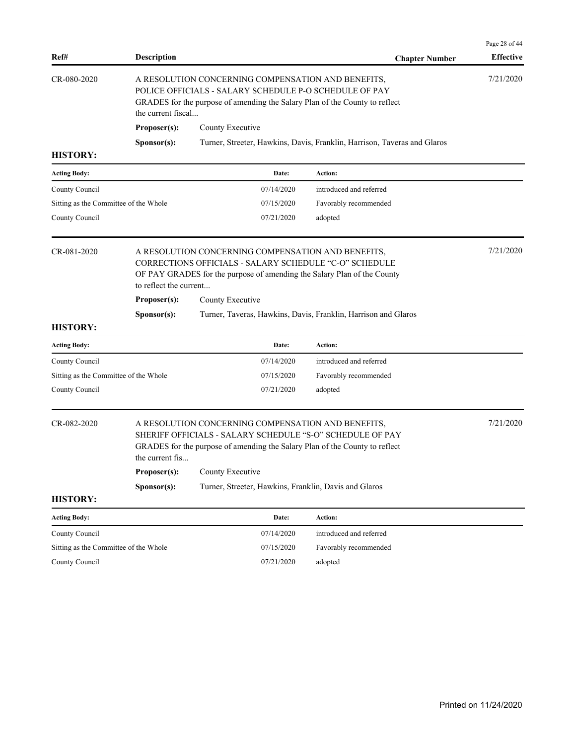| Ref#                                                                                                                                                                                                                             | <b>Description</b>                     |                                                                                                                                                                                                             | <b>Chapter Number</b>                                                    | Page 28 of 44<br><b>Effective</b> |  |
|----------------------------------------------------------------------------------------------------------------------------------------------------------------------------------------------------------------------------------|----------------------------------------|-------------------------------------------------------------------------------------------------------------------------------------------------------------------------------------------------------------|--------------------------------------------------------------------------|-----------------------------------|--|
| CR-080-2020<br>A RESOLUTION CONCERNING COMPENSATION AND BENEFITS,<br>POLICE OFFICIALS - SALARY SCHEDULE P-O SCHEDULE OF PAY<br>GRADES for the purpose of amending the Salary Plan of the County to reflect<br>the current fiscal |                                        |                                                                                                                                                                                                             |                                                                          | 7/21/2020                         |  |
|                                                                                                                                                                                                                                  | Proposer(s):                           | County Executive                                                                                                                                                                                            |                                                                          |                                   |  |
|                                                                                                                                                                                                                                  | Sponsor(s):                            |                                                                                                                                                                                                             | Turner, Streeter, Hawkins, Davis, Franklin, Harrison, Taveras and Glaros |                                   |  |
| <b>HISTORY:</b>                                                                                                                                                                                                                  |                                        |                                                                                                                                                                                                             |                                                                          |                                   |  |
| <b>Acting Body:</b>                                                                                                                                                                                                              |                                        | Date:                                                                                                                                                                                                       | Action:                                                                  |                                   |  |
| County Council                                                                                                                                                                                                                   |                                        | 07/14/2020                                                                                                                                                                                                  | introduced and referred                                                  |                                   |  |
| Sitting as the Committee of the Whole                                                                                                                                                                                            |                                        | 07/15/2020                                                                                                                                                                                                  | Favorably recommended                                                    |                                   |  |
| County Council                                                                                                                                                                                                                   |                                        | 07/21/2020                                                                                                                                                                                                  | adopted                                                                  |                                   |  |
| CR-081-2020                                                                                                                                                                                                                      | to reflect the current<br>Proposer(s): | A RESOLUTION CONCERNING COMPENSATION AND BENEFITS,<br>CORRECTIONS OFFICIALS - SALARY SCHEDULE "C-O" SCHEDULE<br>OF PAY GRADES for the purpose of amending the Salary Plan of the County<br>County Executive |                                                                          |                                   |  |
|                                                                                                                                                                                                                                  | Sponsor(s):                            |                                                                                                                                                                                                             | Turner, Taveras, Hawkins, Davis, Franklin, Harrison and Glaros           |                                   |  |
| <b>HISTORY:</b>                                                                                                                                                                                                                  |                                        |                                                                                                                                                                                                             |                                                                          |                                   |  |
| <b>Acting Body:</b>                                                                                                                                                                                                              |                                        | Date:                                                                                                                                                                                                       | Action:                                                                  |                                   |  |
| County Council                                                                                                                                                                                                                   |                                        | 07/14/2020                                                                                                                                                                                                  | introduced and referred                                                  |                                   |  |
| Sitting as the Committee of the Whole                                                                                                                                                                                            |                                        | 07/15/2020                                                                                                                                                                                                  | Favorably recommended                                                    |                                   |  |
| County Council                                                                                                                                                                                                                   |                                        | 07/21/2020                                                                                                                                                                                                  | adopted                                                                  |                                   |  |
| CR-082-2020<br>the current fis                                                                                                                                                                                                   |                                        | A RESOLUTION CONCERNING COMPENSATION AND BENEFITS,<br>SHERIFF OFFICIALS - SALARY SCHEDULE "S-O" SCHEDULE OF PAY<br>GRADES for the purpose of amending the Salary Plan of the County to reflect              |                                                                          | 7/21/2020                         |  |
|                                                                                                                                                                                                                                  | Proposer(s):                           | County Executive                                                                                                                                                                                            |                                                                          |                                   |  |
|                                                                                                                                                                                                                                  | Sponsor(s):                            | Turner, Streeter, Hawkins, Franklin, Davis and Glaros                                                                                                                                                       |                                                                          |                                   |  |
| <b>HISTORY:</b>                                                                                                                                                                                                                  |                                        |                                                                                                                                                                                                             |                                                                          |                                   |  |
| <b>Acting Body:</b>                                                                                                                                                                                                              |                                        | Date:                                                                                                                                                                                                       | Action:                                                                  |                                   |  |
| County Council                                                                                                                                                                                                                   |                                        | 07/14/2020                                                                                                                                                                                                  | introduced and referred                                                  |                                   |  |
| Sitting as the Committee of the Whole                                                                                                                                                                                            |                                        | 07/15/2020                                                                                                                                                                                                  | Favorably recommended                                                    |                                   |  |
| County Council                                                                                                                                                                                                                   |                                        | 07/21/2020                                                                                                                                                                                                  | adopted                                                                  |                                   |  |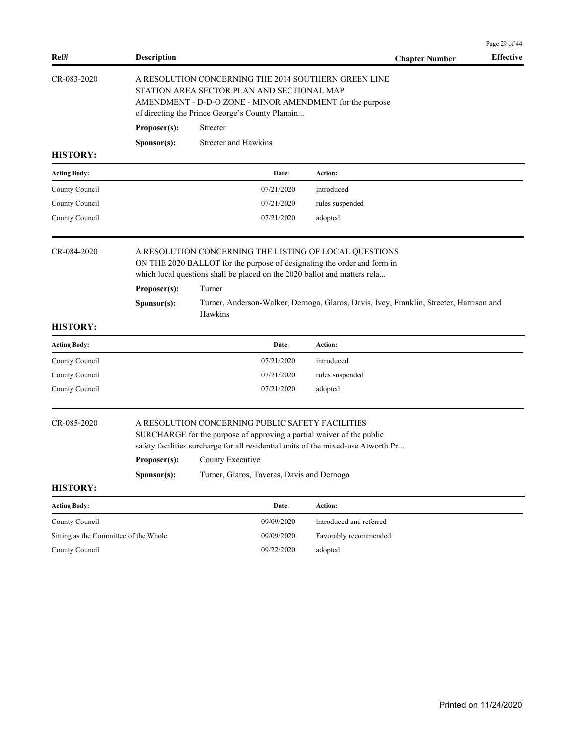| Ref#                                  | <b>Description</b>                                                                                                                                                                                                                                                                                              |                      | <b>Chapter Number</b>   | r age $25$ 01 44<br><b>Effective</b> |  |
|---------------------------------------|-----------------------------------------------------------------------------------------------------------------------------------------------------------------------------------------------------------------------------------------------------------------------------------------------------------------|----------------------|-------------------------|--------------------------------------|--|
| CR-083-2020                           | A RESOLUTION CONCERNING THE 2014 SOUTHERN GREEN LINE<br>STATION AREA SECTOR PLAN AND SECTIONAL MAP<br>AMENDMENT - D-D-O ZONE - MINOR AMENDMENT for the purpose<br>of directing the Prince George's County Plannin                                                                                               |                      |                         |                                      |  |
|                                       | Proposer(s):                                                                                                                                                                                                                                                                                                    | Streeter             |                         |                                      |  |
|                                       | Sponsor(s):                                                                                                                                                                                                                                                                                                     | Streeter and Hawkins |                         |                                      |  |
| <b>HISTORY:</b>                       |                                                                                                                                                                                                                                                                                                                 |                      |                         |                                      |  |
| <b>Acting Body:</b>                   |                                                                                                                                                                                                                                                                                                                 | Date:                | Action:                 |                                      |  |
| County Council                        |                                                                                                                                                                                                                                                                                                                 | 07/21/2020           | introduced              |                                      |  |
| County Council                        |                                                                                                                                                                                                                                                                                                                 | 07/21/2020           | rules suspended         |                                      |  |
| County Council                        |                                                                                                                                                                                                                                                                                                                 | 07/21/2020           | adopted                 |                                      |  |
| CR-084-2020                           | A RESOLUTION CONCERNING THE LISTING OF LOCAL QUESTIONS<br>ON THE 2020 BALLOT for the purpose of designating the order and form in<br>which local questions shall be placed on the 2020 ballot and matters rela                                                                                                  |                      |                         |                                      |  |
|                                       | Proposer(s):                                                                                                                                                                                                                                                                                                    | Turner               |                         |                                      |  |
|                                       | Turner, Anderson-Walker, Dernoga, Glaros, Davis, Ivey, Franklin, Streeter, Harrison and<br>Sponsor(s):<br>Hawkins                                                                                                                                                                                               |                      |                         |                                      |  |
| <b>HISTORY:</b>                       |                                                                                                                                                                                                                                                                                                                 |                      |                         |                                      |  |
| <b>Acting Body:</b>                   |                                                                                                                                                                                                                                                                                                                 | Date:                | Action:                 |                                      |  |
| County Council                        |                                                                                                                                                                                                                                                                                                                 | 07/21/2020           | introduced              |                                      |  |
| County Council                        |                                                                                                                                                                                                                                                                                                                 | 07/21/2020           | rules suspended         |                                      |  |
| County Council                        |                                                                                                                                                                                                                                                                                                                 | 07/21/2020           | adopted                 |                                      |  |
| CR-085-2020                           | A RESOLUTION CONCERNING PUBLIC SAFETY FACILITIES<br>SURCHARGE for the purpose of approving a partial waiver of the public<br>safety facilities surcharge for all residential units of the mixed-use Atworth Pr<br>Proposer(s):<br>County Executive<br>Sponsor(s):<br>Turner, Glaros, Taveras, Davis and Dernoga |                      |                         |                                      |  |
| <b>HISTORY:</b>                       |                                                                                                                                                                                                                                                                                                                 |                      |                         |                                      |  |
| <b>Acting Body:</b>                   |                                                                                                                                                                                                                                                                                                                 | Date:                | Action:                 |                                      |  |
| County Council                        |                                                                                                                                                                                                                                                                                                                 | 09/09/2020           | introduced and referred |                                      |  |
| Sitting as the Committee of the Whole |                                                                                                                                                                                                                                                                                                                 | 09/09/2020           | Favorably recommended   |                                      |  |
| County Council                        |                                                                                                                                                                                                                                                                                                                 | 09/22/2020           | adopted                 |                                      |  |
|                                       |                                                                                                                                                                                                                                                                                                                 |                      |                         |                                      |  |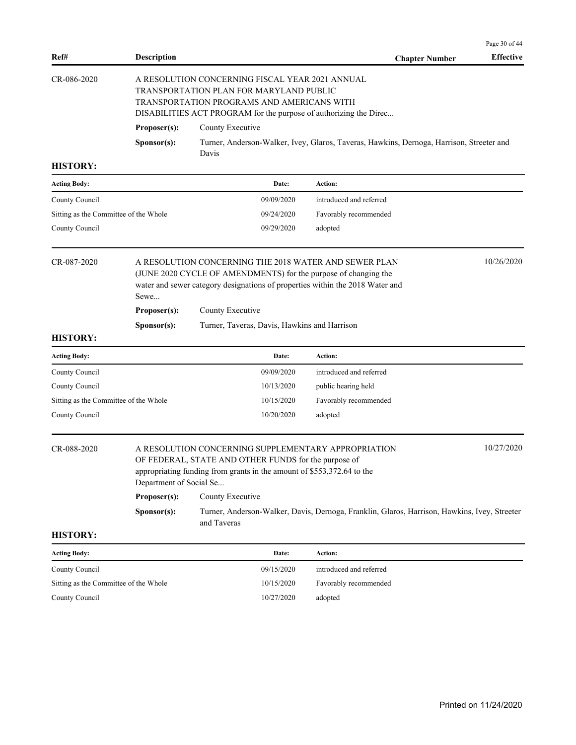|                                                         |                                                                                                                                                                                                                                 |                                                                                                                                                                                                               |                                                                                              | Page 30 of 44    |  |
|---------------------------------------------------------|---------------------------------------------------------------------------------------------------------------------------------------------------------------------------------------------------------------------------------|---------------------------------------------------------------------------------------------------------------------------------------------------------------------------------------------------------------|----------------------------------------------------------------------------------------------|------------------|--|
| Ref#                                                    | <b>Description</b>                                                                                                                                                                                                              |                                                                                                                                                                                                               | <b>Chapter Number</b>                                                                        | <b>Effective</b> |  |
| CR-086-2020                                             |                                                                                                                                                                                                                                 | A RESOLUTION CONCERNING FISCAL YEAR 2021 ANNUAL<br>TRANSPORTATION PLAN FOR MARYLAND PUBLIC<br>TRANSPORTATION PROGRAMS AND AMERICANS WITH<br>DISABILITIES ACT PROGRAM for the purpose of authorizing the Direc |                                                                                              |                  |  |
|                                                         | Proposer(s):                                                                                                                                                                                                                    | County Executive                                                                                                                                                                                              |                                                                                              |                  |  |
|                                                         | Sponsor(s):                                                                                                                                                                                                                     | Davis                                                                                                                                                                                                         | Turner, Anderson-Walker, Ivey, Glaros, Taveras, Hawkins, Dernoga, Harrison, Streeter and     |                  |  |
| <b>HISTORY:</b>                                         |                                                                                                                                                                                                                                 |                                                                                                                                                                                                               |                                                                                              |                  |  |
| <b>Acting Body:</b>                                     |                                                                                                                                                                                                                                 | Date:                                                                                                                                                                                                         | Action:                                                                                      |                  |  |
| County Council                                          |                                                                                                                                                                                                                                 | 09/09/2020                                                                                                                                                                                                    | introduced and referred                                                                      |                  |  |
| Sitting as the Committee of the Whole                   |                                                                                                                                                                                                                                 | 09/24/2020                                                                                                                                                                                                    | Favorably recommended                                                                        |                  |  |
| County Council                                          |                                                                                                                                                                                                                                 | 09/29/2020                                                                                                                                                                                                    | adopted                                                                                      |                  |  |
| CR-087-2020                                             | 10/26/2020<br>A RESOLUTION CONCERNING THE 2018 WATER AND SEWER PLAN<br>(JUNE 2020 CYCLE OF AMENDMENTS) for the purpose of changing the<br>water and sewer category designations of properties within the 2018 Water and<br>Sewe |                                                                                                                                                                                                               |                                                                                              |                  |  |
|                                                         | Proposer(s):                                                                                                                                                                                                                    | County Executive                                                                                                                                                                                              |                                                                                              |                  |  |
|                                                         | Sponsor(s):                                                                                                                                                                                                                     | Turner, Taveras, Davis, Hawkins and Harrison                                                                                                                                                                  |                                                                                              |                  |  |
| <b>HISTORY:</b>                                         |                                                                                                                                                                                                                                 |                                                                                                                                                                                                               |                                                                                              |                  |  |
| <b>Acting Body:</b>                                     |                                                                                                                                                                                                                                 | Date:                                                                                                                                                                                                         | Action:                                                                                      |                  |  |
| County Council                                          |                                                                                                                                                                                                                                 | 09/09/2020                                                                                                                                                                                                    | introduced and referred                                                                      |                  |  |
| County Council<br>Sitting as the Committee of the Whole |                                                                                                                                                                                                                                 | 10/13/2020<br>10/15/2020                                                                                                                                                                                      | public hearing held<br>Favorably recommended                                                 |                  |  |
| County Council                                          |                                                                                                                                                                                                                                 | 10/20/2020                                                                                                                                                                                                    | adopted                                                                                      |                  |  |
| CR-088-2020                                             | Department of Social Se                                                                                                                                                                                                         | A RESOLUTION CONCERNING SUPPLEMENTARY APPROPRIATION<br>OF FEDERAL, STATE AND OTHER FUNDS for the purpose of<br>appropriating funding from grants in the amount of \$553,372.64 to the                         |                                                                                              | 10/27/2020       |  |
|                                                         | Proposer(s):                                                                                                                                                                                                                    | County Executive                                                                                                                                                                                              |                                                                                              |                  |  |
|                                                         | Sponsor(s):                                                                                                                                                                                                                     | and Taveras                                                                                                                                                                                                   | Turner, Anderson-Walker, Davis, Dernoga, Franklin, Glaros, Harrison, Hawkins, Ivey, Streeter |                  |  |
| <b>HISTORY:</b>                                         |                                                                                                                                                                                                                                 |                                                                                                                                                                                                               |                                                                                              |                  |  |
| <b>Acting Body:</b>                                     |                                                                                                                                                                                                                                 | Date:                                                                                                                                                                                                         | Action:                                                                                      |                  |  |
| County Council                                          |                                                                                                                                                                                                                                 | 09/15/2020                                                                                                                                                                                                    | introduced and referred                                                                      |                  |  |
| Sitting as the Committee of the Whole                   |                                                                                                                                                                                                                                 | 10/15/2020                                                                                                                                                                                                    | Favorably recommended                                                                        |                  |  |
| County Council                                          |                                                                                                                                                                                                                                 | 10/27/2020                                                                                                                                                                                                    | adopted                                                                                      |                  |  |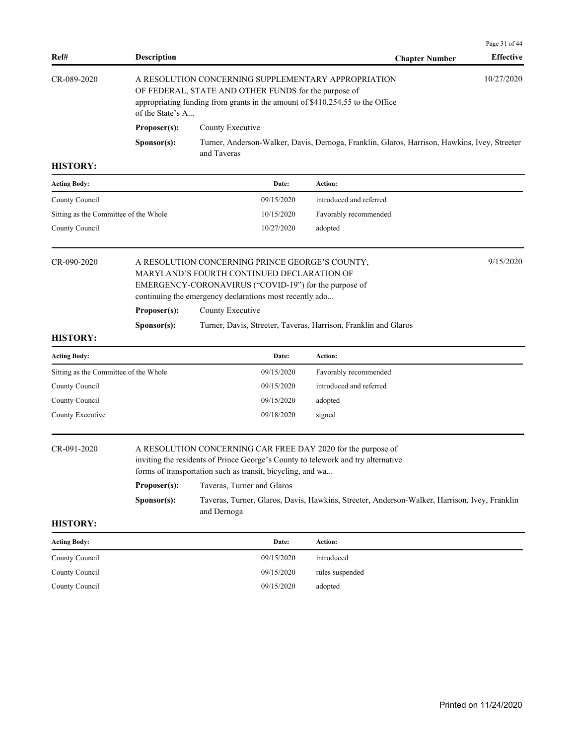| Ref#                                  | <b>Description</b>                                                                                                                                                                                                             |                                                                                                                                                                                                                                                                                                                                                             | <b>Chapter Number</b>                                                                        | Page 31 of 44<br><b>Effective</b> |  |
|---------------------------------------|--------------------------------------------------------------------------------------------------------------------------------------------------------------------------------------------------------------------------------|-------------------------------------------------------------------------------------------------------------------------------------------------------------------------------------------------------------------------------------------------------------------------------------------------------------------------------------------------------------|----------------------------------------------------------------------------------------------|-----------------------------------|--|
| CR-089-2020                           | of the State's A                                                                                                                                                                                                               | A RESOLUTION CONCERNING SUPPLEMENTARY APPROPRIATION<br>OF FEDERAL, STATE AND OTHER FUNDS for the purpose of<br>appropriating funding from grants in the amount of \$410,254.55 to the Office                                                                                                                                                                |                                                                                              | 10/27/2020                        |  |
|                                       | Proposer(s):                                                                                                                                                                                                                   | County Executive                                                                                                                                                                                                                                                                                                                                            |                                                                                              |                                   |  |
|                                       | Sponsor(s):                                                                                                                                                                                                                    | and Taveras                                                                                                                                                                                                                                                                                                                                                 | Turner, Anderson-Walker, Davis, Dernoga, Franklin, Glaros, Harrison, Hawkins, Ivey, Streeter |                                   |  |
| <b>HISTORY:</b>                       |                                                                                                                                                                                                                                |                                                                                                                                                                                                                                                                                                                                                             |                                                                                              |                                   |  |
| <b>Acting Body:</b>                   |                                                                                                                                                                                                                                | Date:                                                                                                                                                                                                                                                                                                                                                       | Action:                                                                                      |                                   |  |
| County Council                        |                                                                                                                                                                                                                                | 09/15/2020                                                                                                                                                                                                                                                                                                                                                  | introduced and referred                                                                      |                                   |  |
| Sitting as the Committee of the Whole |                                                                                                                                                                                                                                | 10/15/2020                                                                                                                                                                                                                                                                                                                                                  | Favorably recommended                                                                        |                                   |  |
| County Council                        |                                                                                                                                                                                                                                | 10/27/2020                                                                                                                                                                                                                                                                                                                                                  | adopted                                                                                      |                                   |  |
| CR-090-2020                           | 9/15/2020<br>A RESOLUTION CONCERNING PRINCE GEORGE'S COUNTY,<br>MARYLAND'S FOURTH CONTINUED DECLARATION OF<br>EMERGENCY-CORONAVIRUS ("COVID-19") for the purpose of<br>continuing the emergency declarations most recently ado |                                                                                                                                                                                                                                                                                                                                                             |                                                                                              |                                   |  |
|                                       | County Executive<br>Proposer(s):                                                                                                                                                                                               |                                                                                                                                                                                                                                                                                                                                                             |                                                                                              |                                   |  |
|                                       | Sponsor(s):                                                                                                                                                                                                                    |                                                                                                                                                                                                                                                                                                                                                             | Turner, Davis, Streeter, Taveras, Harrison, Franklin and Glaros                              |                                   |  |
| <b>HISTORY:</b>                       |                                                                                                                                                                                                                                |                                                                                                                                                                                                                                                                                                                                                             |                                                                                              |                                   |  |
| <b>Acting Body:</b>                   |                                                                                                                                                                                                                                | Date:                                                                                                                                                                                                                                                                                                                                                       | Action:                                                                                      |                                   |  |
| Sitting as the Committee of the Whole |                                                                                                                                                                                                                                | 09/15/2020                                                                                                                                                                                                                                                                                                                                                  | Favorably recommended                                                                        |                                   |  |
| County Council                        |                                                                                                                                                                                                                                | 09/15/2020                                                                                                                                                                                                                                                                                                                                                  | introduced and referred                                                                      |                                   |  |
| County Council                        |                                                                                                                                                                                                                                | 09/15/2020                                                                                                                                                                                                                                                                                                                                                  | adopted                                                                                      |                                   |  |
| County Executive                      |                                                                                                                                                                                                                                | 09/18/2020                                                                                                                                                                                                                                                                                                                                                  | signed                                                                                       |                                   |  |
| CR-091-2020                           | Proposer(s):<br>Sponsor(s):                                                                                                                                                                                                    | A RESOLUTION CONCERNING CAR FREE DAY 2020 for the purpose of<br>inviting the residents of Prince George's County to telework and try alternative<br>forms of transportation such as transit, bicycling, and wa<br>Taveras, Turner and Glaros<br>Taveras, Turner, Glaros, Davis, Hawkins, Streeter, Anderson-Walker, Harrison, Ivey, Franklin<br>and Dernoga |                                                                                              |                                   |  |
| <b>HISTORY:</b>                       |                                                                                                                                                                                                                                |                                                                                                                                                                                                                                                                                                                                                             |                                                                                              |                                   |  |
| <b>Acting Body:</b>                   |                                                                                                                                                                                                                                | Date:                                                                                                                                                                                                                                                                                                                                                       | Action:                                                                                      |                                   |  |
| County Council                        |                                                                                                                                                                                                                                | 09/15/2020                                                                                                                                                                                                                                                                                                                                                  | introduced                                                                                   |                                   |  |
| County Council                        |                                                                                                                                                                                                                                | 09/15/2020                                                                                                                                                                                                                                                                                                                                                  | rules suspended                                                                              |                                   |  |
| County Council                        |                                                                                                                                                                                                                                | 09/15/2020                                                                                                                                                                                                                                                                                                                                                  | adopted                                                                                      |                                   |  |
|                                       |                                                                                                                                                                                                                                |                                                                                                                                                                                                                                                                                                                                                             |                                                                                              |                                   |  |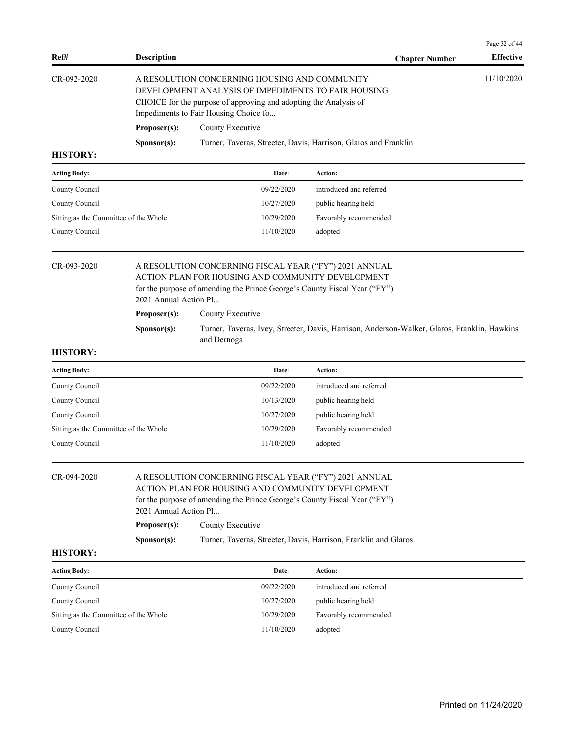| Ref#              | <b>Description</b>                                                                      | <b>Chapter Number</b>                                                                                                                                                                                             | <b>Effective</b> |  |
|-------------------|-----------------------------------------------------------------------------------------|-------------------------------------------------------------------------------------------------------------------------------------------------------------------------------------------------------------------|------------------|--|
| $CR - 092 - 2020$ |                                                                                         | A RESOLUTION CONCERNING HOUSING AND COMMUNITY<br>DEVELOPMENT ANALYSIS OF IMPEDIMENTS TO FAIR HOUSING<br>CHOICE for the purpose of approving and adopting the Analysis of<br>Impediments to Fair Housing Choice fo | 11/10/2020       |  |
|                   | Proposer(s):                                                                            | County Executive                                                                                                                                                                                                  |                  |  |
|                   | Turner, Taveras, Streeter, Davis, Harrison, Glaros and Franklin<br>S <b>p</b> onsor(s): |                                                                                                                                                                                                                   |                  |  |
| <b>HISTORY:</b>   |                                                                                         |                                                                                                                                                                                                                   |                  |  |

| <b>Acting Body:</b>                   | Date:      | Action:                 |
|---------------------------------------|------------|-------------------------|
| County Council                        | 09/22/2020 | introduced and referred |
| County Council                        | 10/27/2020 | public hearing held     |
| Sitting as the Committee of the Whole | 10/29/2020 | Favorably recommended   |
| County Council                        | 11/10/2020 | adopted                 |

## CR-093-2020 A RESOLUTION CONCERNING FISCAL YEAR ("FY") 2021 ANNUAL ACTION PLAN FOR HOUSING AND COMMUNITY DEVELOPMENT for the purpose of amending the Prince George's County Fiscal Year ("FY") 2021 Annual Action Pl... Proposer(s): County Executive **Sponsor(s):** Turner, Taveras, Ivey, Streeter, Davis, Harrison, Anderson-Walker, Glaros, Franklin, Hawkins

#### **HISTORY:**

| <b>Acting Body:</b>                   | Date:      | Action:                 |
|---------------------------------------|------------|-------------------------|
| County Council                        | 09/22/2020 | introduced and referred |
| County Council                        | 10/13/2020 | public hearing held     |
| County Council                        | 10/27/2020 | public hearing held     |
| Sitting as the Committee of the Whole | 10/29/2020 | Favorably recommended   |
| County Council                        | 11/10/2020 | adopted                 |

## CR-094-2020 A RESOLUTION CONCERNING FISCAL YEAR ("FY") 2021 ANNUAL

ACTION PLAN FOR HOUSING AND COMMUNITY DEVELOPMENT for the purpose of amending the Prince George's County Fiscal Year ("FY") 2021 Annual Action Pl...

**Proposer(s):** County Executive

and Dernoga

Sponsor(s): Turner, Taveras, Streeter, Davis, Harrison, Franklin and Glaros

#### **HISTORY:**

| <b>Acting Body:</b>                   | Date:      | Action:                 |
|---------------------------------------|------------|-------------------------|
| County Council                        | 09/22/2020 | introduced and referred |
| County Council                        | 10/27/2020 | public hearing held     |
| Sitting as the Committee of the Whole | 10/29/2020 | Favorably recommended   |
| County Council                        | 11/10/2020 | adopted                 |

Page 32 of 44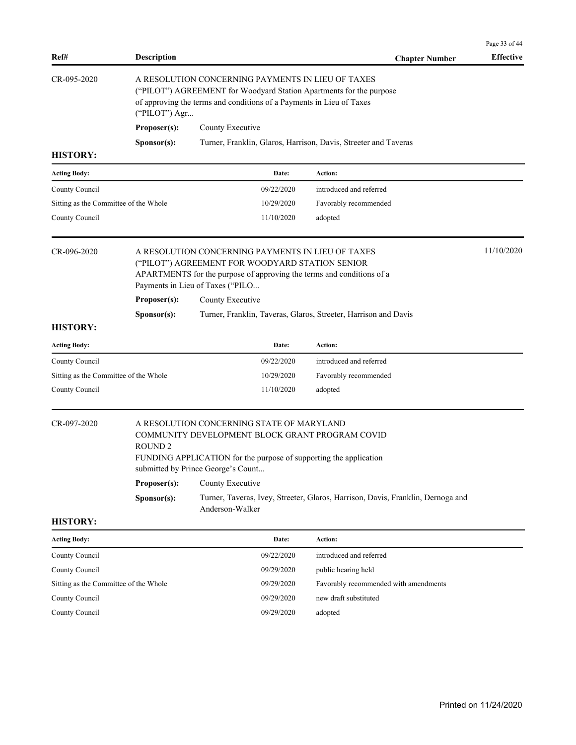| Ref#                                  | <b>Description</b>                                                                                                                                                                                                |                                                                                                                                                                                                                   | <b>Chapter Number</b>                                                           | Page 33 of 44<br><b>Effective</b> |  |  |
|---------------------------------------|-------------------------------------------------------------------------------------------------------------------------------------------------------------------------------------------------------------------|-------------------------------------------------------------------------------------------------------------------------------------------------------------------------------------------------------------------|---------------------------------------------------------------------------------|-----------------------------------|--|--|
| CR-095-2020                           | A RESOLUTION CONCERNING PAYMENTS IN LIEU OF TAXES<br>("PILOT") AGREEMENT for Woodyard Station Apartments for the purpose<br>of approving the terms and conditions of a Payments in Lieu of Taxes<br>("PILOT") Agr |                                                                                                                                                                                                                   |                                                                                 |                                   |  |  |
|                                       | Proposer(s):<br>County Executive                                                                                                                                                                                  |                                                                                                                                                                                                                   |                                                                                 |                                   |  |  |
|                                       | Sponsor(s):                                                                                                                                                                                                       |                                                                                                                                                                                                                   | Turner, Franklin, Glaros, Harrison, Davis, Streeter and Taveras                 |                                   |  |  |
| <b>HISTORY:</b>                       |                                                                                                                                                                                                                   |                                                                                                                                                                                                                   |                                                                                 |                                   |  |  |
| <b>Acting Body:</b>                   |                                                                                                                                                                                                                   | Date:                                                                                                                                                                                                             | Action:                                                                         |                                   |  |  |
| County Council                        |                                                                                                                                                                                                                   | 09/22/2020                                                                                                                                                                                                        | introduced and referred                                                         |                                   |  |  |
| Sitting as the Committee of the Whole |                                                                                                                                                                                                                   | 10/29/2020                                                                                                                                                                                                        | Favorably recommended                                                           |                                   |  |  |
| County Council                        |                                                                                                                                                                                                                   | 11/10/2020                                                                                                                                                                                                        | adopted                                                                         |                                   |  |  |
| CR-096-2020                           |                                                                                                                                                                                                                   | A RESOLUTION CONCERNING PAYMENTS IN LIEU OF TAXES<br>("PILOT") AGREEMENT FOR WOODYARD STATION SENIOR<br>APARTMENTS for the purpose of approving the terms and conditions of a<br>Payments in Lieu of Taxes ("PILO |                                                                                 | 11/10/2020                        |  |  |
|                                       | Proposer(s):                                                                                                                                                                                                      | County Executive                                                                                                                                                                                                  |                                                                                 |                                   |  |  |
|                                       | Sponsor(s):                                                                                                                                                                                                       |                                                                                                                                                                                                                   | Turner, Franklin, Taveras, Glaros, Streeter, Harrison and Davis                 |                                   |  |  |
| <b>HISTORY:</b>                       |                                                                                                                                                                                                                   |                                                                                                                                                                                                                   |                                                                                 |                                   |  |  |
| <b>Acting Body:</b>                   |                                                                                                                                                                                                                   | Date:                                                                                                                                                                                                             | Action:                                                                         |                                   |  |  |
| County Council                        |                                                                                                                                                                                                                   | 09/22/2020                                                                                                                                                                                                        | introduced and referred                                                         |                                   |  |  |
| Sitting as the Committee of the Whole |                                                                                                                                                                                                                   | 10/29/2020                                                                                                                                                                                                        | Favorably recommended                                                           |                                   |  |  |
| County Council                        |                                                                                                                                                                                                                   | 11/10/2020                                                                                                                                                                                                        | adopted                                                                         |                                   |  |  |
| CR-097-2020                           | <b>ROUND 2</b>                                                                                                                                                                                                    | A RESOLUTION CONCERNING STATE OF MARYLAND<br>COMMUNITY DEVELOPMENT BLOCK GRANT PROGRAM COVID<br>FUNDING APPLICATION for the purpose of supporting the application<br>submitted by Prince George's Count           |                                                                                 |                                   |  |  |
|                                       | Proposer(s):                                                                                                                                                                                                      | County Executive                                                                                                                                                                                                  |                                                                                 |                                   |  |  |
|                                       | S <b>p</b> onsor(s):                                                                                                                                                                                              | Anderson-Walker                                                                                                                                                                                                   | Turner, Taveras, Ivey, Streeter, Glaros, Harrison, Davis, Franklin, Dernoga and |                                   |  |  |
| <b>HISTORY:</b>                       |                                                                                                                                                                                                                   |                                                                                                                                                                                                                   |                                                                                 |                                   |  |  |
| <b>Acting Body:</b>                   |                                                                                                                                                                                                                   | Date:                                                                                                                                                                                                             | Action:                                                                         |                                   |  |  |
| County Council                        |                                                                                                                                                                                                                   | 09/22/2020                                                                                                                                                                                                        | introduced and referred                                                         |                                   |  |  |
| County Council                        |                                                                                                                                                                                                                   | 09/29/2020                                                                                                                                                                                                        | public hearing held                                                             |                                   |  |  |
| Sitting as the Committee of the Whole |                                                                                                                                                                                                                   | 09/29/2020                                                                                                                                                                                                        | Favorably recommended with amendments                                           |                                   |  |  |
| County Council                        |                                                                                                                                                                                                                   | 09/29/2020                                                                                                                                                                                                        | new draft substituted                                                           |                                   |  |  |
| County Council                        |                                                                                                                                                                                                                   | 09/29/2020                                                                                                                                                                                                        | adopted                                                                         |                                   |  |  |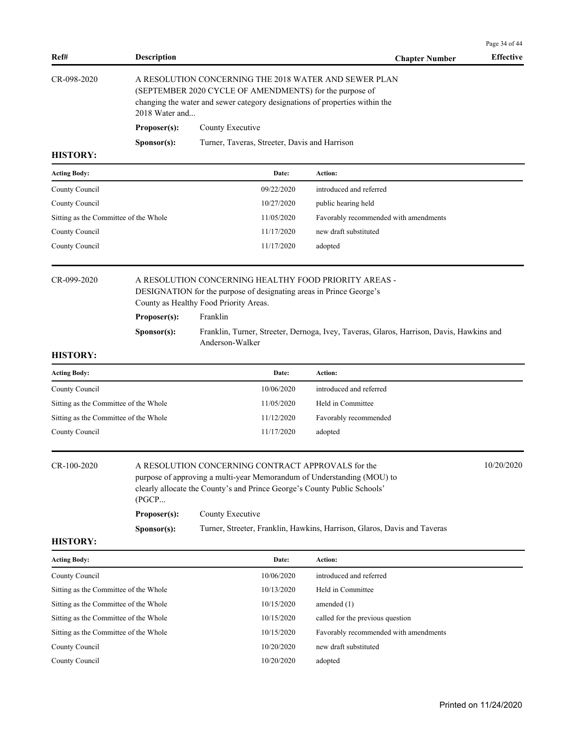| Ref#                                  | <b>Description</b>    |                                                                                                                                                                                                                              | <b>Chapter Number</b>                                                                    | Page 34 of 44<br><b>Effective</b> |
|---------------------------------------|-----------------------|------------------------------------------------------------------------------------------------------------------------------------------------------------------------------------------------------------------------------|------------------------------------------------------------------------------------------|-----------------------------------|
| CR-098-2020                           | 2018 Water and        | A RESOLUTION CONCERNING THE 2018 WATER AND SEWER PLAN<br>(SEPTEMBER 2020 CYCLE OF AMENDMENTS) for the purpose of<br>changing the water and sewer category designations of properties within the                              |                                                                                          |                                   |
|                                       | Proposer(s):          | County Executive                                                                                                                                                                                                             |                                                                                          |                                   |
|                                       | Sponsor(s):           | Turner, Taveras, Streeter, Davis and Harrison                                                                                                                                                                                |                                                                                          |                                   |
| <b>HISTORY:</b>                       |                       |                                                                                                                                                                                                                              |                                                                                          |                                   |
| <b>Acting Body:</b>                   |                       | Date:                                                                                                                                                                                                                        | <b>Action:</b>                                                                           |                                   |
| County Council                        |                       | 09/22/2020                                                                                                                                                                                                                   | introduced and referred                                                                  |                                   |
| County Council                        |                       | 10/27/2020                                                                                                                                                                                                                   | public hearing held                                                                      |                                   |
| Sitting as the Committee of the Whole |                       | 11/05/2020                                                                                                                                                                                                                   | Favorably recommended with amendments                                                    |                                   |
| County Council                        |                       | 11/17/2020                                                                                                                                                                                                                   | new draft substituted                                                                    |                                   |
| County Council                        |                       | 11/17/2020                                                                                                                                                                                                                   | adopted                                                                                  |                                   |
| CR-099-2020                           |                       | A RESOLUTION CONCERNING HEALTHY FOOD PRIORITY AREAS -<br>DESIGNATION for the purpose of designating areas in Prince George's<br>County as Healthy Food Priority Areas.                                                       |                                                                                          |                                   |
|                                       | Proposer(s):          | Franklin                                                                                                                                                                                                                     |                                                                                          |                                   |
|                                       | S <b>p</b> onsor(s):  | Anderson-Walker                                                                                                                                                                                                              | Franklin, Turner, Streeter, Dernoga, Ivey, Taveras, Glaros, Harrison, Davis, Hawkins and |                                   |
| <b>HISTORY:</b>                       |                       |                                                                                                                                                                                                                              |                                                                                          |                                   |
| <b>Acting Body:</b>                   |                       | Date:                                                                                                                                                                                                                        | Action:                                                                                  |                                   |
| County Council                        |                       | 10/06/2020                                                                                                                                                                                                                   | introduced and referred                                                                  |                                   |
| Sitting as the Committee of the Whole |                       | 11/05/2020                                                                                                                                                                                                                   | Held in Committee                                                                        |                                   |
| Sitting as the Committee of the Whole |                       | 11/12/2020                                                                                                                                                                                                                   | Favorably recommended                                                                    |                                   |
| County Council                        |                       | 11/17/2020                                                                                                                                                                                                                   | adopted                                                                                  |                                   |
| CR-100-2020                           | (PGCP<br>Proposer(s): | A RESOLUTION CONCERNING CONTRACT APPROVALS for the<br>purpose of approving a multi-year Memorandum of Understanding (MOU) to<br>clearly allocate the County's and Prince George's County Public Schools'<br>County Executive |                                                                                          | 10/20/2020                        |
| <b>HISTORY:</b>                       | S <b>p</b> onsor(s):  |                                                                                                                                                                                                                              | Turner, Streeter, Franklin, Hawkins, Harrison, Glaros, Davis and Taveras                 |                                   |
| <b>Acting Body:</b>                   |                       | Date:                                                                                                                                                                                                                        | Action:                                                                                  |                                   |
| County Council                        |                       | 10/06/2020                                                                                                                                                                                                                   | introduced and referred                                                                  |                                   |
| Sitting as the Committee of the Whole |                       | 10/13/2020                                                                                                                                                                                                                   | Held in Committee                                                                        |                                   |
| Sitting as the Committee of the Whole |                       | 10/15/2020                                                                                                                                                                                                                   | amended $(1)$                                                                            |                                   |
| Sitting as the Committee of the Whole |                       | 10/15/2020                                                                                                                                                                                                                   | called for the previous question                                                         |                                   |
| Sitting as the Committee of the Whole |                       | 10/15/2020                                                                                                                                                                                                                   | Favorably recommended with amendments                                                    |                                   |
| County Council                        |                       | 10/20/2020                                                                                                                                                                                                                   | new draft substituted                                                                    |                                   |
| County Council                        |                       | 10/20/2020                                                                                                                                                                                                                   | adopted                                                                                  |                                   |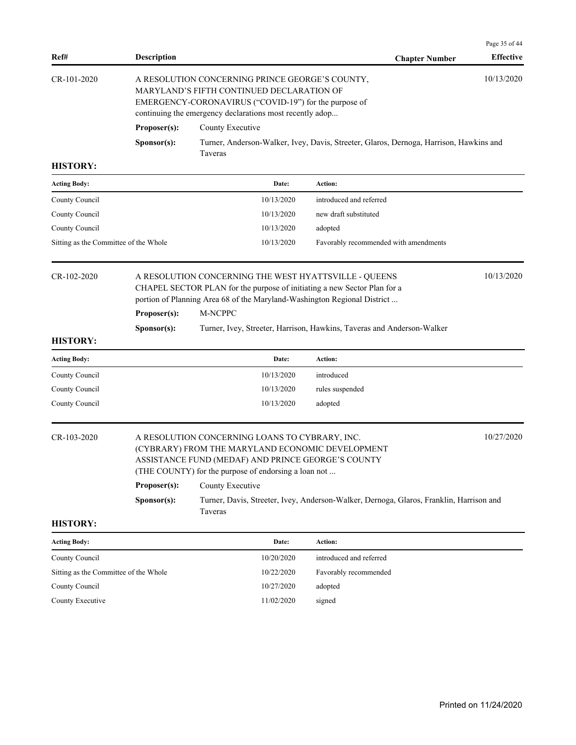|                                       |                                                                                                                                                                                                                                 |                                                                                                                                                                                                                                                 |                                                                                         | Page 35 of 44    |
|---------------------------------------|---------------------------------------------------------------------------------------------------------------------------------------------------------------------------------------------------------------------------------|-------------------------------------------------------------------------------------------------------------------------------------------------------------------------------------------------------------------------------------------------|-----------------------------------------------------------------------------------------|------------------|
| Ref#                                  | <b>Description</b>                                                                                                                                                                                                              |                                                                                                                                                                                                                                                 | <b>Chapter Number</b>                                                                   | <b>Effective</b> |
| CR-101-2020                           | 10/13/2020<br>A RESOLUTION CONCERNING PRINCE GEORGE'S COUNTY,<br>MARYLAND'S FIFTH CONTINUED DECLARATION OF<br>EMERGENCY-CORONAVIRUS ("COVID-19") for the purpose of<br>continuing the emergency declarations most recently adop |                                                                                                                                                                                                                                                 |                                                                                         |                  |
|                                       | Proposer(s):                                                                                                                                                                                                                    | County Executive                                                                                                                                                                                                                                |                                                                                         |                  |
|                                       | Sponsor(s):                                                                                                                                                                                                                     | Taveras                                                                                                                                                                                                                                         | Turner, Anderson-Walker, Ivey, Davis, Streeter, Glaros, Dernoga, Harrison, Hawkins and  |                  |
| <b>HISTORY:</b>                       |                                                                                                                                                                                                                                 |                                                                                                                                                                                                                                                 |                                                                                         |                  |
| <b>Acting Body:</b>                   |                                                                                                                                                                                                                                 | Date:                                                                                                                                                                                                                                           | Action:                                                                                 |                  |
| County Council                        |                                                                                                                                                                                                                                 | 10/13/2020                                                                                                                                                                                                                                      | introduced and referred                                                                 |                  |
| County Council                        |                                                                                                                                                                                                                                 | 10/13/2020                                                                                                                                                                                                                                      | new draft substituted                                                                   |                  |
| County Council                        |                                                                                                                                                                                                                                 | 10/13/2020                                                                                                                                                                                                                                      | adopted                                                                                 |                  |
| Sitting as the Committee of the Whole |                                                                                                                                                                                                                                 | 10/13/2020                                                                                                                                                                                                                                      | Favorably recommended with amendments                                                   |                  |
| CR-102-2020<br><b>HISTORY:</b>        | Proposer(s):<br>Sponsor(s):                                                                                                                                                                                                     | A RESOLUTION CONCERNING THE WEST HYATTSVILLE - QUEENS<br>CHAPEL SECTOR PLAN for the purpose of initiating a new Sector Plan for a<br>portion of Planning Area 68 of the Maryland-Washington Regional District<br>M-NCPPC                        | Turner, Ivey, Streeter, Harrison, Hawkins, Taveras and Anderson-Walker                  | 10/13/2020       |
| <b>Acting Body:</b>                   |                                                                                                                                                                                                                                 | Date:                                                                                                                                                                                                                                           | Action:                                                                                 |                  |
| County Council                        |                                                                                                                                                                                                                                 | 10/13/2020                                                                                                                                                                                                                                      | introduced                                                                              |                  |
| County Council                        |                                                                                                                                                                                                                                 | 10/13/2020                                                                                                                                                                                                                                      | rules suspended                                                                         |                  |
| County Council                        |                                                                                                                                                                                                                                 | 10/13/2020                                                                                                                                                                                                                                      | adopted                                                                                 |                  |
| CR-103-2020                           | Proposer(s):<br>Sponsor(s):                                                                                                                                                                                                     | A RESOLUTION CONCERNING LOANS TO CYBRARY, INC.<br>(CYBRARY) FROM THE MARYLAND ECONOMIC DEVELOPMENT<br>ASSISTANCE FUND (MEDAF) AND PRINCE GEORGE'S COUNTY<br>(THE COUNTY) for the purpose of endorsing a loan not<br>County Executive<br>Taveras | Turner, Davis, Streeter, Ivey, Anderson-Walker, Dernoga, Glaros, Franklin, Harrison and | 10/27/2020       |
| <b>HISTORY:</b>                       |                                                                                                                                                                                                                                 |                                                                                                                                                                                                                                                 |                                                                                         |                  |
| <b>Acting Body:</b>                   |                                                                                                                                                                                                                                 | Date:                                                                                                                                                                                                                                           | Action:                                                                                 |                  |
| County Council                        |                                                                                                                                                                                                                                 | 10/20/2020                                                                                                                                                                                                                                      | introduced and referred                                                                 |                  |
| Sitting as the Committee of the Whole |                                                                                                                                                                                                                                 | 10/22/2020                                                                                                                                                                                                                                      | Favorably recommended                                                                   |                  |
| County Council                        |                                                                                                                                                                                                                                 | 10/27/2020                                                                                                                                                                                                                                      | adopted                                                                                 |                  |
| County Executive                      |                                                                                                                                                                                                                                 | 11/02/2020                                                                                                                                                                                                                                      | signed                                                                                  |                  |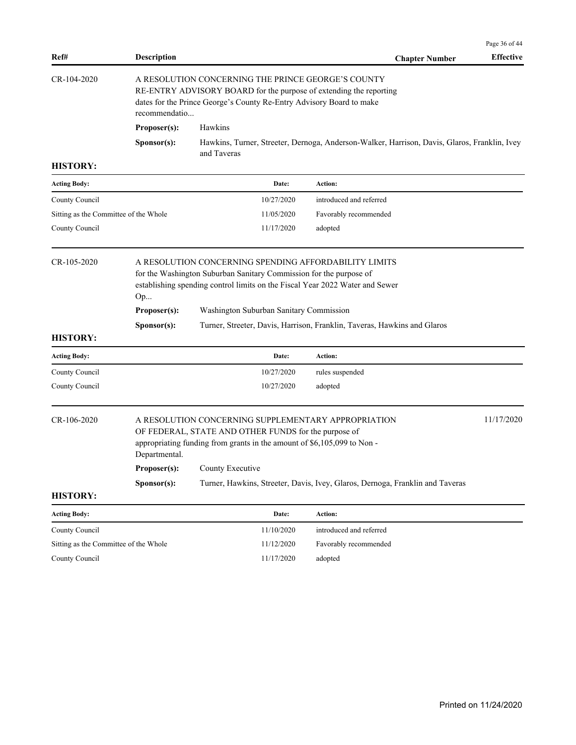| Ref#                                  | <b>Description</b>                                                                                                                                                                                                |                                                                                                                                                                                                             | <b>Chapter Number</b>                                                                        | Page 36 of 44<br><b>Effective</b> |  |  |
|---------------------------------------|-------------------------------------------------------------------------------------------------------------------------------------------------------------------------------------------------------------------|-------------------------------------------------------------------------------------------------------------------------------------------------------------------------------------------------------------|----------------------------------------------------------------------------------------------|-----------------------------------|--|--|
| CR-104-2020                           | A RESOLUTION CONCERNING THE PRINCE GEORGE'S COUNTY<br>RE-ENTRY ADVISORY BOARD for the purpose of extending the reporting<br>dates for the Prince George's County Re-Entry Advisory Board to make<br>recommendatio |                                                                                                                                                                                                             |                                                                                              |                                   |  |  |
|                                       | Proposer(s):                                                                                                                                                                                                      | Hawkins                                                                                                                                                                                                     |                                                                                              |                                   |  |  |
|                                       | Sponsor(s):                                                                                                                                                                                                       | and Taveras                                                                                                                                                                                                 | Hawkins, Turner, Streeter, Dernoga, Anderson-Walker, Harrison, Davis, Glaros, Franklin, Ivey |                                   |  |  |
| <b>HISTORY:</b>                       |                                                                                                                                                                                                                   |                                                                                                                                                                                                             |                                                                                              |                                   |  |  |
| <b>Acting Body:</b>                   |                                                                                                                                                                                                                   | Date:                                                                                                                                                                                                       | Action:                                                                                      |                                   |  |  |
| County Council                        |                                                                                                                                                                                                                   | 10/27/2020                                                                                                                                                                                                  | introduced and referred                                                                      |                                   |  |  |
| Sitting as the Committee of the Whole |                                                                                                                                                                                                                   | 11/05/2020                                                                                                                                                                                                  | Favorably recommended                                                                        |                                   |  |  |
| County Council                        |                                                                                                                                                                                                                   | 11/17/2020                                                                                                                                                                                                  | adopted                                                                                      |                                   |  |  |
| CR-105-2020                           | Op                                                                                                                                                                                                                | A RESOLUTION CONCERNING SPENDING AFFORDABILITY LIMITS<br>for the Washington Suburban Sanitary Commission for the purpose of<br>establishing spending control limits on the Fiscal Year 2022 Water and Sewer |                                                                                              |                                   |  |  |
|                                       | Proposer(s):                                                                                                                                                                                                      | Washington Suburban Sanitary Commission                                                                                                                                                                     |                                                                                              |                                   |  |  |
| <b>HISTORY:</b>                       | Sponsor(s):                                                                                                                                                                                                       |                                                                                                                                                                                                             | Turner, Streeter, Davis, Harrison, Franklin, Taveras, Hawkins and Glaros                     |                                   |  |  |
| <b>Acting Body:</b>                   |                                                                                                                                                                                                                   | Date:                                                                                                                                                                                                       | Action:                                                                                      |                                   |  |  |
| County Council                        |                                                                                                                                                                                                                   | 10/27/2020                                                                                                                                                                                                  | rules suspended                                                                              |                                   |  |  |
| County Council                        |                                                                                                                                                                                                                   | 10/27/2020                                                                                                                                                                                                  | adopted                                                                                      |                                   |  |  |
| CR-106-2020                           | Departmental.                                                                                                                                                                                                     | A RESOLUTION CONCERNING SUPPLEMENTARY APPROPRIATION<br>OF FEDERAL, STATE AND OTHER FUNDS for the purpose of<br>appropriating funding from grants in the amount of $$6,105,099$ to Non -                     |                                                                                              | 11/17/2020                        |  |  |
|                                       | Proposer(s):                                                                                                                                                                                                      | County Executive                                                                                                                                                                                            |                                                                                              |                                   |  |  |
|                                       | Sponsor(s):                                                                                                                                                                                                       |                                                                                                                                                                                                             | Turner, Hawkins, Streeter, Davis, Ivey, Glaros, Dernoga, Franklin and Taveras                |                                   |  |  |
| <b>HISTORY:</b>                       |                                                                                                                                                                                                                   |                                                                                                                                                                                                             |                                                                                              |                                   |  |  |
| <b>Acting Body:</b>                   |                                                                                                                                                                                                                   | Date:                                                                                                                                                                                                       | Action:                                                                                      |                                   |  |  |
| County Council                        |                                                                                                                                                                                                                   | 11/10/2020                                                                                                                                                                                                  | introduced and referred                                                                      |                                   |  |  |
| Sitting as the Committee of the Whole |                                                                                                                                                                                                                   | 11/12/2020                                                                                                                                                                                                  | Favorably recommended                                                                        |                                   |  |  |

County Council 11/17/2020 adopted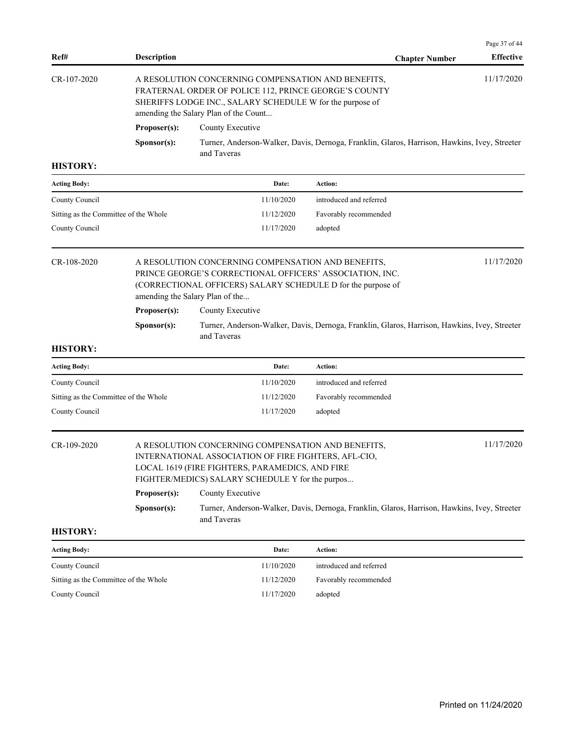| Ref#                                  | <b>Description</b>   |                                                                                                                                                                                                                   |                         | <b>Chapter Number</b> | Page 37 of 44<br><b>Effective</b> |  |  |
|---------------------------------------|----------------------|-------------------------------------------------------------------------------------------------------------------------------------------------------------------------------------------------------------------|-------------------------|-----------------------|-----------------------------------|--|--|
| $CR-107-2020$                         |                      | A RESOLUTION CONCERNING COMPENSATION AND BENEFITS,<br>FRATERNAL ORDER OF POLICE 112, PRINCE GEORGE'S COUNTY<br>SHERIFFS LODGE INC., SALARY SCHEDULE W for the purpose of<br>amending the Salary Plan of the Count |                         |                       | 11/17/2020                        |  |  |
|                                       | Proposer(s):         | County Executive                                                                                                                                                                                                  |                         |                       |                                   |  |  |
|                                       | Sponsor(s):          | Turner, Anderson-Walker, Davis, Dernoga, Franklin, Glaros, Harrison, Hawkins, Ivey, Streeter<br>and Taveras                                                                                                       |                         |                       |                                   |  |  |
| <b>HISTORY:</b>                       |                      |                                                                                                                                                                                                                   |                         |                       |                                   |  |  |
| <b>Acting Body:</b>                   |                      | Date:                                                                                                                                                                                                             | Action:                 |                       |                                   |  |  |
| County Council                        |                      | 11/10/2020                                                                                                                                                                                                        | introduced and referred |                       |                                   |  |  |
| Sitting as the Committee of the Whole |                      | 11/12/2020                                                                                                                                                                                                        | Favorably recommended   |                       |                                   |  |  |
| County Council                        |                      | 11/17/2020                                                                                                                                                                                                        | adopted                 |                       |                                   |  |  |
| CR-108-2020                           |                      | A RESOLUTION CONCERNING COMPENSATION AND BENEFITS,<br>PRINCE GEORGE'S CORRECTIONAL OFFICERS' ASSOCIATION, INC.<br>(CORRECTIONAL OFFICERS) SALARY SCHEDULE D for the purpose of<br>amending the Salary Plan of the |                         |                       | 11/17/2020                        |  |  |
|                                       | Proposer(s):         | County Executive                                                                                                                                                                                                  |                         |                       |                                   |  |  |
|                                       | S <b>p</b> onsor(s): | Turner, Anderson-Walker, Davis, Dernoga, Franklin, Glaros, Harrison, Hawkins, Ivey, Streeter<br>and Taveras                                                                                                       |                         |                       |                                   |  |  |
| <b>HISTORY:</b>                       |                      |                                                                                                                                                                                                                   |                         |                       |                                   |  |  |
| <b>Acting Body:</b>                   |                      | Date:                                                                                                                                                                                                             | Action:                 |                       |                                   |  |  |

| <b>Acting Body:</b>                   | Date:      | Action:                 |
|---------------------------------------|------------|-------------------------|
| County Council                        | 11/10/2020 | introduced and referred |
| Sitting as the Committee of the Whole | 11/12/2020 | Favorably recommended   |
| County Council                        | 11/17/2020 | adopted                 |
|                                       |            |                         |

| CR-109-2020 |                      | 11/17/2020<br>A RESOLUTION CONCERNING COMPENSATION AND BENEFITS,                                            |  |  |  |  |
|-------------|----------------------|-------------------------------------------------------------------------------------------------------------|--|--|--|--|
|             |                      | INTERNATIONAL ASSOCIATION OF FIRE FIGHTERS, AFL-CIO,                                                        |  |  |  |  |
|             |                      | LOCAL 1619 (FIRE FIGHTERS, PARAMEDICS, AND FIRE                                                             |  |  |  |  |
|             |                      | FIGHTER/MEDICS) SALARY SCHEDULE Y for the purpos                                                            |  |  |  |  |
|             | Proposer(s):         | County Executive                                                                                            |  |  |  |  |
|             | S <b>p</b> onsor(s): | Turner, Anderson-Walker, Davis, Dernoga, Franklin, Glaros, Harrison, Hawkins, Ivey, Streeter<br>and Taveras |  |  |  |  |

| <b>Acting Body:</b>                   | Date:      | Action:                 |
|---------------------------------------|------------|-------------------------|
| County Council                        | 11/10/2020 | introduced and referred |
| Sitting as the Committee of the Whole | 11/12/2020 | Favorably recommended   |
| County Council                        | 11/17/2020 | adopted                 |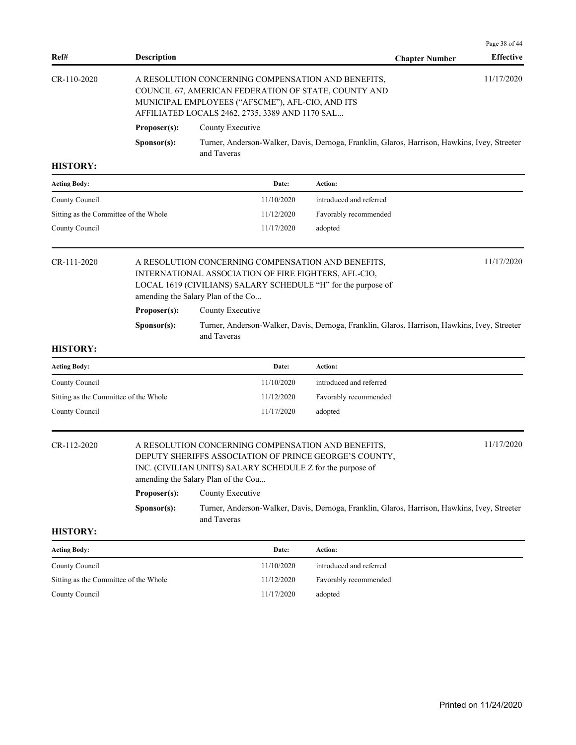| Ref#                                  | <b>Description</b>          |                                                                                                                                                                                                                                       | <b>Chapter Number</b>                                                                        | Page 38 of 44<br><b>Effective</b> |  |  |
|---------------------------------------|-----------------------------|---------------------------------------------------------------------------------------------------------------------------------------------------------------------------------------------------------------------------------------|----------------------------------------------------------------------------------------------|-----------------------------------|--|--|
| CR-110-2020                           |                             | 11/17/2020<br>A RESOLUTION CONCERNING COMPENSATION AND BENEFITS,<br>COUNCIL 67, AMERICAN FEDERATION OF STATE, COUNTY AND<br>MUNICIPAL EMPLOYEES ("AFSCME"), AFL-CIO, AND ITS<br>AFFILIATED LOCALS 2462, 2735, 3389 AND 1170 SAL       |                                                                                              |                                   |  |  |
|                                       | Proposer(s):                | County Executive                                                                                                                                                                                                                      |                                                                                              |                                   |  |  |
|                                       | Sponsor(s):                 | and Taveras                                                                                                                                                                                                                           | Turner, Anderson-Walker, Davis, Dernoga, Franklin, Glaros, Harrison, Hawkins, Ivey, Streeter |                                   |  |  |
| <b>HISTORY:</b>                       |                             |                                                                                                                                                                                                                                       |                                                                                              |                                   |  |  |
| <b>Acting Body:</b>                   |                             | Date:                                                                                                                                                                                                                                 | Action:                                                                                      |                                   |  |  |
| County Council                        |                             | 11/10/2020                                                                                                                                                                                                                            | introduced and referred                                                                      |                                   |  |  |
| Sitting as the Committee of the Whole |                             | 11/12/2020                                                                                                                                                                                                                            | Favorably recommended                                                                        |                                   |  |  |
| County Council                        |                             | 11/17/2020                                                                                                                                                                                                                            | adopted                                                                                      |                                   |  |  |
| CR-111-2020                           |                             | A RESOLUTION CONCERNING COMPENSATION AND BENEFITS,<br>INTERNATIONAL ASSOCIATION OF FIRE FIGHTERS, AFL-CIO,<br>LOCAL 1619 (CIVILIANS) SALARY SCHEDULE "H" for the purpose of<br>amending the Salary Plan of the Co                     |                                                                                              | 11/17/2020                        |  |  |
|                                       | Proposer(s):                | County Executive                                                                                                                                                                                                                      |                                                                                              |                                   |  |  |
|                                       | Sponsor(s):                 | and Taveras                                                                                                                                                                                                                           | Turner, Anderson-Walker, Davis, Dernoga, Franklin, Glaros, Harrison, Hawkins, Ivey, Streeter |                                   |  |  |
| <b>HISTORY:</b>                       |                             |                                                                                                                                                                                                                                       |                                                                                              |                                   |  |  |
| <b>Acting Body:</b>                   |                             | Date:                                                                                                                                                                                                                                 | Action:                                                                                      |                                   |  |  |
| County Council                        |                             | 11/10/2020                                                                                                                                                                                                                            | introduced and referred                                                                      |                                   |  |  |
| Sitting as the Committee of the Whole |                             | 11/12/2020                                                                                                                                                                                                                            | Favorably recommended                                                                        |                                   |  |  |
| County Council                        |                             | 11/17/2020                                                                                                                                                                                                                            | adopted                                                                                      |                                   |  |  |
|                                       |                             |                                                                                                                                                                                                                                       |                                                                                              |                                   |  |  |
| CR-112-2020                           | Proposer(s):<br>Sponsor(s): | A RESOLUTION CONCERNING COMPENSATION AND BENEFITS,<br>DEPUTY SHERIFFS ASSOCIATION OF PRINCE GEORGE'S COUNTY,<br>INC. (CIVILIAN UNITS) SALARY SCHEDULE Z for the purpose of<br>amending the Salary Plan of the Cou<br>County Executive | Turner, Anderson-Walker, Davis, Dernoga, Franklin, Glaros, Harrison, Hawkins, Ivey, Streeter | 11/17/2020                        |  |  |
| <b>HISTORY:</b>                       |                             | and Taveras                                                                                                                                                                                                                           |                                                                                              |                                   |  |  |
| <b>Acting Body:</b>                   |                             | Date:                                                                                                                                                                                                                                 | Action:                                                                                      |                                   |  |  |
| County Council                        |                             | 11/10/2020                                                                                                                                                                                                                            | introduced and referred                                                                      |                                   |  |  |
| Sitting as the Committee of the Whole |                             | 11/12/2020                                                                                                                                                                                                                            | Favorably recommended                                                                        |                                   |  |  |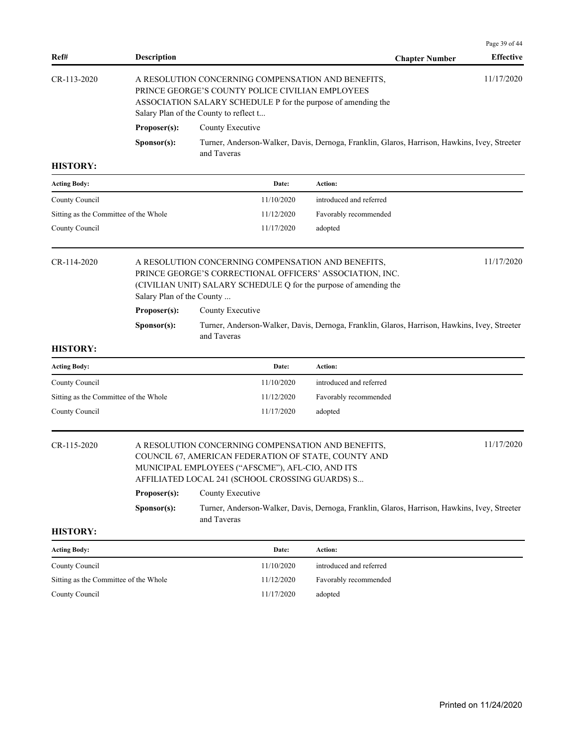| Ref#                                  | <b>Description</b>                                                                                                                                                                                                              |                                                                                                                                                                                                                   | <b>Chapter Number</b>                                                                        | Page 39 of 44<br><b>Effective</b> |  |
|---------------------------------------|---------------------------------------------------------------------------------------------------------------------------------------------------------------------------------------------------------------------------------|-------------------------------------------------------------------------------------------------------------------------------------------------------------------------------------------------------------------|----------------------------------------------------------------------------------------------|-----------------------------------|--|
| CR-113-2020                           | 11/17/2020<br>A RESOLUTION CONCERNING COMPENSATION AND BENEFITS,<br>PRINCE GEORGE'S COUNTY POLICE CIVILIAN EMPLOYEES<br>ASSOCIATION SALARY SCHEDULE P for the purpose of amending the<br>Salary Plan of the County to reflect t |                                                                                                                                                                                                                   |                                                                                              |                                   |  |
|                                       | Proposer(s):                                                                                                                                                                                                                    | County Executive                                                                                                                                                                                                  |                                                                                              |                                   |  |
|                                       | Sponsor(s):                                                                                                                                                                                                                     | and Taveras                                                                                                                                                                                                       | Turner, Anderson-Walker, Davis, Dernoga, Franklin, Glaros, Harrison, Hawkins, Ivey, Streeter |                                   |  |
| <b>HISTORY:</b>                       |                                                                                                                                                                                                                                 |                                                                                                                                                                                                                   |                                                                                              |                                   |  |
| <b>Acting Body:</b>                   |                                                                                                                                                                                                                                 | Date:                                                                                                                                                                                                             | Action:                                                                                      |                                   |  |
| County Council                        |                                                                                                                                                                                                                                 | 11/10/2020                                                                                                                                                                                                        | introduced and referred                                                                      |                                   |  |
| Sitting as the Committee of the Whole |                                                                                                                                                                                                                                 | 11/12/2020                                                                                                                                                                                                        | Favorably recommended                                                                        |                                   |  |
| County Council                        |                                                                                                                                                                                                                                 | 11/17/2020                                                                                                                                                                                                        | adopted                                                                                      |                                   |  |
| CR-114-2020                           | Salary Plan of the County                                                                                                                                                                                                       | A RESOLUTION CONCERNING COMPENSATION AND BENEFITS,<br>PRINCE GEORGE'S CORRECTIONAL OFFICERS' ASSOCIATION, INC.<br>(CIVILIAN UNIT) SALARY SCHEDULE Q for the purpose of amending the                               |                                                                                              | 11/17/2020                        |  |
|                                       | Proposer(s):<br>County Executive                                                                                                                                                                                                |                                                                                                                                                                                                                   |                                                                                              |                                   |  |
|                                       | Sponsor(s):                                                                                                                                                                                                                     | and Taveras                                                                                                                                                                                                       | Turner, Anderson-Walker, Davis, Dernoga, Franklin, Glaros, Harrison, Hawkins, Ivey, Streeter |                                   |  |
| <b>HISTORY:</b>                       |                                                                                                                                                                                                                                 |                                                                                                                                                                                                                   |                                                                                              |                                   |  |
| <b>Acting Body:</b>                   |                                                                                                                                                                                                                                 | Date:                                                                                                                                                                                                             | <b>Action:</b>                                                                               |                                   |  |
| County Council                        |                                                                                                                                                                                                                                 | 11/10/2020                                                                                                                                                                                                        | introduced and referred                                                                      |                                   |  |
| Sitting as the Committee of the Whole |                                                                                                                                                                                                                                 | 11/12/2020                                                                                                                                                                                                        | Favorably recommended                                                                        |                                   |  |
| County Council                        |                                                                                                                                                                                                                                 | 11/17/2020                                                                                                                                                                                                        | adopted                                                                                      |                                   |  |
| CR-115-2020                           |                                                                                                                                                                                                                                 | A RESOLUTION CONCERNING COMPENSATION AND BENEFITS,<br>COUNCIL 67, AMERICAN FEDERATION OF STATE, COUNTY AND<br>MUNICIPAL EMPLOYEES ("AFSCME"), AFL-CIO, AND ITS<br>AFFILIATED LOCAL 241 (SCHOOL CROSSING GUARDS) S |                                                                                              | 11/17/2020                        |  |
|                                       | Proposer(s):                                                                                                                                                                                                                    | County Executive                                                                                                                                                                                                  |                                                                                              |                                   |  |
|                                       | Sponsor(s):                                                                                                                                                                                                                     | and Taveras                                                                                                                                                                                                       | Turner, Anderson-Walker, Davis, Dernoga, Franklin, Glaros, Harrison, Hawkins, Ivey, Streeter |                                   |  |
|                                       |                                                                                                                                                                                                                                 |                                                                                                                                                                                                                   |                                                                                              |                                   |  |
| <b>Acting Body:</b>                   |                                                                                                                                                                                                                                 | Date:                                                                                                                                                                                                             | Action:                                                                                      |                                   |  |
| County Council                        |                                                                                                                                                                                                                                 | 11/10/2020                                                                                                                                                                                                        | introduced and referred                                                                      |                                   |  |
| Sitting as the Committee of the Whole |                                                                                                                                                                                                                                 | 11/12/2020                                                                                                                                                                                                        | Favorably recommended                                                                        |                                   |  |
| County Council                        |                                                                                                                                                                                                                                 | 11/17/2020                                                                                                                                                                                                        | adopted                                                                                      |                                   |  |
| <b>HISTORY:</b>                       |                                                                                                                                                                                                                                 |                                                                                                                                                                                                                   |                                                                                              |                                   |  |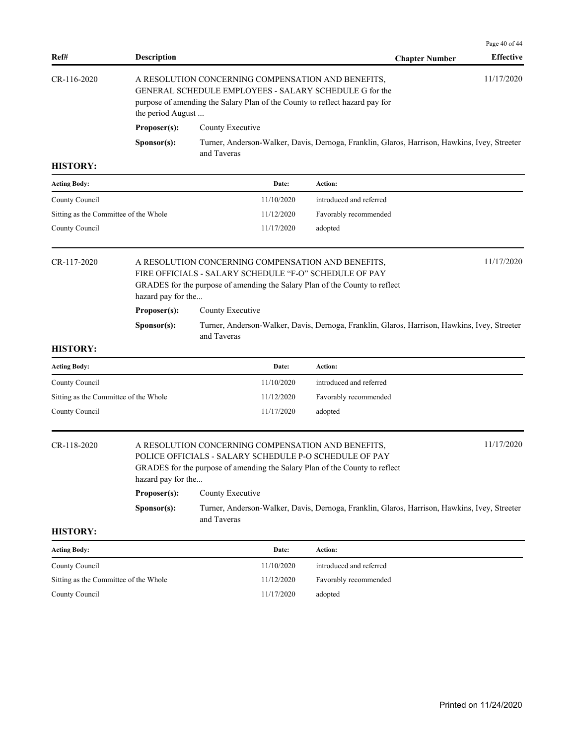| Ref#                                  | <b>Description</b>                                                                                                         |                                                                                                                                                                                             |                         | <b>Chapter Number</b> | Page 40 of 44<br><b>Effective</b> |  |  |
|---------------------------------------|----------------------------------------------------------------------------------------------------------------------------|---------------------------------------------------------------------------------------------------------------------------------------------------------------------------------------------|-------------------------|-----------------------|-----------------------------------|--|--|
| $CR-116-2020$                         | the period August                                                                                                          | A RESOLUTION CONCERNING COMPENSATION AND BENEFITS,<br>GENERAL SCHEDULE EMPLOYEES - SALARY SCHEDULE G for the<br>purpose of amending the Salary Plan of the County to reflect hazard pay for |                         |                       | 11/17/2020                        |  |  |
|                                       | Proposer(s):                                                                                                               | County Executive                                                                                                                                                                            |                         |                       |                                   |  |  |
|                                       | Turner, Anderson-Walker, Davis, Dernoga, Franklin, Glaros, Harrison, Hawkins, Ivey, Streeter<br>Sponsor(s):<br>and Taveras |                                                                                                                                                                                             |                         |                       |                                   |  |  |
| <b>HISTORY:</b>                       |                                                                                                                            |                                                                                                                                                                                             |                         |                       |                                   |  |  |
| <b>Acting Body:</b>                   |                                                                                                                            | Date:                                                                                                                                                                                       | Action:                 |                       |                                   |  |  |
| County Council                        |                                                                                                                            | 11/10/2020                                                                                                                                                                                  | introduced and referred |                       |                                   |  |  |
| Sitting as the Committee of the Whole |                                                                                                                            | 11/12/2020                                                                                                                                                                                  | Favorably recommended   |                       |                                   |  |  |
| County Council                        |                                                                                                                            | 11/17/2020                                                                                                                                                                                  | adopted                 |                       |                                   |  |  |
| $CR-117-2020$                         | hazard pay for the                                                                                                         | A RESOLUTION CONCERNING COMPENSATION AND BENEFITS,<br>FIRE OFFICIALS - SALARY SCHEDULE "F-O" SCHEDULE OF PAY<br>GRADES for the purpose of amending the Salary Plan of the County to reflect |                         |                       | 11/17/2020                        |  |  |
|                                       | Proposer(s):                                                                                                               | County Executive                                                                                                                                                                            |                         |                       |                                   |  |  |
|                                       | Sponsor(s):                                                                                                                | Turner, Anderson-Walker, Davis, Dernoga, Franklin, Glaros, Harrison, Hawkins, Ivey, Streeter<br>and Taveras                                                                                 |                         |                       |                                   |  |  |

| Date:      | Action:                 |
|------------|-------------------------|
| 11/10/2020 | introduced and referred |
| 11/12/2020 | Favorably recommended   |
| 11/17/2020 | adopted                 |
|            |                         |

# CR-118-2020 A RESOLUTION CONCERNING COMPENSATION AND BENEFITS, 11/17/2020

POLICE OFFICIALS - SALARY SCHEDULE P-O SCHEDULE OF PAY GRADES for the purpose of amending the Salary Plan of the County to reflect hazard pay for the... Proposer(s): County Executive

## **Sponsor(s):** Turner, Anderson-Walker, Davis, Dernoga, Franklin, Glaros, Harrison, Hawkins, Ivey, Streeter and Taveras

| <b>Acting Body:</b>                   | Date:      | Action:                 |
|---------------------------------------|------------|-------------------------|
| County Council                        | 11/10/2020 | introduced and referred |
| Sitting as the Committee of the Whole | 11/12/2020 | Favorably recommended   |
| County Council                        | 11/17/2020 | adopted                 |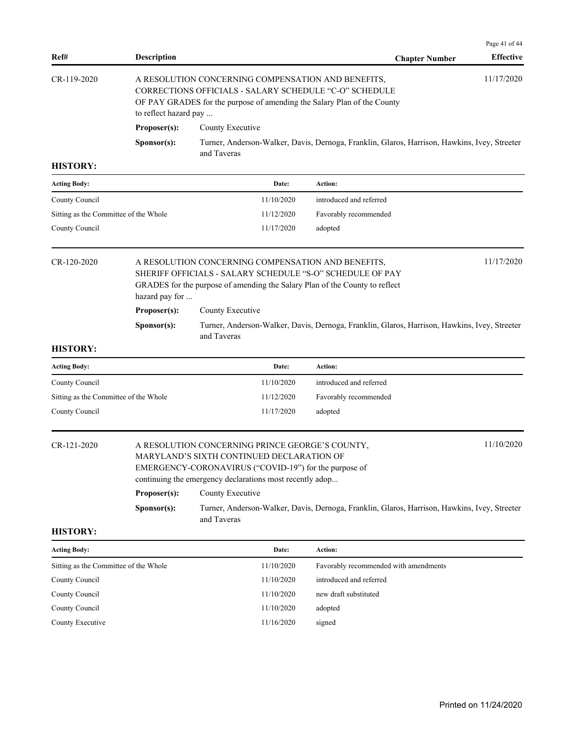|                 |                       |                                                                                                                                                                                         | Page 41 of 44    |
|-----------------|-----------------------|-----------------------------------------------------------------------------------------------------------------------------------------------------------------------------------------|------------------|
| Ref#            | <b>Description</b>    | <b>Chapter Number</b>                                                                                                                                                                   | <b>Effective</b> |
| $CR-119-2020$   | to reflect hazard pay | A RESOLUTION CONCERNING COMPENSATION AND BENEFITS,<br>CORRECTIONS OFFICIALS - SALARY SCHEDULE "C-O" SCHEDULE<br>OF PAY GRADES for the purpose of amending the Salary Plan of the County | 11/17/2020       |
|                 | Proposer(s):          | County Executive                                                                                                                                                                        |                  |
|                 | S <b>p</b> onsor(s):  | Turner, Anderson-Walker, Davis, Dernoga, Franklin, Glaros, Harrison, Hawkins, Ivey, Streeter<br>and Taveras                                                                             |                  |
| <b>HISTORY:</b> |                       |                                                                                                                                                                                         |                  |

| <b>Acting Body:</b>                   | Date:      | Action:                 |
|---------------------------------------|------------|-------------------------|
| County Council                        | 11/10/2020 | introduced and referred |
| Sitting as the Committee of the Whole | 11/12/2020 | Favorably recommended   |
| County Council                        | 11/17/2020 | adopted                 |

CR-120-2020 A RESOLUTION CONCERNING COMPENSATION AND BENEFITS, 11/17/2020 SHERIFF OFFICIALS - SALARY SCHEDULE "S-O" SCHEDULE OF PAY GRADES for the purpose of amending the Salary Plan of the County to reflect hazard pay for ... Proposer(s): County Executive **Sponsor(s):** Turner, Anderson-Walker, Davis, Dernoga, Franklin, Glaros, Harrison, Hawkins, Ivey, Streeter and Taveras

## **HISTORY:**

| <b>Acting Body:</b>                   | Date:      | Action:                 |
|---------------------------------------|------------|-------------------------|
| County Council                        | 11/10/2020 | introduced and referred |
| Sitting as the Committee of the Whole | 11/12/2020 | Favorably recommended   |
|                                       | 11/17/2020 | adopted                 |
| County Council                        |            |                         |

## CR-121-2020 A RESOLUTION CONCERNING PRINCE GEORGE'S COUNTY, 11/10/2020 MARYLAND'S SIXTH CONTINUED DECLARATION OF EMERGENCY-CORONAVIRUS ("COVID-19") for the purpose of continuing the emergency declarations most recently adop... **Proposer(s):** County Executive **Sponsor(s):** Turner, Anderson-Walker, Davis, Dernoga, Franklin, Glaros, Harrison, Hawkins, Ivey, Streeter

and Taveras

| <b>Acting Body:</b>                   | Date:      | Action:                               |
|---------------------------------------|------------|---------------------------------------|
| Sitting as the Committee of the Whole | 11/10/2020 | Favorably recommended with amendments |
| County Council                        | 11/10/2020 | introduced and referred               |
| County Council                        | 11/10/2020 | new draft substituted                 |
| County Council                        | 11/10/2020 | adopted                               |
| County Executive                      | 11/16/2020 | signed                                |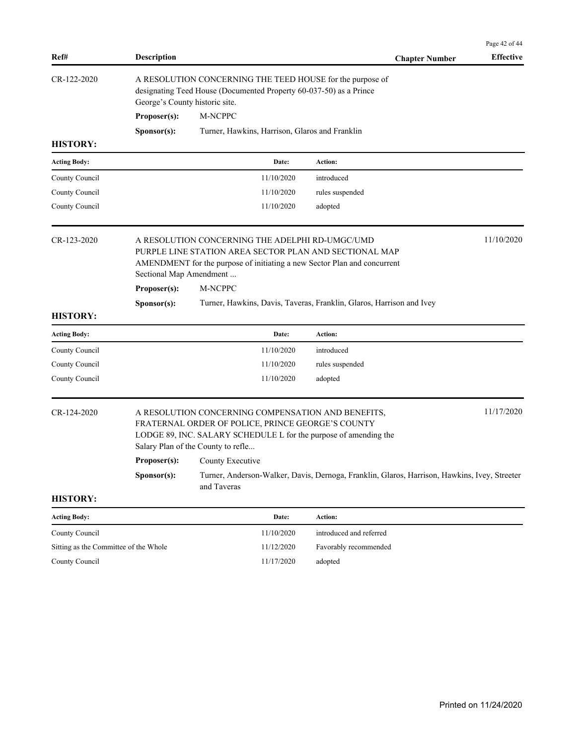|                     |                                |                                                                                                                                                                                                                   |                                                                                              | Page 42 of 44    |
|---------------------|--------------------------------|-------------------------------------------------------------------------------------------------------------------------------------------------------------------------------------------------------------------|----------------------------------------------------------------------------------------------|------------------|
| Ref#                | Description                    |                                                                                                                                                                                                                   | <b>Chapter Number</b>                                                                        | <b>Effective</b> |
| CR-122-2020         | George's County historic site. | A RESOLUTION CONCERNING THE TEED HOUSE for the purpose of<br>designating Teed House (Documented Property 60-037-50) as a Prince                                                                                   |                                                                                              |                  |
|                     | Proposer(s):                   | M-NCPPC                                                                                                                                                                                                           |                                                                                              |                  |
|                     | Sponsor(s):                    | Turner, Hawkins, Harrison, Glaros and Franklin                                                                                                                                                                    |                                                                                              |                  |
| <b>HISTORY:</b>     |                                |                                                                                                                                                                                                                   |                                                                                              |                  |
| <b>Acting Body:</b> |                                | Date:                                                                                                                                                                                                             | Action:                                                                                      |                  |
| County Council      |                                | 11/10/2020                                                                                                                                                                                                        | introduced                                                                                   |                  |
| County Council      |                                | 11/10/2020                                                                                                                                                                                                        | rules suspended                                                                              |                  |
| County Council      |                                | 11/10/2020                                                                                                                                                                                                        | adopted                                                                                      |                  |
| CR-123-2020         | Sectional Map Amendment        | A RESOLUTION CONCERNING THE ADELPHI RD-UMGC/UMD<br>PURPLE LINE STATION AREA SECTOR PLAN AND SECTIONAL MAP<br>AMENDMENT for the purpose of initiating a new Sector Plan and concurrent                             |                                                                                              | 11/10/2020       |
|                     | Proposer(s):                   | M-NCPPC                                                                                                                                                                                                           |                                                                                              |                  |
|                     | S <b>p</b> onsor(s):           |                                                                                                                                                                                                                   | Turner, Hawkins, Davis, Taveras, Franklin, Glaros, Harrison and Ivey                         |                  |
| <b>HISTORY:</b>     |                                |                                                                                                                                                                                                                   |                                                                                              |                  |
| <b>Acting Body:</b> |                                | Date:                                                                                                                                                                                                             | <b>Action:</b>                                                                               |                  |
| County Council      |                                | 11/10/2020                                                                                                                                                                                                        | introduced                                                                                   |                  |
| County Council      |                                | 11/10/2020                                                                                                                                                                                                        | rules suspended                                                                              |                  |
| County Council      |                                | 11/10/2020                                                                                                                                                                                                        | adopted                                                                                      |                  |
| CR-124-2020         |                                | A RESOLUTION CONCERNING COMPENSATION AND BENEFITS,<br>FRATERNAL ORDER OF POLICE, PRINCE GEORGE'S COUNTY<br>LODGE 89, INC. SALARY SCHEDULE L for the purpose of amending the<br>Salary Plan of the County to refle |                                                                                              | 11/17/2020       |
|                     | Proposer(s):                   | County Executive                                                                                                                                                                                                  |                                                                                              |                  |
|                     | S <b>p</b> onsor(s):           | and Taveras                                                                                                                                                                                                       | Turner, Anderson-Walker, Davis, Dernoga, Franklin, Glaros, Harrison, Hawkins, Ivey, Streeter |                  |
| <b>HISTORY:</b>     |                                |                                                                                                                                                                                                                   |                                                                                              |                  |
| <b>Acting Body:</b> |                                | Date:                                                                                                                                                                                                             | Action:                                                                                      |                  |

| County Council                        | 11/10/2020 | introduced and referred |
|---------------------------------------|------------|-------------------------|
| Sitting as the Committee of the Whole | 11/12/2020 | Favorably recommended   |
| County Council                        | 11/17/2020 | adopted                 |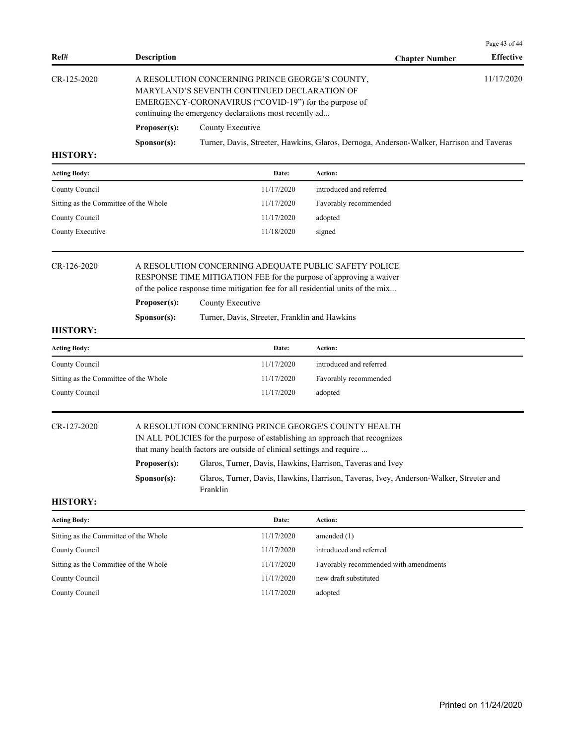| 11/17/2020<br>A RESOLUTION CONCERNING PRINCE GEORGE'S COUNTY,<br>MARYLAND'S SEVENTH CONTINUED DECLARATION OF<br>EMERGENCY-CORONAVIRUS ("COVID-19") for the purpose of<br>Turner, Davis, Streeter, Hawkins, Glaros, Dernoga, Anderson-Walker, Harrison and Taveras<br>introduced and referred<br>Favorably recommended<br>adopted<br>A RESOLUTION CONCERNING ADEQUATE PUBLIC SAFETY POLICE<br>RESPONSE TIME MITIGATION FEE for the purpose of approving a waiver<br>of the police response time mitigation fee for all residential units of the mix<br>Turner, Davis, Streeter, Franklin and Hawkins |
|-----------------------------------------------------------------------------------------------------------------------------------------------------------------------------------------------------------------------------------------------------------------------------------------------------------------------------------------------------------------------------------------------------------------------------------------------------------------------------------------------------------------------------------------------------------------------------------------------------|
|                                                                                                                                                                                                                                                                                                                                                                                                                                                                                                                                                                                                     |
|                                                                                                                                                                                                                                                                                                                                                                                                                                                                                                                                                                                                     |
|                                                                                                                                                                                                                                                                                                                                                                                                                                                                                                                                                                                                     |
|                                                                                                                                                                                                                                                                                                                                                                                                                                                                                                                                                                                                     |
|                                                                                                                                                                                                                                                                                                                                                                                                                                                                                                                                                                                                     |
|                                                                                                                                                                                                                                                                                                                                                                                                                                                                                                                                                                                                     |
|                                                                                                                                                                                                                                                                                                                                                                                                                                                                                                                                                                                                     |
|                                                                                                                                                                                                                                                                                                                                                                                                                                                                                                                                                                                                     |
|                                                                                                                                                                                                                                                                                                                                                                                                                                                                                                                                                                                                     |
|                                                                                                                                                                                                                                                                                                                                                                                                                                                                                                                                                                                                     |
|                                                                                                                                                                                                                                                                                                                                                                                                                                                                                                                                                                                                     |
| introduced and referred                                                                                                                                                                                                                                                                                                                                                                                                                                                                                                                                                                             |
| Favorably recommended                                                                                                                                                                                                                                                                                                                                                                                                                                                                                                                                                                               |
| adopted                                                                                                                                                                                                                                                                                                                                                                                                                                                                                                                                                                                             |
| A RESOLUTION CONCERNING PRINCE GEORGE'S COUNTY HEALTH<br>IN ALL POLICIES for the purpose of establishing an approach that recognizes<br>that many health factors are outside of clinical settings and require<br>Glaros, Turner, Davis, Hawkins, Harrison, Taveras and Ivey<br>Glaros, Turner, Davis, Hawkins, Harrison, Taveras, Ivey, Anderson-Walker, Streeter and                                                                                                                                                                                                                               |
|                                                                                                                                                                                                                                                                                                                                                                                                                                                                                                                                                                                                     |
|                                                                                                                                                                                                                                                                                                                                                                                                                                                                                                                                                                                                     |
| amended $(1)$                                                                                                                                                                                                                                                                                                                                                                                                                                                                                                                                                                                       |
| introduced and referred                                                                                                                                                                                                                                                                                                                                                                                                                                                                                                                                                                             |
| Favorably recommended with amendments                                                                                                                                                                                                                                                                                                                                                                                                                                                                                                                                                               |
| new draft substituted                                                                                                                                                                                                                                                                                                                                                                                                                                                                                                                                                                               |
|                                                                                                                                                                                                                                                                                                                                                                                                                                                                                                                                                                                                     |
| Action:                                                                                                                                                                                                                                                                                                                                                                                                                                                                                                                                                                                             |